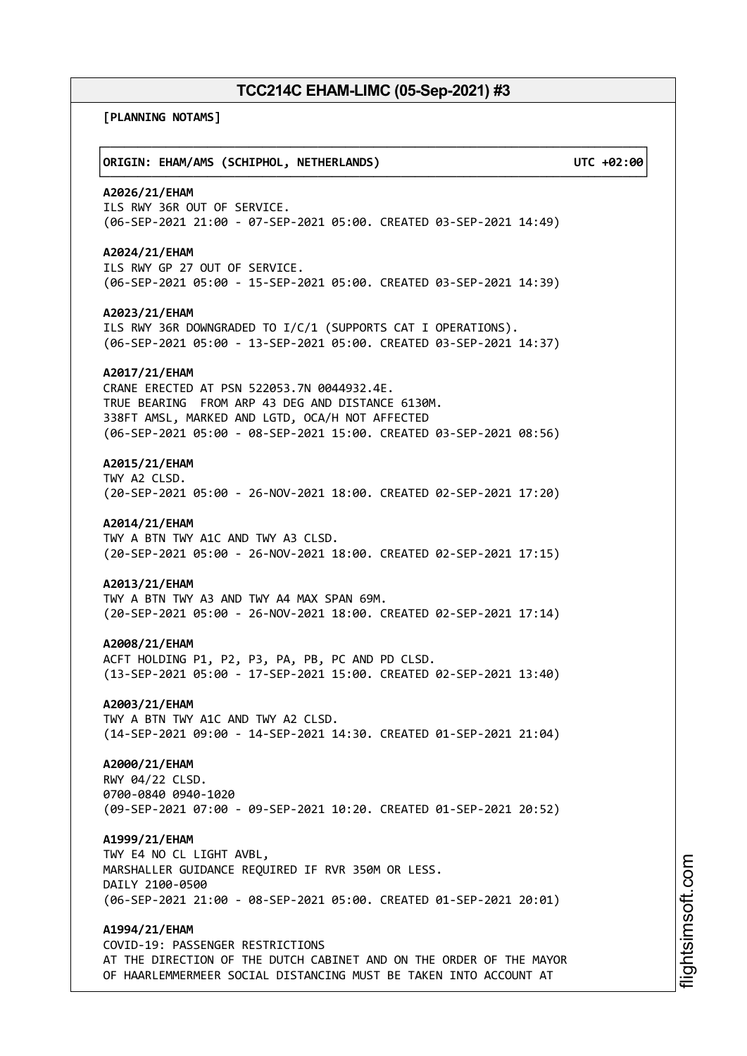**[PLANNING NOTAMS]**

# ┌──────────────────────────────────────────────────────────────────────────────┐ │**ORIGIN: EHAM/AMS (SCHIPHOL, NETHERLANDS) UTC +02:00**│ └──────────────────────────────────────────────────────────────────────────────┘ **A2026/21/EHAM** ILS RWY 36R OUT OF SERVICE. (06-SEP-2021 21:00 - 07-SEP-2021 05:00. CREATED 03-SEP-2021 14:49) **A2024/21/EHAM** ILS RWY GP 27 OUT OF SERVICE. (06-SEP-2021 05:00 - 15-SEP-2021 05:00. CREATED 03-SEP-2021 14:39) **A2023/21/EHAM** ILS RWY 36R DOWNGRADED TO I/C/1 (SUPPORTS CAT I OPERATIONS). (06-SEP-2021 05:00 - 13-SEP-2021 05:00. CREATED 03-SEP-2021 14:37) **A2017/21/EHAM** CRANE ERECTED AT PSN 522053.7N 0044932.4E. TRUE BEARING FROM ARP 43 DEG AND DISTANCE 6130M. 338FT AMSL, MARKED AND LGTD, OCA/H NOT AFFECTED (06-SEP-2021 05:00 - 08-SEP-2021 15:00. CREATED 03-SEP-2021 08:56) **A2015/21/EHAM** TWY A2 CLSD. (20-SEP-2021 05:00 - 26-NOV-2021 18:00. CREATED 02-SEP-2021 17:20) **A2014/21/EHAM** TWY A BTN TWY A1C AND TWY A3 CLSD. (20-SEP-2021 05:00 - 26-NOV-2021 18:00. CREATED 02-SEP-2021 17:15) **A2013/21/EHAM** TWY A BTN TWY A3 AND TWY A4 MAX SPAN 69M. (20-SEP-2021 05:00 - 26-NOV-2021 18:00. CREATED 02-SEP-2021 17:14) **A2008/21/EHAM** ACFT HOLDING P1, P2, P3, PA, PB, PC AND PD CLSD. (13-SEP-2021 05:00 - 17-SEP-2021 15:00. CREATED 02-SEP-2021 13:40) **A2003/21/EHAM** TWY A BTN TWY A1C AND TWY A2 CLSD. (14-SEP-2021 09:00 - 14-SEP-2021 14:30. CREATED 01-SEP-2021 21:04) **A2000/21/EHAM** RWY 04/22 CLSD. 0700-0840 0940-1020 (09-SEP-2021 07:00 - 09-SEP-2021 10:20. CREATED 01-SEP-2021 20:52) **A1999/21/EHAM** TWY E4 NO CL LIGHT AVBL, MARSHALLER GUIDANCE REQUIRED IF RVR 350M OR LESS. DAILY 2100-0500 (06-SEP-2021 21:00 - 08-SEP-2021 05:00. CREATED 01-SEP-2021 20:01) **A1994/21/EHAM** COVID-19: PASSENGER RESTRICTIONS AT THE DIRECTION OF THE DUTCH CABINET AND ON THE ORDER OF THE MAYOR OF HAARLEMMERMEER SOCIAL DISTANCING MUST BE TAKEN INTO ACCOUNT AT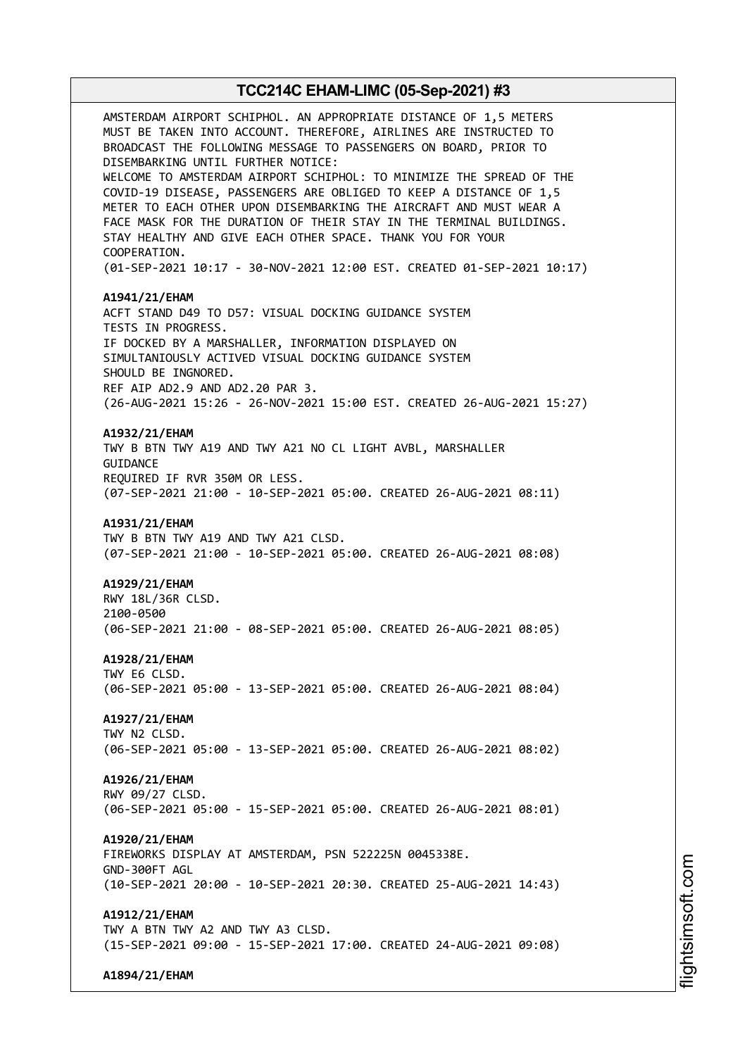AMSTERDAM AIRPORT SCHIPHOL. AN APPROPRIATE DISTANCE OF 1,5 METERS MUST BE TAKEN INTO ACCOUNT. THEREFORE, AIRLINES ARE INSTRUCTED TO BROADCAST THE FOLLOWING MESSAGE TO PASSENGERS ON BOARD, PRIOR TO DISEMBARKING UNTIL FURTHER NOTICE: WELCOME TO AMSTERDAM AIRPORT SCHIPHOL: TO MINIMIZE THE SPREAD OF THE COVID-19 DISEASE, PASSENGERS ARE OBLIGED TO KEEP A DISTANCE OF 1,5 METER TO EACH OTHER UPON DISEMBARKING THE AIRCRAFT AND MUST WEAR A FACE MASK FOR THE DURATION OF THEIR STAY IN THE TERMINAL BUILDINGS. STAY HEALTHY AND GIVE EACH OTHER SPACE. THANK YOU FOR YOUR COOPERATION. (01-SEP-2021 10:17 - 30-NOV-2021 12:00 EST. CREATED 01-SEP-2021 10:17) **A1941/21/EHAM** ACFT STAND D49 TO D57: VISUAL DOCKING GUIDANCE SYSTEM TESTS IN PROGRESS. IF DOCKED BY A MARSHALLER, INFORMATION DISPLAYED ON SIMULTANIOUSLY ACTIVED VISUAL DOCKING GUIDANCE SYSTEM SHOULD BE INGNORED. REF AIP AD2.9 AND AD2.20 PAR 3. (26-AUG-2021 15:26 - 26-NOV-2021 15:00 EST. CREATED 26-AUG-2021 15:27) **A1932/21/EHAM** TWY B BTN TWY A19 AND TWY A21 NO CL LIGHT AVBL, MARSHALLER **GUITDANCE** REQUIRED IF RVR 350M OR LESS. (07-SEP-2021 21:00 - 10-SEP-2021 05:00. CREATED 26-AUG-2021 08:11) **A1931/21/EHAM** TWY B BTN TWY A19 AND TWY A21 CLSD. (07-SEP-2021 21:00 - 10-SEP-2021 05:00. CREATED 26-AUG-2021 08:08) **A1929/21/EHAM** RWY 18L/36R CLSD. 2100-0500 (06-SEP-2021 21:00 - 08-SEP-2021 05:00. CREATED 26-AUG-2021 08:05) **A1928/21/EHAM** TWY E6 CLSD. (06-SEP-2021 05:00 - 13-SEP-2021 05:00. CREATED 26-AUG-2021 08:04) **A1927/21/EHAM** TWY N2 CLSD. (06-SEP-2021 05:00 - 13-SEP-2021 05:00. CREATED 26-AUG-2021 08:02) **A1926/21/EHAM** RWY 09/27 CLSD. (06-SEP-2021 05:00 - 15-SEP-2021 05:00. CREATED 26-AUG-2021 08:01) **A1920/21/EHAM** FIREWORKS DISPLAY AT AMSTERDAM, PSN 522225N 0045338E. GND-300FT AGL (10-SEP-2021 20:00 - 10-SEP-2021 20:30. CREATED 25-AUG-2021 14:43) **A1912/21/EHAM** TWY A BTN TWY A2 AND TWY A3 CLSD. (15-SEP-2021 09:00 - 15-SEP-2021 17:00. CREATED 24-AUG-2021 09:08)

**A1894/21/EHAM**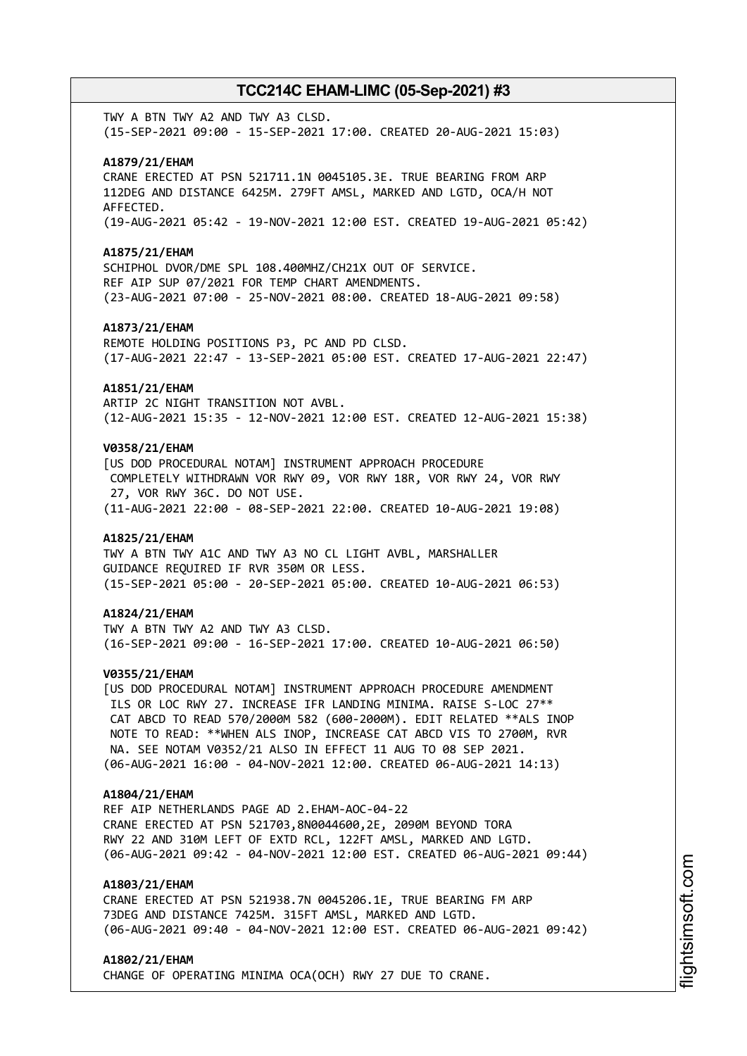TWY A BTN TWY A2 AND TWY A3 CLSD. (15-SEP-2021 09:00 - 15-SEP-2021 17:00. CREATED 20-AUG-2021 15:03)

#### **A1879/21/EHAM**

CRANE ERECTED AT PSN 521711.1N 0045105.3E. TRUE BEARING FROM ARP 112DEG AND DISTANCE 6425M. 279FT AMSL, MARKED AND LGTD, OCA/H NOT AFFECTED. (19-AUG-2021 05:42 - 19-NOV-2021 12:00 EST. CREATED 19-AUG-2021 05:42)

#### **A1875/21/EHAM**

SCHIPHOL DVOR/DME SPL 108.400MHZ/CH21X OUT OF SERVICE. REF AIP SUP 07/2021 FOR TEMP CHART AMENDMENTS. (23-AUG-2021 07:00 - 25-NOV-2021 08:00. CREATED 18-AUG-2021 09:58)

#### **A1873/21/EHAM**

REMOTE HOLDING POSITIONS P3, PC AND PD CLSD. (17-AUG-2021 22:47 - 13-SEP-2021 05:00 EST. CREATED 17-AUG-2021 22:47)

#### **A1851/21/EHAM**

ARTIP 2C NIGHT TRANSITION NOT AVBL. (12-AUG-2021 15:35 - 12-NOV-2021 12:00 EST. CREATED 12-AUG-2021 15:38)

#### **V0358/21/EHAM**

[US DOD PROCEDURAL NOTAM] INSTRUMENT APPROACH PROCEDURE COMPLETELY WITHDRAWN VOR RWY 09, VOR RWY 18R, VOR RWY 24, VOR RWY 27, VOR RWY 36C. DO NOT USE. (11-AUG-2021 22:00 - 08-SEP-2021 22:00. CREATED 10-AUG-2021 19:08)

#### **A1825/21/EHAM**

TWY A BTN TWY A1C AND TWY A3 NO CL LIGHT AVBL, MARSHALLER GUIDANCE REQUIRED IF RVR 350M OR LESS. (15-SEP-2021 05:00 - 20-SEP-2021 05:00. CREATED 10-AUG-2021 06:53)

#### **A1824/21/EHAM**

TWY A BTN TWY A2 AND TWY A3 CLSD. (16-SEP-2021 09:00 - 16-SEP-2021 17:00. CREATED 10-AUG-2021 06:50)

#### **V0355/21/EHAM**

[US DOD PROCEDURAL NOTAM] INSTRUMENT APPROACH PROCEDURE AMENDMENT ILS OR LOC RWY 27. INCREASE IFR LANDING MINIMA. RAISE S-LOC 27\*\* CAT ABCD TO READ 570/2000M 582 (600-2000M). EDIT RELATED \*\*ALS INOP NOTE TO READ: \*\*WHEN ALS INOP, INCREASE CAT ABCD VIS TO 2700M, RVR NA. SEE NOTAM V0352/21 ALSO IN EFFECT 11 AUG TO 08 SEP 2021. (06-AUG-2021 16:00 - 04-NOV-2021 12:00. CREATED 06-AUG-2021 14:13)

#### **A1804/21/EHAM**

REF AIP NETHERLANDS PAGE AD 2.EHAM-AOC-04-22 CRANE ERECTED AT PSN 521703,8N0044600,2E, 2090M BEYOND TORA RWY 22 AND 310M LEFT OF EXTD RCL, 122FT AMSL, MARKED AND LGTD. (06-AUG-2021 09:42 - 04-NOV-2021 12:00 EST. CREATED 06-AUG-2021 09:44)

#### **A1803/21/EHAM**

CRANE ERECTED AT PSN 521938.7N 0045206.1E, TRUE BEARING FM ARP 73DEG AND DISTANCE 7425M. 315FT AMSL, MARKED AND LGTD. (06-AUG-2021 09:40 - 04-NOV-2021 12:00 EST. CREATED 06-AUG-2021 09:42)

#### **A1802/21/EHAM**

CHANGE OF OPERATING MINIMA OCA(OCH) RWY 27 DUE TO CRANE.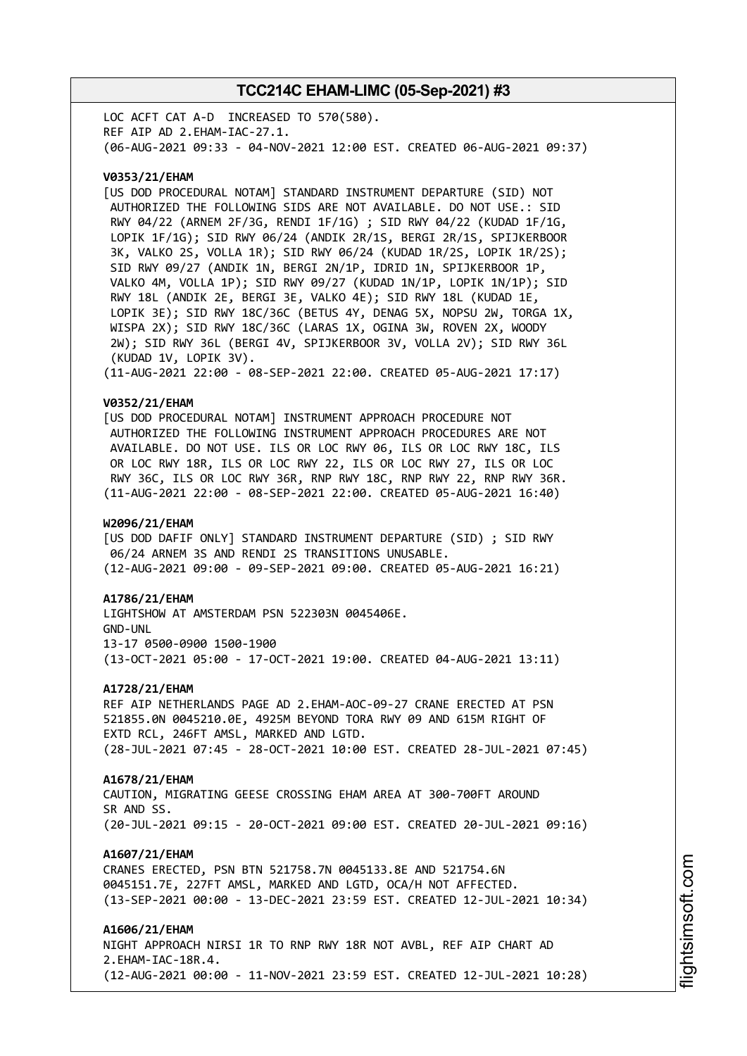LOC ACFT CAT A-D INCREASED TO 570(580). REF AIP AD 2.EHAM-IAC-27.1. (06-AUG-2021 09:33 - 04-NOV-2021 12:00 EST. CREATED 06-AUG-2021 09:37)

#### **V0353/21/EHAM**

[US DOD PROCEDURAL NOTAM] STANDARD INSTRUMENT DEPARTURE (SID) NOT AUTHORIZED THE FOLLOWING SIDS ARE NOT AVAILABLE. DO NOT USE.: SID RWY 04/22 (ARNEM 2F/3G, RENDI 1F/1G) ; SID RWY 04/22 (KUDAD 1F/1G, LOPIK 1F/1G); SID RWY 06/24 (ANDIK 2R/1S, BERGI 2R/1S, SPIJKERBOOR 3K, VALKO 2S, VOLLA 1R); SID RWY 06/24 (KUDAD 1R/2S, LOPIK 1R/2S); SID RWY 09/27 (ANDIK 1N, BERGI 2N/1P, IDRID 1N, SPIJKERBOOR 1P, VALKO 4M, VOLLA 1P); SID RWY 09/27 (KUDAD 1N/1P, LOPIK 1N/1P); SID RWY 18L (ANDIK 2E, BERGI 3E, VALKO 4E); SID RWY 18L (KUDAD 1E, LOPIK 3E); SID RWY 18C/36C (BETUS 4Y, DENAG 5X, NOPSU 2W, TORGA 1X, WISPA 2X); SID RWY 18C/36C (LARAS 1X, OGINA 3W, ROVEN 2X, WOODY 2W); SID RWY 36L (BERGI 4V, SPIJKERBOOR 3V, VOLLA 2V); SID RWY 36L (KUDAD 1V, LOPIK 3V). (11-AUG-2021 22:00 - 08-SEP-2021 22:00. CREATED 05-AUG-2021 17:17)

#### **V0352/21/EHAM**

[US DOD PROCEDURAL NOTAM] INSTRUMENT APPROACH PROCEDURE NOT AUTHORIZED THE FOLLOWING INSTRUMENT APPROACH PROCEDURES ARE NOT AVAILABLE. DO NOT USE. ILS OR LOC RWY 06, ILS OR LOC RWY 18C, ILS OR LOC RWY 18R, ILS OR LOC RWY 22, ILS OR LOC RWY 27, ILS OR LOC RWY 36C, ILS OR LOC RWY 36R, RNP RWY 18C, RNP RWY 22, RNP RWY 36R. (11-AUG-2021 22:00 - 08-SEP-2021 22:00. CREATED 05-AUG-2021 16:40)

#### **W2096/21/EHAM**

[US DOD DAFIF ONLY] STANDARD INSTRUMENT DEPARTURE (SID) ; SID RWY 06/24 ARNEM 3S AND RENDI 2S TRANSITIONS UNUSABLE. (12-AUG-2021 09:00 - 09-SEP-2021 09:00. CREATED 05-AUG-2021 16:21)

#### **A1786/21/EHAM**

LIGHTSHOW AT AMSTERDAM PSN 522303N 0045406E. GND-UNL 13-17 0500-0900 1500-1900 (13-OCT-2021 05:00 - 17-OCT-2021 19:00. CREATED 04-AUG-2021 13:11)

#### **A1728/21/EHAM**

REF AIP NETHERLANDS PAGE AD 2.EHAM-AOC-09-27 CRANE ERECTED AT PSN 521855.0N 0045210.0E, 4925M BEYOND TORA RWY 09 AND 615M RIGHT OF EXTD RCL, 246FT AMSL, MARKED AND LGTD. (28-JUL-2021 07:45 - 28-OCT-2021 10:00 EST. CREATED 28-JUL-2021 07:45)

#### **A1678/21/EHAM**

CAUTION, MIGRATING GEESE CROSSING EHAM AREA AT 300-700FT AROUND SR AND SS. (20-JUL-2021 09:15 - 20-OCT-2021 09:00 EST. CREATED 20-JUL-2021 09:16)

#### **A1607/21/EHAM**

CRANES ERECTED, PSN BTN 521758.7N 0045133.8E AND 521754.6N 0045151.7E, 227FT AMSL, MARKED AND LGTD, OCA/H NOT AFFECTED. (13-SEP-2021 00:00 - 13-DEC-2021 23:59 EST. CREATED 12-JUL-2021 10:34)

### **A1606/21/EHAM**

NIGHT APPROACH NIRSI 1R TO RNP RWY 18R NOT AVBL, REF AIP CHART AD 2.EHAM-IAC-18R.4. (12-AUG-2021 00:00 - 11-NOV-2021 23:59 EST. CREATED 12-JUL-2021 10:28)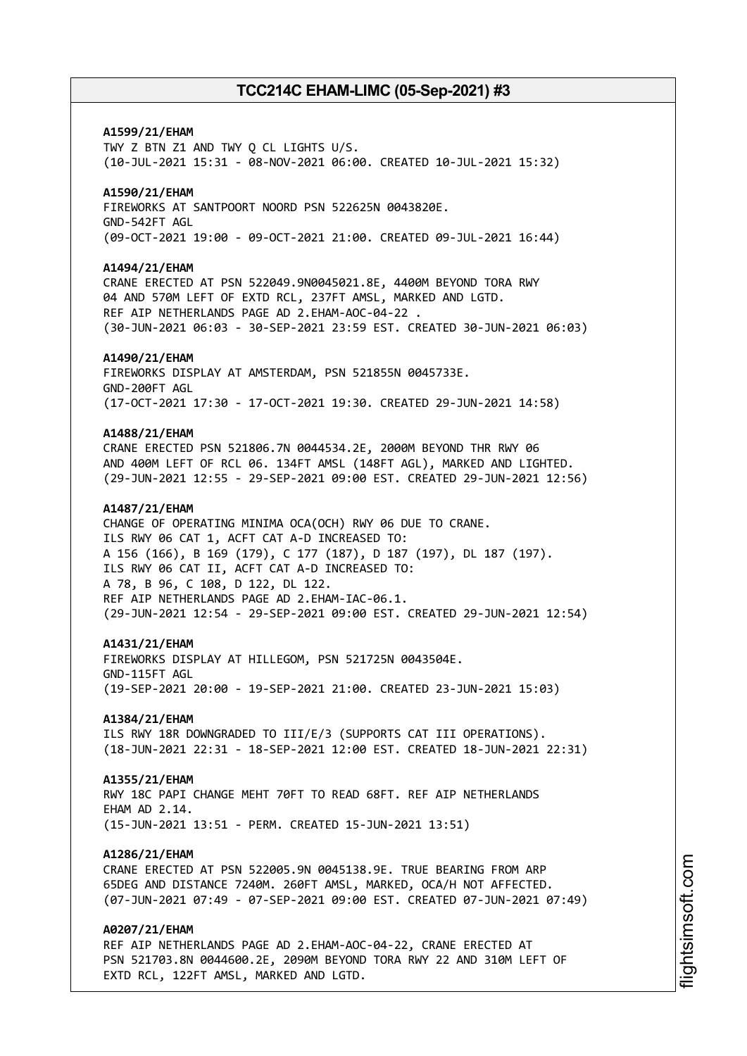# **A1599/21/EHAM** TWY Z BTN Z1 AND TWY Q CL LIGHTS U/S. (10-JUL-2021 15:31 - 08-NOV-2021 06:00. CREATED 10-JUL-2021 15:32) **A1590/21/EHAM** FIREWORKS AT SANTPOORT NOORD PSN 522625N 0043820E. GND-542FT AGL (09-OCT-2021 19:00 - 09-OCT-2021 21:00. CREATED 09-JUL-2021 16:44) **A1494/21/EHAM** CRANE ERECTED AT PSN 522049.9N0045021.8E, 4400M BEYOND TORA RWY 04 AND 570M LEFT OF EXTD RCL, 237FT AMSL, MARKED AND LGTD. REF AIP NETHERLANDS PAGE AD 2.EHAM-AOC-04-22 . (30-JUN-2021 06:03 - 30-SEP-2021 23:59 EST. CREATED 30-JUN-2021 06:03) **A1490/21/EHAM** FIREWORKS DISPLAY AT AMSTERDAM, PSN 521855N 0045733E. GND-200FT AGL (17-OCT-2021 17:30 - 17-OCT-2021 19:30. CREATED 29-JUN-2021 14:58) **A1488/21/EHAM** CRANE ERECTED PSN 521806.7N 0044534.2E, 2000M BEYOND THR RWY 06 AND 400M LEFT OF RCL 06. 134FT AMSL (148FT AGL), MARKED AND LIGHTED. (29-JUN-2021 12:55 - 29-SEP-2021 09:00 EST. CREATED 29-JUN-2021 12:56) **A1487/21/EHAM** CHANGE OF OPERATING MINIMA OCA(OCH) RWY 06 DUE TO CRANE. ILS RWY 06 CAT 1, ACFT CAT A-D INCREASED TO: A 156 (166), B 169 (179), C 177 (187), D 187 (197), DL 187 (197). ILS RWY 06 CAT II, ACFT CAT A-D INCREASED TO: A 78, B 96, C 108, D 122, DL 122. REF AIP NETHERLANDS PAGE AD 2.EHAM-IAC-06.1. (29-JUN-2021 12:54 - 29-SEP-2021 09:00 EST. CREATED 29-JUN-2021 12:54) **A1431/21/EHAM** FIREWORKS DISPLAY AT HILLEGOM, PSN 521725N 0043504E. GND-115FT AGL (19-SEP-2021 20:00 - 19-SEP-2021 21:00. CREATED 23-JUN-2021 15:03) **A1384/21/EHAM** ILS RWY 18R DOWNGRADED TO III/E/3 (SUPPORTS CAT III OPERATIONS). (18-JUN-2021 22:31 - 18-SEP-2021 12:00 EST. CREATED 18-JUN-2021 22:31) **A1355/21/EHAM** RWY 18C PAPI CHANGE MEHT 70FT TO READ 68FT. REF AIP NETHERLANDS FHAM AD 2 14 (15-JUN-2021 13:51 - PERM. CREATED 15-JUN-2021 13:51) **A1286/21/EHAM** CRANE ERECTED AT PSN 522005.9N 0045138.9E. TRUE BEARING FROM ARP 65DEG AND DISTANCE 7240M. 260FT AMSL, MARKED, OCA/H NOT AFFECTED. (07-JUN-2021 07:49 - 07-SEP-2021 09:00 EST. CREATED 07-JUN-2021 07:49) **A0207/21/EHAM** REF AIP NETHERLANDS PAGE AD 2.EHAM-AOC-04-22, CRANE ERECTED AT PSN 521703.8N 0044600.2E, 2090M BEYOND TORA RWY 22 AND 310M LEFT OF

EXTD RCL, 122FT AMSL, MARKED AND LGTD.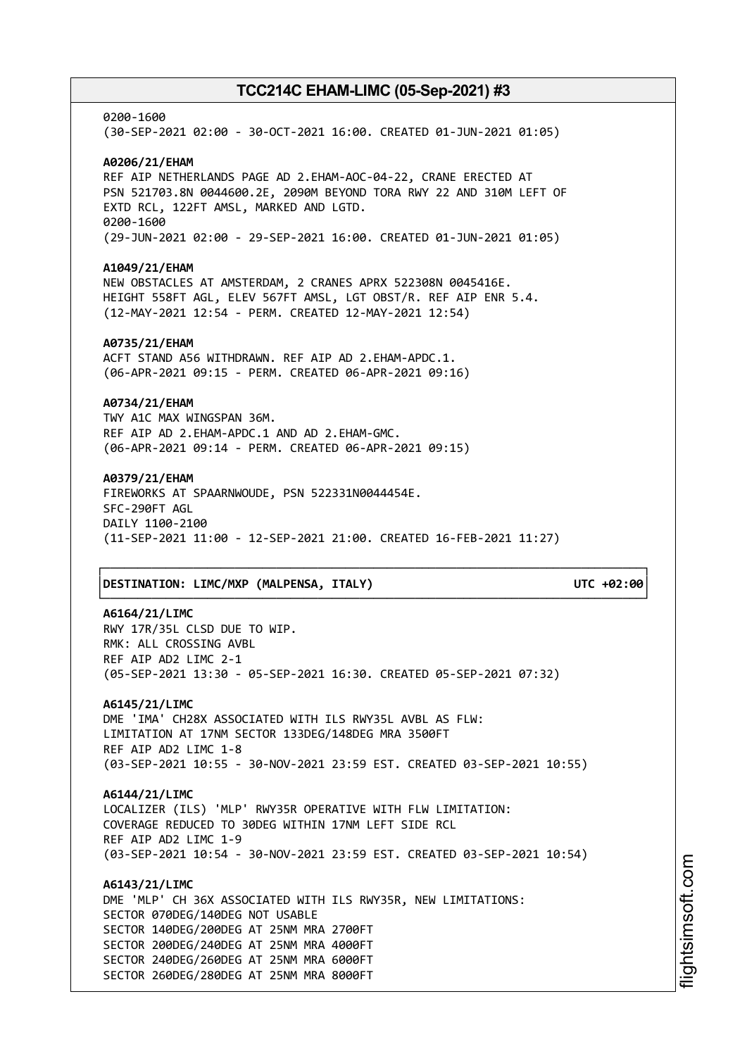0200-1600 (30-SEP-2021 02:00 - 30-OCT-2021 16:00. CREATED 01-JUN-2021 01:05) **A0206/21/EHAM** REF AIP NETHERLANDS PAGE AD 2.EHAM-AOC-04-22, CRANE ERECTED AT PSN 521703.8N 0044600.2E, 2090M BEYOND TORA RWY 22 AND 310M LEFT OF EXTD RCL, 122FT AMSL, MARKED AND LGTD. 0200-1600 (29-JUN-2021 02:00 - 29-SEP-2021 16:00. CREATED 01-JUN-2021 01:05) **A1049/21/EHAM** NEW OBSTACLES AT AMSTERDAM, 2 CRANES APRX 522308N 0045416E. HEIGHT 558FT AGL, ELEV 567FT AMSL, LGT OBST/R. REF AIP ENR 5.4. (12-MAY-2021 12:54 - PERM. CREATED 12-MAY-2021 12:54) **A0735/21/EHAM** ACFT STAND A56 WITHDRAWN. REF AIP AD 2.EHAM-APDC.1. (06-APR-2021 09:15 - PERM. CREATED 06-APR-2021 09:16) **A0734/21/EHAM** TWY A1C MAX WINGSPAN 36M. REF AIP AD 2.EHAM-APDC.1 AND AD 2.EHAM-GMC. (06-APR-2021 09:14 - PERM. CREATED 06-APR-2021 09:15) **A0379/21/EHAM** FIREWORKS AT SPAARNWOUDE, PSN 522331N0044454E. SFC-290FT AGL DAILY 1100-2100 (11-SEP-2021 11:00 - 12-SEP-2021 21:00. CREATED 16-FEB-2021 11:27) ┌──────────────────────────────────────────────────────────────────────────────┐

### │**DESTINATION: LIMC/MXP (MALPENSA, ITALY) UTC +02:00**│

**A6164/21/LIMC**

RWY 17R/35L CLSD DUE TO WIP. RMK: ALL CROSSING AVBL REF AIP AD2 LIMC 2-1 (05-SEP-2021 13:30 - 05-SEP-2021 16:30. CREATED 05-SEP-2021 07:32) **A6145/21/LIMC** DME 'IMA' CH28X ASSOCIATED WITH ILS RWY35L AVBL AS FLW: LIMITATION AT 17NM SECTOR 133DEG/148DEG MRA 3500FT REF AIP AD2 LIMC 1-8 (03-SEP-2021 10:55 - 30-NOV-2021 23:59 EST. CREATED 03-SEP-2021 10:55) **A6144/21/LIMC** LOCALIZER (ILS) 'MLP' RWY35R OPERATIVE WITH FLW LIMITATION: COVERAGE REDUCED TO 30DEG WITHIN 17NM LEFT SIDE RCL REF AIP AD2 LIMC 1-9 (03-SEP-2021 10:54 - 30-NOV-2021 23:59 EST. CREATED 03-SEP-2021 10:54) **A6143/21/LIMC**

└──────────────────────────────────────────────────────────────────────────────┘

DME 'MLP' CH 36X ASSOCIATED WITH ILS RWY35R, NEW LIMITATIONS: SECTOR 070DEG/140DEG NOT USABLE SECTOR 140DEG/200DEG AT 25NM MRA 2700FT SECTOR 200DEG/240DEG AT 25NM MRA 4000FT SECTOR 240DEG/260DEG AT 25NM MRA 6000FT SECTOR 260DEG/280DEG AT 25NM MRA 8000FT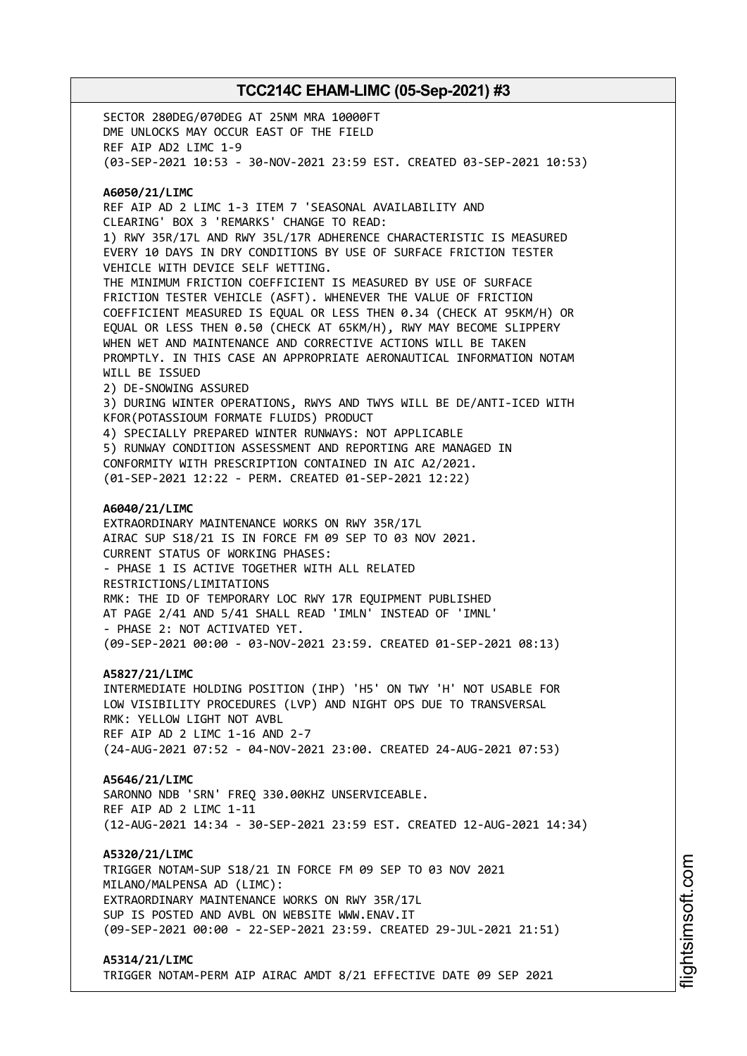SECTOR 280DEG/070DEG AT 25NM MRA 10000FT DME UNLOCKS MAY OCCUR EAST OF THE FIELD REF AIP AD2 LIMC 1-9 (03-SEP-2021 10:53 - 30-NOV-2021 23:59 EST. CREATED 03-SEP-2021 10:53) **A6050/21/LIMC** REF AIP AD 2 LIMC 1-3 ITEM 7 'SEASONAL AVAILABILITY AND CLEARING' BOX 3 'REMARKS' CHANGE TO READ: 1) RWY 35R/17L AND RWY 35L/17R ADHERENCE CHARACTERISTIC IS MEASURED EVERY 10 DAYS IN DRY CONDITIONS BY USE OF SURFACE FRICTION TESTER VEHICLE WITH DEVICE SELF WETTING. THE MINIMUM FRICTION COEFFICIENT IS MEASURED BY USE OF SURFACE FRICTION TESTER VEHICLE (ASFT). WHENEVER THE VALUE OF FRICTION COEFFICIENT MEASURED IS EQUAL OR LESS THEN 0.34 (CHECK AT 95KM/H) OR EQUAL OR LESS THEN 0.50 (CHECK AT 65KM/H), RWY MAY BECOME SLIPPERY WHEN WET AND MAINTENANCE AND CORRECTIVE ACTIONS WILL BE TAKEN PROMPTLY. IN THIS CASE AN APPROPRIATE AERONAUTICAL INFORMATION NOTAM WILL BE ISSUED 2) DE-SNOWING ASSURED 3) DURING WINTER OPERATIONS, RWYS AND TWYS WILL BE DE/ANTI-ICED WITH KFOR(POTASSIOUM FORMATE FLUIDS) PRODUCT 4) SPECIALLY PREPARED WINTER RUNWAYS: NOT APPLICABLE 5) RUNWAY CONDITION ASSESSMENT AND REPORTING ARE MANAGED IN CONFORMITY WITH PRESCRIPTION CONTAINED IN AIC A2/2021. (01-SEP-2021 12:22 - PERM. CREATED 01-SEP-2021 12:22) **A6040/21/LIMC** EXTRAORDINARY MAINTENANCE WORKS ON RWY 35R/17L AIRAC SUP S18/21 IS IN FORCE FM 09 SEP TO 03 NOV 2021. CURRENT STATUS OF WORKING PHASES: - PHASE 1 IS ACTIVE TOGETHER WITH ALL RELATED RESTRICTIONS/LIMITATIONS RMK: THE ID OF TEMPORARY LOC RWY 17R EQUIPMENT PUBLISHED AT PAGE 2/41 AND 5/41 SHALL READ 'IMLN' INSTEAD OF 'IMNL' - PHASE 2: NOT ACTIVATED YET. (09-SEP-2021 00:00 - 03-NOV-2021 23:59. CREATED 01-SEP-2021 08:13) **A5827/21/LIMC** INTERMEDIATE HOLDING POSITION (IHP) 'H5' ON TWY 'H' NOT USABLE FOR LOW VISIBILITY PROCEDURES (LVP) AND NIGHT OPS DUE TO TRANSVERSAL RMK: YELLOW LIGHT NOT AVBL REF AIP AD 2 LIMC 1-16 AND 2-7 (24-AUG-2021 07:52 - 04-NOV-2021 23:00. CREATED 24-AUG-2021 07:53) **A5646/21/LIMC** SARONNO NDB 'SRN' FREQ 330.00KHZ UNSERVICEABLE. REF AIP AD 2 LIMC 1-11 (12-AUG-2021 14:34 - 30-SEP-2021 23:59 EST. CREATED 12-AUG-2021 14:34) **A5320/21/LIMC** TRIGGER NOTAM-SUP S18/21 IN FORCE FM 09 SEP TO 03 NOV 2021 MILANO/MALPENSA AD (LIMC): EXTRAORDINARY MAINTENANCE WORKS ON RWY 35R/17L SUP IS POSTED AND AVBL ON WEBSITE WWW.ENAV.IT (09-SEP-2021 00:00 - 22-SEP-2021 23:59. CREATED 29-JUL-2021 21:51) **A5314/21/LIMC**

TRIGGER NOTAM-PERM AIP AIRAC AMDT 8/21 EFFECTIVE DATE 09 SEP 2021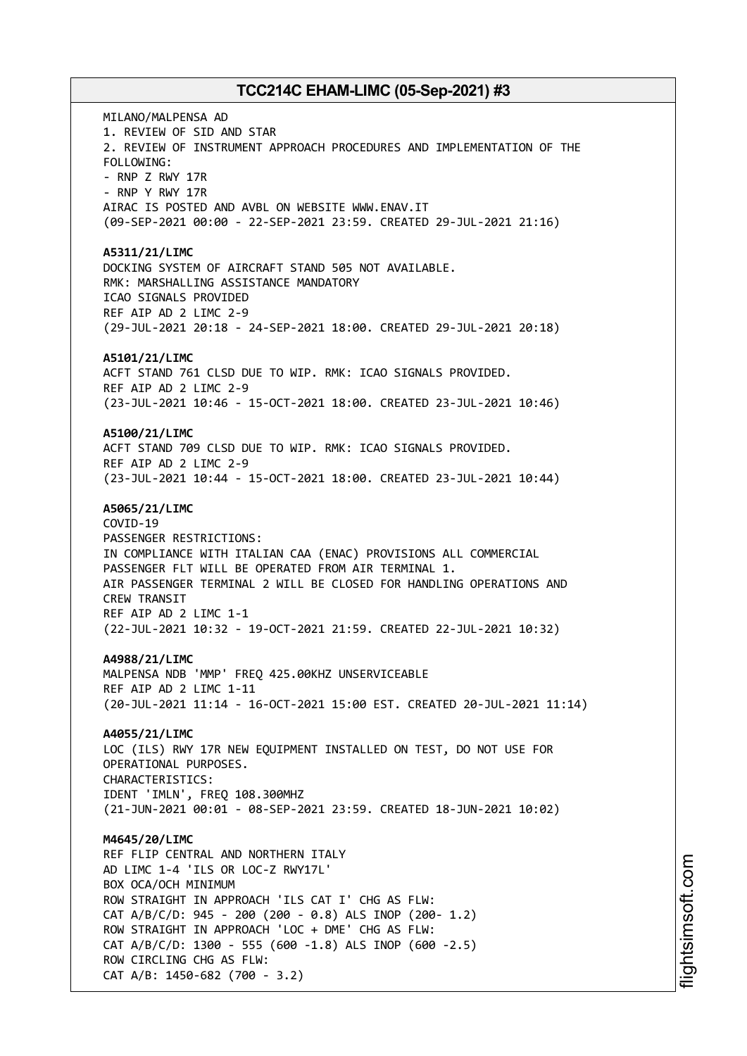MILANO/MALPENSA AD 1. REVIEW OF SID AND STAR 2. REVIEW OF INSTRUMENT APPROACH PROCEDURES AND IMPLEMENTATION OF THE FOLLOWING: - RNP Z RWY 17R - RNP Y RWY 17R AIRAC IS POSTED AND AVBL ON WEBSITE WWW.ENAV.IT (09-SEP-2021 00:00 - 22-SEP-2021 23:59. CREATED 29-JUL-2021 21:16) **A5311/21/LIMC** DOCKING SYSTEM OF AIRCRAFT STAND 505 NOT AVAILABLE. RMK: MARSHALLING ASSISTANCE MANDATORY ICAO SIGNALS PROVIDED REF AIP AD 2 LIMC 2-9 (29-JUL-2021 20:18 - 24-SEP-2021 18:00. CREATED 29-JUL-2021 20:18) **A5101/21/LIMC** ACFT STAND 761 CLSD DUE TO WIP. RMK: ICAO SIGNALS PROVIDED. REF AIP AD 2 LIMC 2-9 (23-JUL-2021 10:46 - 15-OCT-2021 18:00. CREATED 23-JUL-2021 10:46) **A5100/21/LIMC** ACFT STAND 709 CLSD DUE TO WIP. RMK: ICAO SIGNALS PROVIDED. REF AIP AD 2 LIMC 2-9 (23-JUL-2021 10:44 - 15-OCT-2021 18:00. CREATED 23-JUL-2021 10:44) **A5065/21/LIMC** COVID-19 PASSENGER RESTRICTIONS: IN COMPLIANCE WITH ITALIAN CAA (ENAC) PROVISIONS ALL COMMERCIAL PASSENGER FLT WILL BE OPERATED FROM AIR TERMINAL 1. AIR PASSENGER TERMINAL 2 WILL BE CLOSED FOR HANDLING OPERATIONS AND CREW TRANSIT REF AIP AD 2 LIMC 1-1 (22-JUL-2021 10:32 - 19-OCT-2021 21:59. CREATED 22-JUL-2021 10:32) **A4988/21/LIMC** MALPENSA NDB 'MMP' FREQ 425.00KHZ UNSERVICEABLE REF AIP AD 2 LIMC 1-11 (20-JUL-2021 11:14 - 16-OCT-2021 15:00 EST. CREATED 20-JUL-2021 11:14) **A4055/21/LIMC** LOC (ILS) RWY 17R NEW EQUIPMENT INSTALLED ON TEST, DO NOT USE FOR OPERATIONAL PURPOSES. CHARACTERISTICS: IDENT 'IMLN', FREQ 108.300MHZ (21-JUN-2021 00:01 - 08-SEP-2021 23:59. CREATED 18-JUN-2021 10:02) **M4645/20/LIMC** REF FLIP CENTRAL AND NORTHERN ITALY AD LIMC 1-4 'ILS OR LOC-Z RWY17L' BOX OCA/OCH MINIMUM ROW STRAIGHT IN APPROACH 'ILS CAT I' CHG AS FLW: CAT A/B/C/D: 945 - 200 (200 - 0.8) ALS INOP (200- 1.2) ROW STRAIGHT IN APPROACH 'LOC + DME' CHG AS FLW: CAT A/B/C/D: 1300 - 555 (600 -1.8) ALS INOP (600 -2.5) ROW CIRCLING CHG AS FLW: CAT A/B: 1450-682 (700 - 3.2)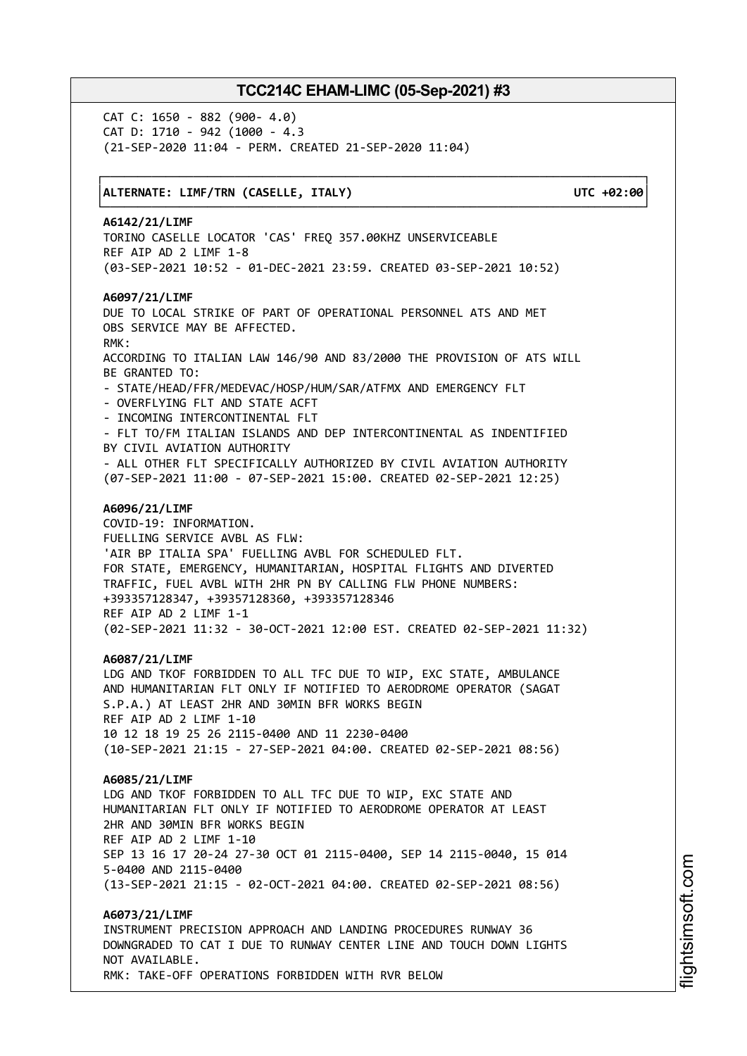└──────────────────────────────────────────────────────────────────────────────┘

CAT C: 1650 - 882 (900- 4.0) CAT D: 1710 - 942 (1000 - 4.3 (21-SEP-2020 11:04 - PERM. CREATED 21-SEP-2020 11:04)

#### │**ALTERNATE: LIMF/TRN (CASELLE, ITALY) UTC +02:00**│

┌──────────────────────────────────────────────────────────────────────────────┐

#### **A6142/21/LIMF**

TORINO CASELLE LOCATOR 'CAS' FREQ 357.00KHZ UNSERVICEABLE REF AIP AD 2 LIMF 1-8 (03-SEP-2021 10:52 - 01-DEC-2021 23:59. CREATED 03-SEP-2021 10:52)

#### **A6097/21/LIMF**

DUE TO LOCAL STRIKE OF PART OF OPERATIONAL PERSONNEL ATS AND MET OBS SERVICE MAY BE AFFECTED. RMK: ACCORDING TO ITALIAN LAW 146/90 AND 83/2000 THE PROVISION OF ATS WILL BE GRANTED TO: - STATE/HEAD/FFR/MEDEVAC/HOSP/HUM/SAR/ATFMX AND EMERGENCY FLT - OVERFLYING FLT AND STATE ACFT - INCOMING INTERCONTINENTAL FLT - FLT TO/FM ITALIAN ISLANDS AND DEP INTERCONTINENTAL AS INDENTIFIED BY CIVIL AVIATION AUTHORITY - ALL OTHER FLT SPECIFICALLY AUTHORIZED BY CIVIL AVIATION AUTHORITY (07-SEP-2021 11:00 - 07-SEP-2021 15:00. CREATED 02-SEP-2021 12:25) **A6096/21/LIMF** COVID-19: INFORMATION. FUELLING SERVICE AVBL AS FLW: 'AIR BP ITALIA SPA' FUELLING AVBL FOR SCHEDULED FLT. FOR STATE, EMERGENCY, HUMANITARIAN, HOSPITAL FLIGHTS AND DIVERTED TRAFFIC, FUEL AVBL WITH 2HR PN BY CALLING FLW PHONE NUMBERS: +393357128347, +39357128360, +393357128346 REF AIP AD 2 LIMF 1-1

(02-SEP-2021 11:32 - 30-OCT-2021 12:00 EST. CREATED 02-SEP-2021 11:32)

#### **A6087/21/LIMF**

LDG AND TKOF FORBIDDEN TO ALL TFC DUE TO WIP, EXC STATE, AMBULANCE AND HUMANITARIAN FLT ONLY IF NOTIFIED TO AERODROME OPERATOR (SAGAT S.P.A.) AT LEAST 2HR AND 30MIN BFR WORKS BEGIN REF AIP AD 2 LIMF 1-10 10 12 18 19 25 26 2115-0400 AND 11 2230-0400 (10-SEP-2021 21:15 - 27-SEP-2021 04:00. CREATED 02-SEP-2021 08:56)

#### **A6085/21/LIMF**

LDG AND TKOF FORBIDDEN TO ALL TFC DUE TO WIP, EXC STATE AND HUMANITARIAN FLT ONLY IF NOTIFIED TO AERODROME OPERATOR AT LEAST 2HR AND 30MIN BFR WORKS BEGIN REF AIP AD 2 LIMF 1-10 SEP 13 16 17 20-24 27-30 OCT 01 2115-0400, SEP 14 2115-0040, 15 014 5-0400 AND 2115-0400 (13-SEP-2021 21:15 - 02-OCT-2021 04:00. CREATED 02-SEP-2021 08:56)

**A6073/21/LIMF** INSTRUMENT PRECISION APPROACH AND LANDING PROCEDURES RUNWAY 36 DOWNGRADED TO CAT I DUE TO RUNWAY CENTER LINE AND TOUCH DOWN LIGHTS NOT AVAILABLE. RMK: TAKE-OFF OPERATIONS FORBIDDEN WITH RVR BELOW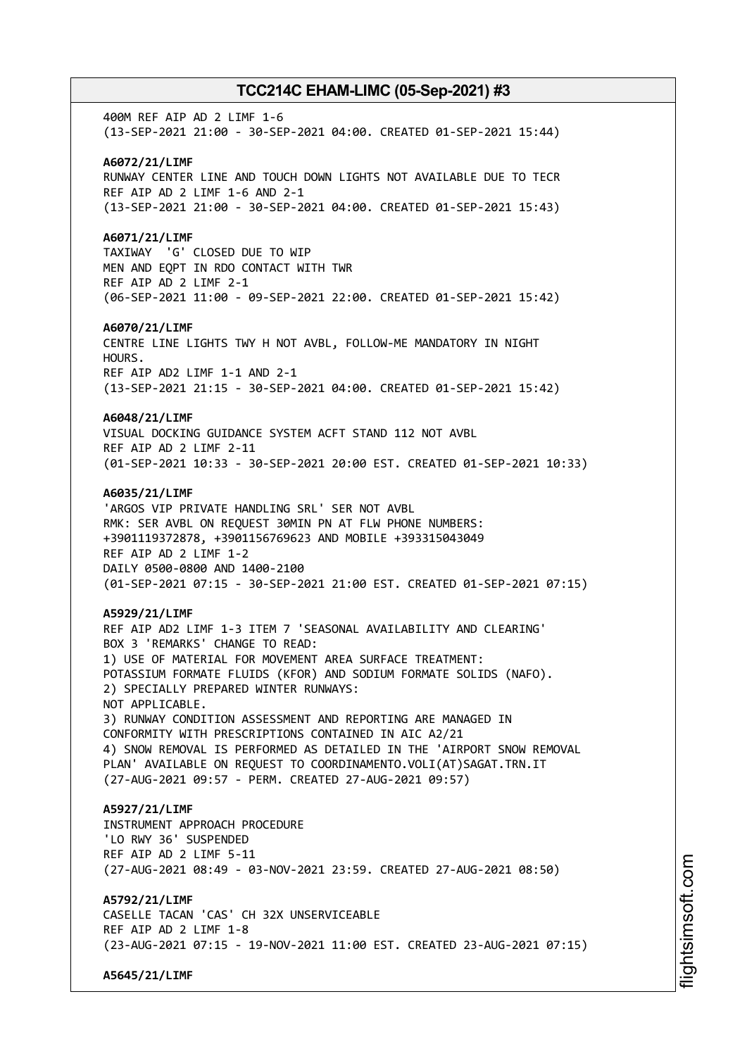400M REF AIP AD 2 LIMF 1-6 (13-SEP-2021 21:00 - 30-SEP-2021 04:00. CREATED 01-SEP-2021 15:44) **A6072/21/LIMF** RUNWAY CENTER LINE AND TOUCH DOWN LIGHTS NOT AVAILABLE DUE TO TECR REF AIP AD 2 LIMF 1-6 AND 2-1 (13-SEP-2021 21:00 - 30-SEP-2021 04:00. CREATED 01-SEP-2021 15:43) **A6071/21/LIMF** TAXIWAY 'G' CLOSED DUE TO WIP MEN AND EQPT IN RDO CONTACT WITH TWR REF AIP AD 2 LIMF 2-1 (06-SEP-2021 11:00 - 09-SEP-2021 22:00. CREATED 01-SEP-2021 15:42) **A6070/21/LIMF** CENTRE LINE LIGHTS TWY H NOT AVBL, FOLLOW-ME MANDATORY IN NIGHT HOURS. REF AIP AD2 LIMF 1-1 AND 2-1 (13-SEP-2021 21:15 - 30-SEP-2021 04:00. CREATED 01-SEP-2021 15:42) **A6048/21/LIMF** VISUAL DOCKING GUIDANCE SYSTEM ACFT STAND 112 NOT AVBL REF AIP AD 2 LIMF 2-11 (01-SEP-2021 10:33 - 30-SEP-2021 20:00 EST. CREATED 01-SEP-2021 10:33) **A6035/21/LIMF** 'ARGOS VIP PRIVATE HANDLING SRL' SER NOT AVBL RMK: SER AVBL ON REQUEST 30MIN PN AT FLW PHONE NUMBERS: +3901119372878, +3901156769623 AND MOBILE +393315043049 REF AIP AD 2 LIMF 1-2 DAILY 0500-0800 AND 1400-2100 (01-SEP-2021 07:15 - 30-SEP-2021 21:00 EST. CREATED 01-SEP-2021 07:15) **A5929/21/LIMF** REF AIP AD2 LIMF 1-3 ITEM 7 'SEASONAL AVAILABILITY AND CLEARING' BOX 3 'REMARKS' CHANGE TO READ: 1) USE OF MATERIAL FOR MOVEMENT AREA SURFACE TREATMENT: POTASSIUM FORMATE FLUIDS (KFOR) AND SODIUM FORMATE SOLIDS (NAFO). 2) SPECIALLY PREPARED WINTER RUNWAYS: NOT APPLICABLE. 3) RUNWAY CONDITION ASSESSMENT AND REPORTING ARE MANAGED IN CONFORMITY WITH PRESCRIPTIONS CONTAINED IN AIC A2/21 4) SNOW REMOVAL IS PERFORMED AS DETAILED IN THE 'AIRPORT SNOW REMOVAL PLAN' AVAILABLE ON REQUEST TO COORDINAMENTO.VOLI(AT)SAGAT.TRN.IT (27-AUG-2021 09:57 - PERM. CREATED 27-AUG-2021 09:57) **A5927/21/LIMF** INSTRUMENT APPROACH PROCEDURE 'LO RWY 36' SUSPENDED REF AIP AD 2 LIMF 5-11 (27-AUG-2021 08:49 - 03-NOV-2021 23:59. CREATED 27-AUG-2021 08:50) **A5792/21/LIMF** CASELLE TACAN 'CAS' CH 32X UNSERVICEABLE REF AIP AD 2 LIMF 1-8 (23-AUG-2021 07:15 - 19-NOV-2021 11:00 EST. CREATED 23-AUG-2021 07:15) **A5645/21/LIMF**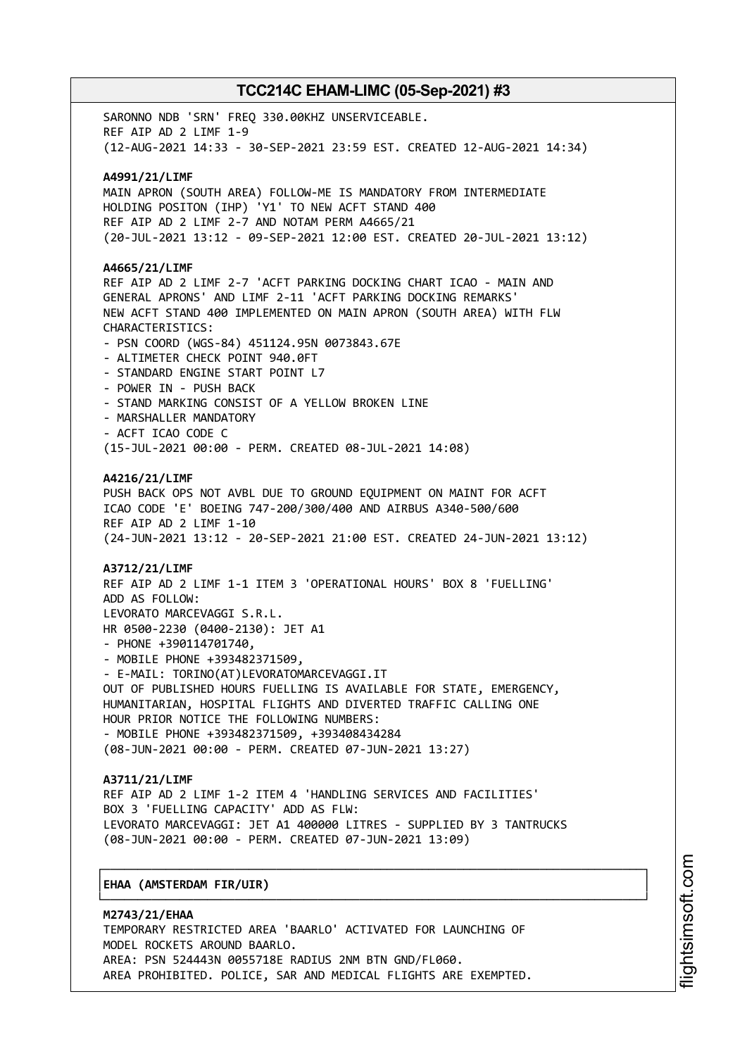SARONNO NDB 'SRN' FREQ 330.00KHZ UNSERVICEABLE. REF AIP AD 2 LIMF 1-9 (12-AUG-2021 14:33 - 30-SEP-2021 23:59 EST. CREATED 12-AUG-2021 14:34) **A4991/21/LIMF** MAIN APRON (SOUTH AREA) FOLLOW-ME IS MANDATORY FROM INTERMEDIATE HOLDING POSITON (IHP) 'Y1' TO NEW ACFT STAND 400 REF AIP AD 2 LIMF 2-7 AND NOTAM PERM A4665/21 (20-JUL-2021 13:12 - 09-SEP-2021 12:00 EST. CREATED 20-JUL-2021 13:12) **A4665/21/LIMF** REF AIP AD 2 LIMF 2-7 'ACFT PARKING DOCKING CHART ICAO - MAIN AND GENERAL APRONS' AND LIMF 2-11 'ACFT PARKING DOCKING REMARKS' NEW ACFT STAND 400 IMPLEMENTED ON MAIN APRON (SOUTH AREA) WITH FLW CHARACTERISTICS: - PSN COORD (WGS-84) 451124.95N 0073843.67E - ALTIMETER CHECK POINT 940.0FT - STANDARD ENGINE START POINT L7 - POWER IN - PUSH BACK - STAND MARKING CONSIST OF A YELLOW BROKEN LINE - MARSHALLER MANDATORY - ACFT ICAO CODE C (15-JUL-2021 00:00 - PERM. CREATED 08-JUL-2021 14:08) **A4216/21/LIMF** PUSH BACK OPS NOT AVBL DUE TO GROUND EQUIPMENT ON MAINT FOR ACFT ICAO CODE 'E' BOEING 747-200/300/400 AND AIRBUS A340-500/600 REF AIP AD 2 LIMF 1-10 (24-JUN-2021 13:12 - 20-SEP-2021 21:00 EST. CREATED 24-JUN-2021 13:12) **A3712/21/LIMF** REF AIP AD 2 LIMF 1-1 ITEM 3 'OPERATIONAL HOURS' BOX 8 'FUELLING' ADD AS FOLLOW: LEVORATO MARCEVAGGI S.R.L. HR 0500-2230 (0400-2130): JET A1 - PHONE +390114701740, - MOBILE PHONE +393482371509, - E-MAIL: TORINO(AT)LEVORATOMARCEVAGGI.IT OUT OF PUBLISHED HOURS FUELLING IS AVAILABLE FOR STATE, EMERGENCY, HUMANITARIAN, HOSPITAL FLIGHTS AND DIVERTED TRAFFIC CALLING ONE HOUR PRIOR NOTICE THE FOLLOWING NUMBERS: - MOBILE PHONE +393482371509, +393408434284 (08-JUN-2021 00:00 - PERM. CREATED 07-JUN-2021 13:27) **A3711/21/LIMF** REF AIP AD 2 LIMF 1-2 ITEM 4 'HANDLING SERVICES AND FACILITIES' BOX 3 'FUELLING CAPACITY' ADD AS FLW: LEVORATO MARCEVAGGI: JET A1 400000 LITRES - SUPPLIED BY 3 TANTRUCKS (08-JUN-2021 00:00 - PERM. CREATED 07-JUN-2021 13:09)

# │**EHAA (AMSTERDAM FIR/UIR)** │

**M2743/21/EHAA** TEMPORARY RESTRICTED AREA 'BAARLO' ACTIVATED FOR LAUNCHING OF MODEL ROCKETS AROUND BAARLO. AREA: PSN 524443N 0055718E RADIUS 2NM BTN GND/FL060. AREA PROHIBITED. POLICE, SAR AND MEDICAL FLIGHTS ARE EXEMPTED.

┌──────────────────────────────────────────────────────────────────────────────┐

└──────────────────────────────────────────────────────────────────────────────┘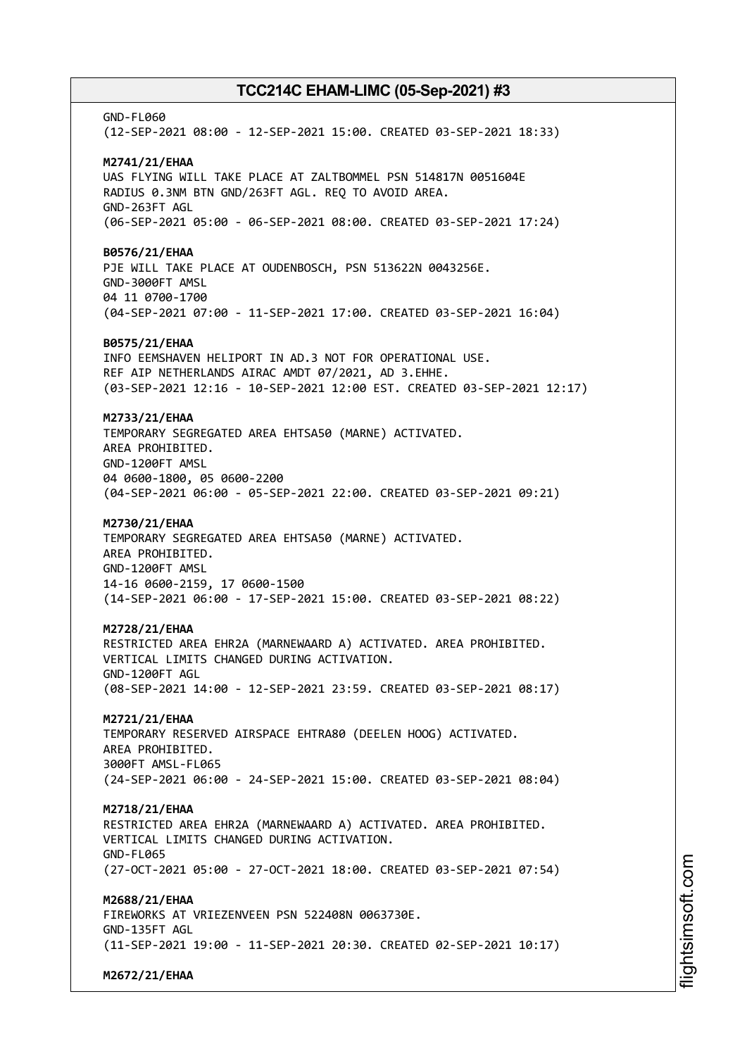GND-FL060 (12-SEP-2021 08:00 - 12-SEP-2021 15:00. CREATED 03-SEP-2021 18:33) **M2741/21/EHAA** UAS FLYING WILL TAKE PLACE AT ZALTBOMMEL PSN 514817N 0051604E RADIUS 0.3NM BTN GND/263FT AGL. REQ TO AVOID AREA. GND-263FT AGL (06-SEP-2021 05:00 - 06-SEP-2021 08:00. CREATED 03-SEP-2021 17:24) **B0576/21/EHAA** PJE WILL TAKE PLACE AT OUDENBOSCH, PSN 513622N 0043256E. GND-3000FT AMSL 04 11 0700-1700 (04-SEP-2021 07:00 - 11-SEP-2021 17:00. CREATED 03-SEP-2021 16:04) **B0575/21/EHAA** INFO EEMSHAVEN HELIPORT IN AD.3 NOT FOR OPERATIONAL USE. REF AIP NETHERLANDS AIRAC AMDT 07/2021, AD 3.EHHE. (03-SEP-2021 12:16 - 10-SEP-2021 12:00 EST. CREATED 03-SEP-2021 12:17) **M2733/21/EHAA** TEMPORARY SEGREGATED AREA EHTSA50 (MARNE) ACTIVATED. AREA PROHIBITED. GND-1200FT AMSL 04 0600-1800, 05 0600-2200 (04-SEP-2021 06:00 - 05-SEP-2021 22:00. CREATED 03-SEP-2021 09:21) **M2730/21/EHAA** TEMPORARY SEGREGATED AREA EHTSA50 (MARNE) ACTIVATED. AREA PROHIBITED. GND-1200FT AMSL 14-16 0600-2159, 17 0600-1500 (14-SEP-2021 06:00 - 17-SEP-2021 15:00. CREATED 03-SEP-2021 08:22) **M2728/21/EHAA** RESTRICTED AREA EHR2A (MARNEWAARD A) ACTIVATED. AREA PROHIBITED. VERTICAL LIMITS CHANGED DURING ACTIVATION. GND-1200FT AGL (08-SEP-2021 14:00 - 12-SEP-2021 23:59. CREATED 03-SEP-2021 08:17) **M2721/21/EHAA** TEMPORARY RESERVED AIRSPACE EHTRA80 (DEELEN HOOG) ACTIVATED. AREA PROHIBITED. 3000FT AMSL-FL065 (24-SEP-2021 06:00 - 24-SEP-2021 15:00. CREATED 03-SEP-2021 08:04) **M2718/21/EHAA** RESTRICTED AREA EHR2A (MARNEWAARD A) ACTIVATED. AREA PROHIBITED. VERTICAL LIMITS CHANGED DURING ACTIVATION. GND-FL065 (27-OCT-2021 05:00 - 27-OCT-2021 18:00. CREATED 03-SEP-2021 07:54) **M2688/21/EHAA** FIREWORKS AT VRIEZENVEEN PSN 522408N 0063730E. GND-135FT AGL (11-SEP-2021 19:00 - 11-SEP-2021 20:30. CREATED 02-SEP-2021 10:17) **M2672/21/EHAA**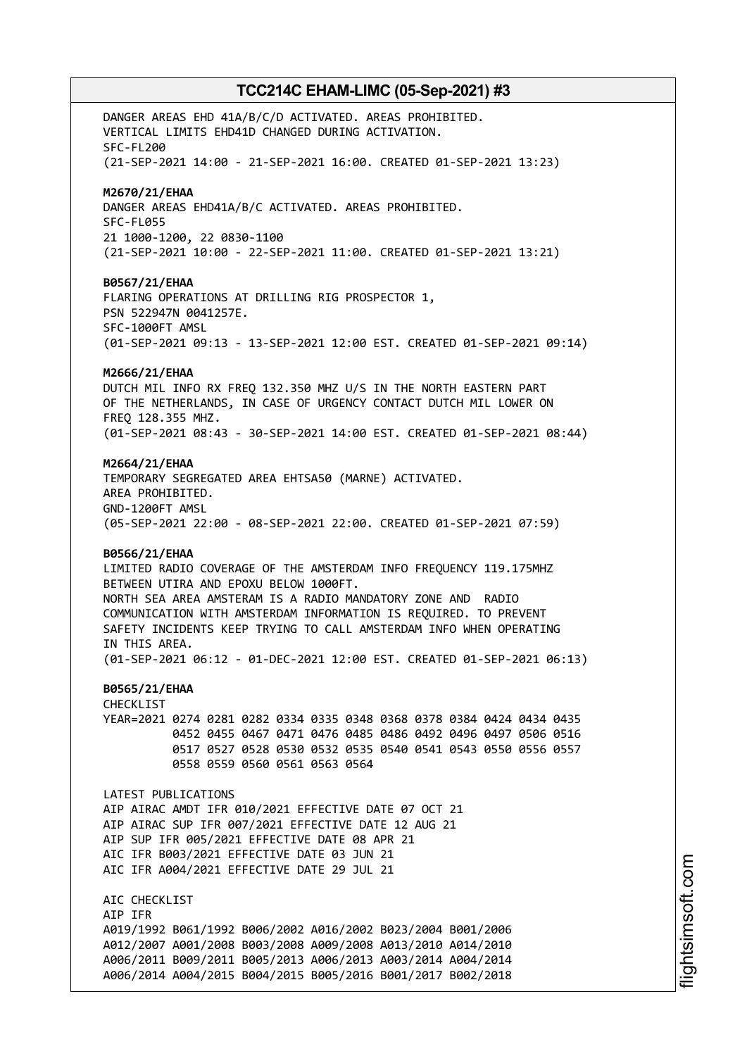DANGER AREAS EHD 41A/B/C/D ACTIVATED. AREAS PROHIBITED. VERTICAL LIMITS EHD41D CHANGED DURING ACTIVATION. SFC-FL200 (21-SEP-2021 14:00 - 21-SEP-2021 16:00. CREATED 01-SEP-2021 13:23) **M2670/21/EHAA** DANGER AREAS EHD41A/B/C ACTIVATED. AREAS PROHIBITED. SFC-FL055 21 1000-1200, 22 0830-1100 (21-SEP-2021 10:00 - 22-SEP-2021 11:00. CREATED 01-SEP-2021 13:21) **B0567/21/EHAA** FLARING OPERATIONS AT DRILLING RIG PROSPECTOR 1, PSN 522947N 0041257E. SFC-1000FT AMSL (01-SEP-2021 09:13 - 13-SEP-2021 12:00 EST. CREATED 01-SEP-2021 09:14) **M2666/21/EHAA** DUTCH MIL INFO RX FREQ 132.350 MHZ U/S IN THE NORTH EASTERN PART OF THE NETHERLANDS, IN CASE OF URGENCY CONTACT DUTCH MIL LOWER ON FREQ 128.355 MHZ. (01-SEP-2021 08:43 - 30-SEP-2021 14:00 EST. CREATED 01-SEP-2021 08:44) **M2664/21/EHAA** TEMPORARY SEGREGATED AREA EHTSA50 (MARNE) ACTIVATED. AREA PROHIBITED. GND-1200FT AMSL (05-SEP-2021 22:00 - 08-SEP-2021 22:00. CREATED 01-SEP-2021 07:59) **B0566/21/EHAA** LIMITED RADIO COVERAGE OF THE AMSTERDAM INFO FREQUENCY 119.175MHZ BETWEEN UTIRA AND EPOXU BELOW 1000FT. NORTH SEA AREA AMSTERAM IS A RADIO MANDATORY ZONE AND RADIO COMMUNICATION WITH AMSTERDAM INFORMATION IS REQUIRED. TO PREVENT SAFETY INCIDENTS KEEP TRYING TO CALL AMSTERDAM INFO WHEN OPERATING IN THIS AREA. (01-SEP-2021 06:12 - 01-DEC-2021 12:00 EST. CREATED 01-SEP-2021 06:13) **B0565/21/EHAA** CHECKLIST YEAR=2021 0274 0281 0282 0334 0335 0348 0368 0378 0384 0424 0434 0435 0452 0455 0467 0471 0476 0485 0486 0492 0496 0497 0506 0516 0517 0527 0528 0530 0532 0535 0540 0541 0543 0550 0556 0557 0558 0559 0560 0561 0563 0564 LATEST PUBLICATIONS AIP AIRAC AMDT IFR 010/2021 EFFECTIVE DATE 07 OCT 21 AIP AIRAC SUP IFR 007/2021 EFFECTIVE DATE 12 AUG 21 AIP SUP IFR 005/2021 EFFECTIVE DATE 08 APR 21 AIC IFR B003/2021 EFFECTIVE DATE 03 JUN 21 AIC IFR A004/2021 EFFECTIVE DATE 29 JUL 21 AIC CHECKLIST AIP IFR A019/1992 B061/1992 B006/2002 A016/2002 B023/2004 B001/2006 A012/2007 A001/2008 B003/2008 A009/2008 A013/2010 A014/2010 A006/2011 B009/2011 B005/2013 A006/2013 A003/2014 A004/2014 A006/2014 A004/2015 B004/2015 B005/2016 B001/2017 B002/2018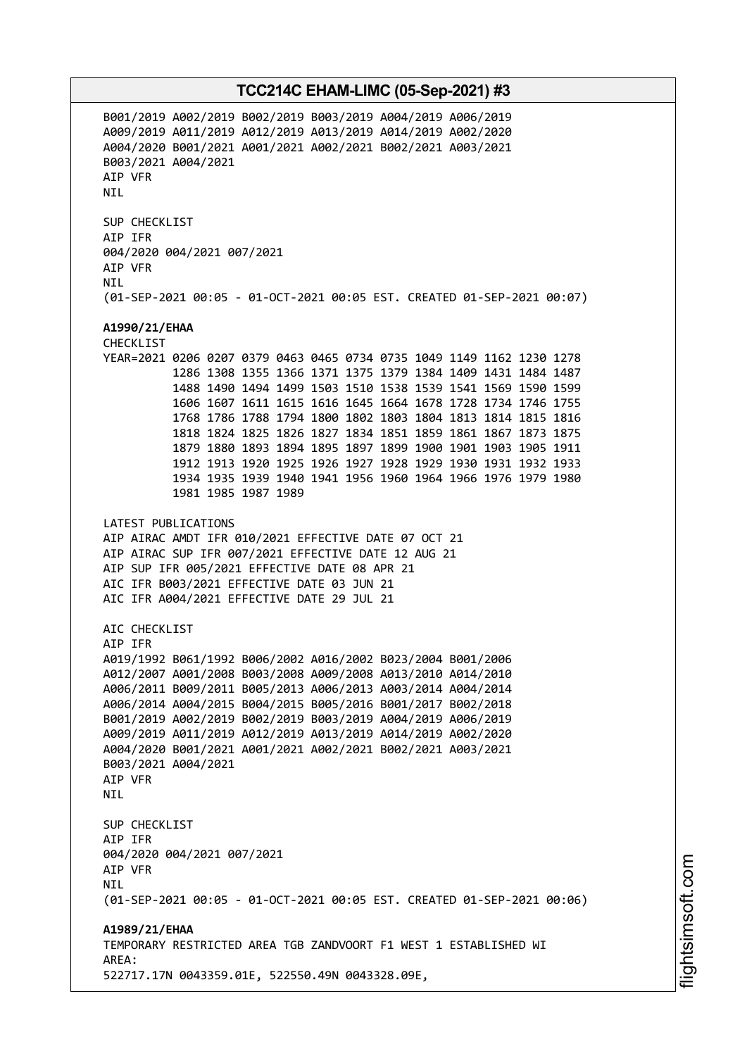B001/2019 A002/2019 B002/2019 B003/2019 A004/2019 A006/2019 A009/2019 A011/2019 A012/2019 A013/2019 A014/2019 A002/2020 A004/2020 B001/2021 A001/2021 A002/2021 B002/2021 A003/2021 B003/2021 A004/2021 AIP VFR NIL SUP CHECKLIST AIP IFR 004/2020 004/2021 007/2021 AIP VFR **NTI** (01-SEP-2021 00:05 - 01-OCT-2021 00:05 EST. CREATED 01-SEP-2021 00:07) **A1990/21/EHAA** CHECKLIST YEAR=2021 0206 0207 0379 0463 0465 0734 0735 1049 1149 1162 1230 1278 1286 1308 1355 1366 1371 1375 1379 1384 1409 1431 1484 1487 1488 1490 1494 1499 1503 1510 1538 1539 1541 1569 1590 1599 1606 1607 1611 1615 1616 1645 1664 1678 1728 1734 1746 1755 1768 1786 1788 1794 1800 1802 1803 1804 1813 1814 1815 1816 1818 1824 1825 1826 1827 1834 1851 1859 1861 1867 1873 1875 1879 1880 1893 1894 1895 1897 1899 1900 1901 1903 1905 1911 1912 1913 1920 1925 1926 1927 1928 1929 1930 1931 1932 1933 1934 1935 1939 1940 1941 1956 1960 1964 1966 1976 1979 1980 1981 1985 1987 1989 LATEST PUBLICATIONS AIP AIRAC AMDT IFR 010/2021 EFFECTIVE DATE 07 OCT 21 AIP AIRAC SUP IFR 007/2021 EFFECTIVE DATE 12 AUG 21 AIP SUP IFR 005/2021 EFFECTIVE DATE 08 APR 21 AIC IFR B003/2021 EFFECTIVE DATE 03 JUN 21 AIC IFR A004/2021 EFFECTIVE DATE 29 JUL 21 AIC CHECKLIST AIP IFR A019/1992 B061/1992 B006/2002 A016/2002 B023/2004 B001/2006 A012/2007 A001/2008 B003/2008 A009/2008 A013/2010 A014/2010 A006/2011 B009/2011 B005/2013 A006/2013 A003/2014 A004/2014 A006/2014 A004/2015 B004/2015 B005/2016 B001/2017 B002/2018 B001/2019 A002/2019 B002/2019 B003/2019 A004/2019 A006/2019 A009/2019 A011/2019 A012/2019 A013/2019 A014/2019 A002/2020 A004/2020 B001/2021 A001/2021 A002/2021 B002/2021 A003/2021 B003/2021 A004/2021 AIP VFR **NTL** SUP CHECKLIST AIP IFR 004/2020 004/2021 007/2021 AIP VFR **NTL** (01-SEP-2021 00:05 - 01-OCT-2021 00:05 EST. CREATED 01-SEP-2021 00:06) **A1989/21/EHAA** TEMPORARY RESTRICTED AREA TGB ZANDVOORT F1 WEST 1 ESTABLISHED WI AREA: 522717.17N 0043359.01E, 522550.49N 0043328.09E,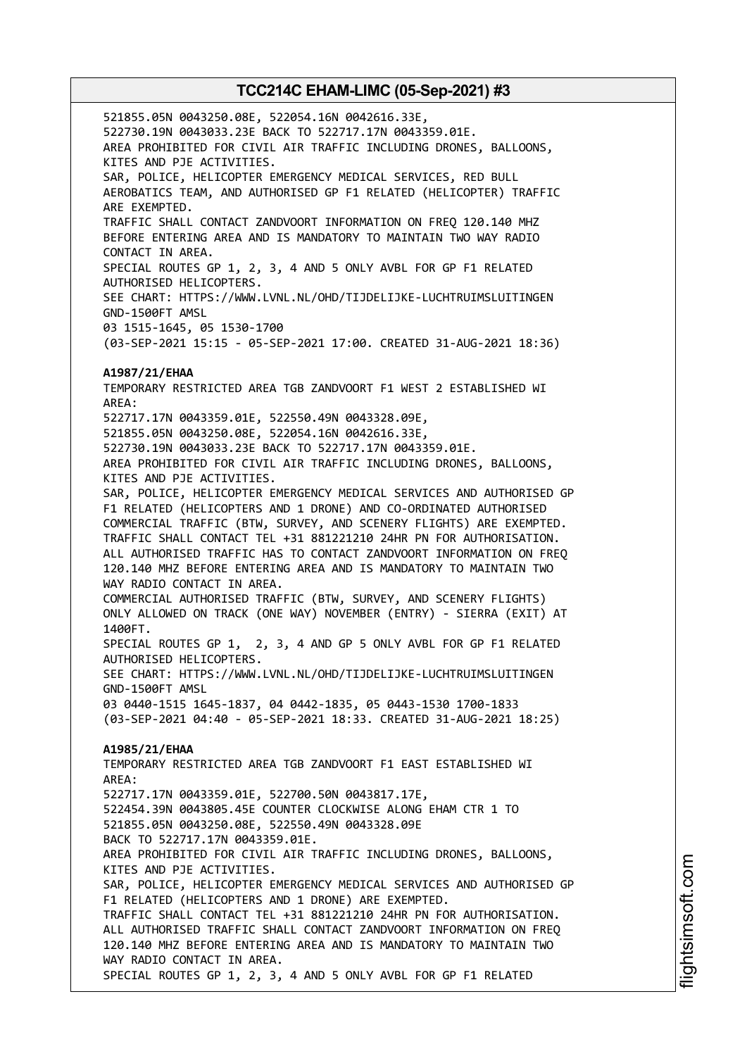521855.05N 0043250.08E, 522054.16N 0042616.33E, 522730.19N 0043033.23E BACK TO 522717.17N 0043359.01E. AREA PROHIBITED FOR CIVIL AIR TRAFFIC INCLUDING DRONES, BALLOONS, KITES AND PJE ACTIVITIES. SAR, POLICE, HELICOPTER EMERGENCY MEDICAL SERVICES, RED BULL AEROBATICS TEAM, AND AUTHORISED GP F1 RELATED (HELICOPTER) TRAFFIC ARE EXEMPTED. TRAFFIC SHALL CONTACT ZANDVOORT INFORMATION ON FREQ 120.140 MHZ BEFORE ENTERING AREA AND IS MANDATORY TO MAINTAIN TWO WAY RADIO CONTACT IN AREA. SPECIAL ROUTES GP 1, 2, 3, 4 AND 5 ONLY AVBL FOR GP F1 RELATED AUTHORISED HELICOPTERS. SEE CHART: HTTPS://WWW.LVNL.NL/OHD/TIJDELIJKE-LUCHTRUIMSLUITINGEN GND-1500FT AMSL 03 1515-1645, 05 1530-1700 (03-SEP-2021 15:15 - 05-SEP-2021 17:00. CREATED 31-AUG-2021 18:36) **A1987/21/EHAA** TEMPORARY RESTRICTED AREA TGB ZANDVOORT F1 WEST 2 ESTABLISHED WI AREA: 522717.17N 0043359.01E, 522550.49N 0043328.09E, 521855.05N 0043250.08E, 522054.16N 0042616.33E, 522730.19N 0043033.23E BACK TO 522717.17N 0043359.01E. AREA PROHIBITED FOR CIVIL AIR TRAFFIC INCLUDING DRONES, BALLOONS, KITES AND PJE ACTIVITIES. SAR, POLICE, HELICOPTER EMERGENCY MEDICAL SERVICES AND AUTHORISED GP F1 RELATED (HELICOPTERS AND 1 DRONE) AND CO-ORDINATED AUTHORISED COMMERCIAL TRAFFIC (BTW, SURVEY, AND SCENERY FLIGHTS) ARE EXEMPTED. TRAFFIC SHALL CONTACT TEL +31 881221210 24HR PN FOR AUTHORISATION. ALL AUTHORISED TRAFFIC HAS TO CONTACT ZANDVOORT INFORMATION ON FREQ 120.140 MHZ BEFORE ENTERING AREA AND IS MANDATORY TO MAINTAIN TWO WAY RADIO CONTACT IN AREA. COMMERCIAL AUTHORISED TRAFFIC (BTW, SURVEY, AND SCENERY FLIGHTS) ONLY ALLOWED ON TRACK (ONE WAY) NOVEMBER (ENTRY) - SIERRA (EXIT) AT 1400FT. SPECIAL ROUTES GP 1, 2, 3, 4 AND GP 5 ONLY AVBL FOR GP F1 RELATED AUTHORISED HELICOPTERS. SEE CHART: HTTPS://WWW.LVNL.NL/OHD/TIJDELIJKE-LUCHTRUIMSLUITINGEN GND-1500FT AMSL 03 0440-1515 1645-1837, 04 0442-1835, 05 0443-1530 1700-1833 (03-SEP-2021 04:40 - 05-SEP-2021 18:33. CREATED 31-AUG-2021 18:25) **A1985/21/EHAA** TEMPORARY RESTRICTED AREA TGB ZANDVOORT F1 EAST ESTABLISHED WI AREA: 522717.17N 0043359.01E, 522700.50N 0043817.17E, 522454.39N 0043805.45E COUNTER CLOCKWISE ALONG EHAM CTR 1 TO 521855.05N 0043250.08E, 522550.49N 0043328.09E BACK TO 522717.17N 0043359.01E. AREA PROHIBITED FOR CIVIL AIR TRAFFIC INCLUDING DRONES, BALLOONS, KITES AND PJE ACTIVITIES. SAR, POLICE, HELICOPTER EMERGENCY MEDICAL SERVICES AND AUTHORISED GP F1 RELATED (HELICOPTERS AND 1 DRONE) ARE EXEMPTED. TRAFFIC SHALL CONTACT TEL +31 881221210 24HR PN FOR AUTHORISATION. ALL AUTHORISED TRAFFIC SHALL CONTACT ZANDVOORT INFORMATION ON FREQ 120.140 MHZ BEFORE ENTERING AREA AND IS MANDATORY TO MAINTAIN TWO WAY RADIO CONTACT IN AREA. SPECIAL ROUTES GP 1, 2, 3, 4 AND 5 ONLY AVBL FOR GP F1 RELATED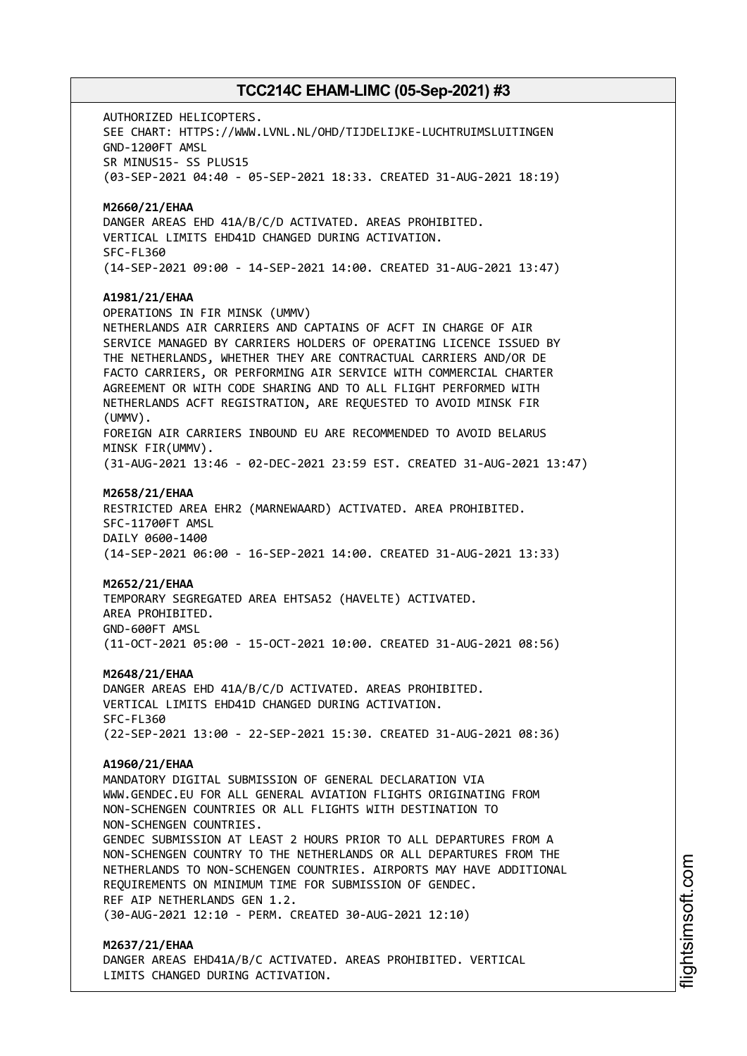AUTHORIZED HELICOPTERS. SEE CHART: HTTPS://WWW.LVNL.NL/OHD/TIJDELIJKE-LUCHTRUIMSLUITINGEN GND-1200FT AMSL SR MINUS15- SS PLUS15 (03-SEP-2021 04:40 - 05-SEP-2021 18:33. CREATED 31-AUG-2021 18:19) **M2660/21/EHAA** DANGER AREAS EHD 41A/B/C/D ACTIVATED. AREAS PROHIBITED. VERTICAL LIMITS EHD41D CHANGED DURING ACTIVATION. SFC-FL360 (14-SEP-2021 09:00 - 14-SEP-2021 14:00. CREATED 31-AUG-2021 13:47) **A1981/21/EHAA** OPERATIONS IN FIR MINSK (UMMV) NETHERLANDS AIR CARRIERS AND CAPTAINS OF ACFT IN CHARGE OF AIR SERVICE MANAGED BY CARRIERS HOLDERS OF OPERATING LICENCE ISSUED BY THE NETHERLANDS, WHETHER THEY ARE CONTRACTUAL CARRIERS AND/OR DE FACTO CARRIERS, OR PERFORMING AIR SERVICE WITH COMMERCIAL CHARTER AGREEMENT OR WITH CODE SHARING AND TO ALL FLIGHT PERFORMED WITH NETHERLANDS ACFT REGISTRATION, ARE REQUESTED TO AVOID MINSK FIR (UMMV). FOREIGN AIR CARRIERS INBOUND EU ARE RECOMMENDED TO AVOID BELARUS MINSK FIR(UMMV). (31-AUG-2021 13:46 - 02-DEC-2021 23:59 EST. CREATED 31-AUG-2021 13:47) **M2658/21/EHAA** RESTRICTED AREA EHR2 (MARNEWAARD) ACTIVATED. AREA PROHIBITED. SFC-11700FT AMSL DAILY 0600-1400 (14-SEP-2021 06:00 - 16-SEP-2021 14:00. CREATED 31-AUG-2021 13:33) **M2652/21/EHAA** TEMPORARY SEGREGATED AREA EHTSA52 (HAVELTE) ACTIVATED. AREA PROHIBITED. GND-600FT AMSL (11-OCT-2021 05:00 - 15-OCT-2021 10:00. CREATED 31-AUG-2021 08:56) **M2648/21/EHAA** DANGER AREAS EHD 41A/B/C/D ACTIVATED. AREAS PROHIBITED. VERTICAL LIMITS EHD41D CHANGED DURING ACTIVATION. SFC-FL360 (22-SEP-2021 13:00 - 22-SEP-2021 15:30. CREATED 31-AUG-2021 08:36) **A1960/21/EHAA** MANDATORY DIGITAL SUBMISSION OF GENERAL DECLARATION VIA WWW.GENDEC.EU FOR ALL GENERAL AVIATION FLIGHTS ORIGINATING FROM NON-SCHENGEN COUNTRIES OR ALL FLIGHTS WITH DESTINATION TO NON-SCHENGEN COUNTRIES. GENDEC SUBMISSION AT LEAST 2 HOURS PRIOR TO ALL DEPARTURES FROM A NON-SCHENGEN COUNTRY TO THE NETHERLANDS OR ALL DEPARTURES FROM THE NETHERLANDS TO NON-SCHENGEN COUNTRIES. AIRPORTS MAY HAVE ADDITIONAL REQUIREMENTS ON MINIMUM TIME FOR SUBMISSION OF GENDEC. REF AIP NETHERLANDS GEN 1.2. (30-AUG-2021 12:10 - PERM. CREATED 30-AUG-2021 12:10) **M2637/21/EHAA**

DANGER AREAS EHD41A/B/C ACTIVATED. AREAS PROHIBITED. VERTICAL LIMITS CHANGED DURING ACTIVATION.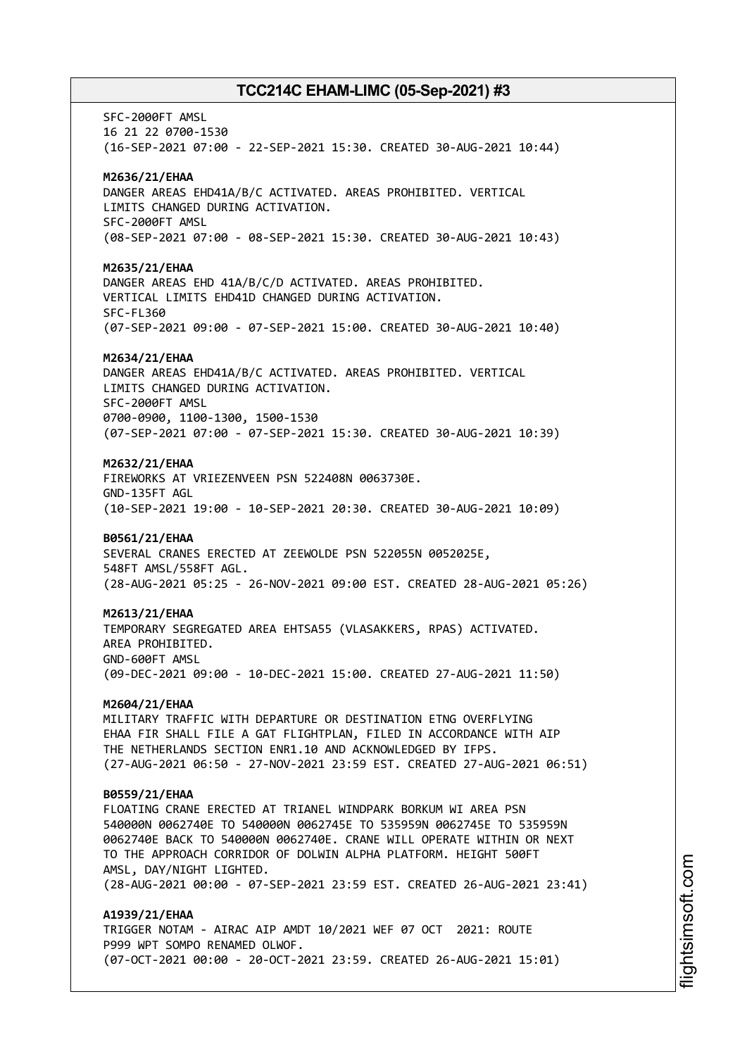SFC-2000FT AMSL 16 21 22 0700-1530 (16-SEP-2021 07:00 - 22-SEP-2021 15:30. CREATED 30-AUG-2021 10:44) **M2636/21/EHAA** DANGER AREAS EHD41A/B/C ACTIVATED. AREAS PROHIBITED. VERTICAL LIMITS CHANGED DURING ACTIVATION. SFC-2000FT AMSL (08-SEP-2021 07:00 - 08-SEP-2021 15:30. CREATED 30-AUG-2021 10:43) **M2635/21/EHAA** DANGER AREAS EHD 41A/B/C/D ACTIVATED. AREAS PROHIBITED. VERTICAL LIMITS EHD41D CHANGED DURING ACTIVATION. SFC-FL360 (07-SEP-2021 09:00 - 07-SEP-2021 15:00. CREATED 30-AUG-2021 10:40) **M2634/21/EHAA** DANGER AREAS EHD41A/B/C ACTIVATED. AREAS PROHIBITED. VERTICAL LIMITS CHANGED DURING ACTIVATION. SFC-2000FT AMSL 0700-0900, 1100-1300, 1500-1530 (07-SEP-2021 07:00 - 07-SEP-2021 15:30. CREATED 30-AUG-2021 10:39) **M2632/21/EHAA** FIREWORKS AT VRIEZENVEEN PSN 522408N 0063730E. GND-135FT AGL (10-SEP-2021 19:00 - 10-SEP-2021 20:30. CREATED 30-AUG-2021 10:09) **B0561/21/EHAA** SEVERAL CRANES ERECTED AT ZEEWOLDE PSN 522055N 0052025E, 548FT AMSL/558FT AGL. (28-AUG-2021 05:25 - 26-NOV-2021 09:00 EST. CREATED 28-AUG-2021 05:26) **M2613/21/EHAA** TEMPORARY SEGREGATED AREA EHTSA55 (VLASAKKERS, RPAS) ACTIVATED. AREA PROHIBITED. GND-600FT AMSL (09-DEC-2021 09:00 - 10-DEC-2021 15:00. CREATED 27-AUG-2021 11:50) **M2604/21/EHAA** MILITARY TRAFFIC WITH DEPARTURE OR DESTINATION ETNG OVERFLYING EHAA FIR SHALL FILE A GAT FLIGHTPLAN, FILED IN ACCORDANCE WITH AIP THE NETHERLANDS SECTION ENR1.10 AND ACKNOWLEDGED BY IFPS. (27-AUG-2021 06:50 - 27-NOV-2021 23:59 EST. CREATED 27-AUG-2021 06:51) **B0559/21/EHAA** FLOATING CRANE ERECTED AT TRIANEL WINDPARK BORKUM WI AREA PSN 540000N 0062740E TO 540000N 0062745E TO 535959N 0062745E TO 535959N 0062740E BACK TO 540000N 0062740E. CRANE WILL OPERATE WITHIN OR NEXT TO THE APPROACH CORRIDOR OF DOLWIN ALPHA PLATFORM. HEIGHT 500FT AMSL, DAY/NIGHT LIGHTED. (28-AUG-2021 00:00 - 07-SEP-2021 23:59 EST. CREATED 26-AUG-2021 23:41) **A1939/21/EHAA** TRIGGER NOTAM - AIRAC AIP AMDT 10/2021 WEF 07 OCT 2021: ROUTE

P999 WPT SOMPO RENAMED OLWOF. (07-OCT-2021 00:00 - 20-OCT-2021 23:59. CREATED 26-AUG-2021 15:01)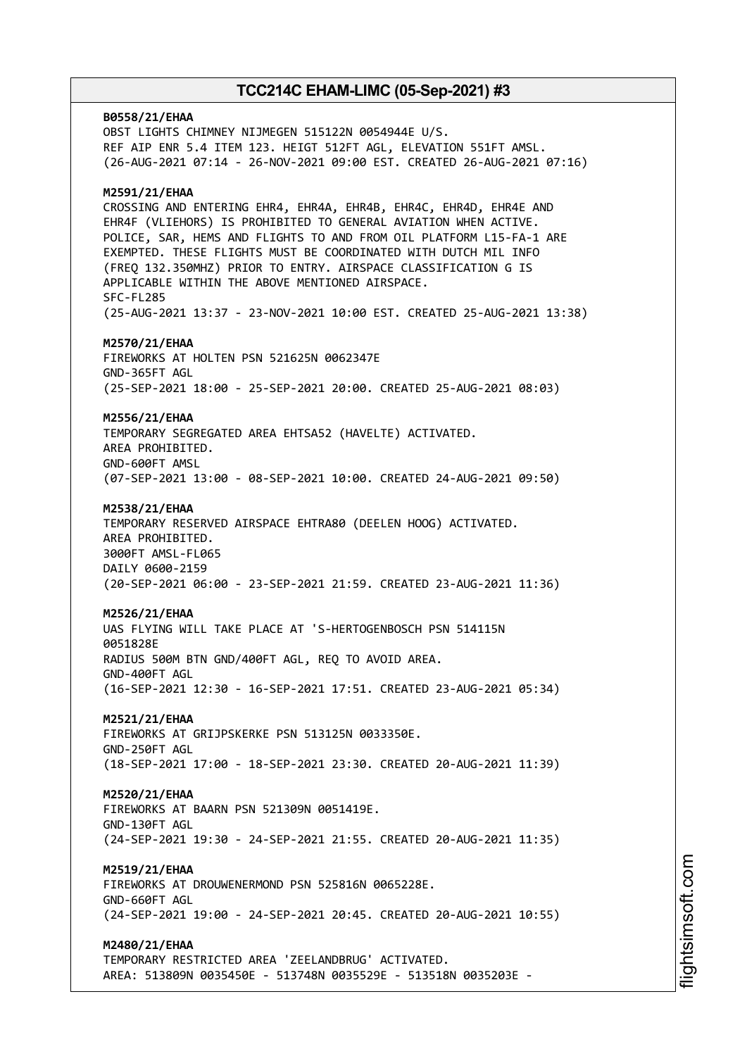**B0558/21/EHAA** OBST LIGHTS CHIMNEY NIJMEGEN 515122N 0054944E U/S. REF AIP ENR 5.4 ITEM 123. HEIGT 512FT AGL, ELEVATION 551FT AMSL. (26-AUG-2021 07:14 - 26-NOV-2021 09:00 EST. CREATED 26-AUG-2021 07:16) **M2591/21/EHAA** CROSSING AND ENTERING EHR4, EHR4A, EHR4B, EHR4C, EHR4D, EHR4E AND EHR4F (VLIEHORS) IS PROHIBITED TO GENERAL AVIATION WHEN ACTIVE. POLICE, SAR, HEMS AND FLIGHTS TO AND FROM OIL PLATFORM L15-FA-1 ARE EXEMPTED. THESE FLIGHTS MUST BE COORDINATED WITH DUTCH MIL INFO (FREQ 132.350MHZ) PRIOR TO ENTRY. AIRSPACE CLASSIFICATION G IS APPLICABLE WITHIN THE ABOVE MENTIONED AIRSPACE. SFC-FL285 (25-AUG-2021 13:37 - 23-NOV-2021 10:00 EST. CREATED 25-AUG-2021 13:38) **M2570/21/EHAA** FIREWORKS AT HOLTEN PSN 521625N 0062347E GND-365FT AGL (25-SEP-2021 18:00 - 25-SEP-2021 20:00. CREATED 25-AUG-2021 08:03) **M2556/21/EHAA** TEMPORARY SEGREGATED AREA EHTSA52 (HAVELTE) ACTIVATED. AREA PROHIBITED. GND-600FT AMSL (07-SEP-2021 13:00 - 08-SEP-2021 10:00. CREATED 24-AUG-2021 09:50) **M2538/21/EHAA** TEMPORARY RESERVED AIRSPACE EHTRA80 (DEELEN HOOG) ACTIVATED. AREA PROHIBITED. 3000FT AMSL-FL065 DAILY 0600-2159 (20-SEP-2021 06:00 - 23-SEP-2021 21:59. CREATED 23-AUG-2021 11:36) **M2526/21/EHAA** UAS FLYING WILL TAKE PLACE AT 'S-HERTOGENBOSCH PSN 514115N 0051828E RADIUS 500M BTN GND/400FT AGL, REQ TO AVOID AREA. GND-400FT AGL (16-SEP-2021 12:30 - 16-SEP-2021 17:51. CREATED 23-AUG-2021 05:34) **M2521/21/EHAA** FIREWORKS AT GRIJPSKERKE PSN 513125N 0033350E. GND-250FT AGL (18-SEP-2021 17:00 - 18-SEP-2021 23:30. CREATED 20-AUG-2021 11:39) **M2520/21/EHAA** FIREWORKS AT BAARN PSN 521309N 0051419E. GND-130FT AGL (24-SEP-2021 19:30 - 24-SEP-2021 21:55. CREATED 20-AUG-2021 11:35) **M2519/21/EHAA** FIREWORKS AT DROUWENERMOND PSN 525816N 0065228E. GND-660FT AGL (24-SEP-2021 19:00 - 24-SEP-2021 20:45. CREATED 20-AUG-2021 10:55) **M2480/21/EHAA** TEMPORARY RESTRICTED AREA 'ZEELANDBRUG' ACTIVATED. AREA: 513809N 0035450E - 513748N 0035529E - 513518N 0035203E -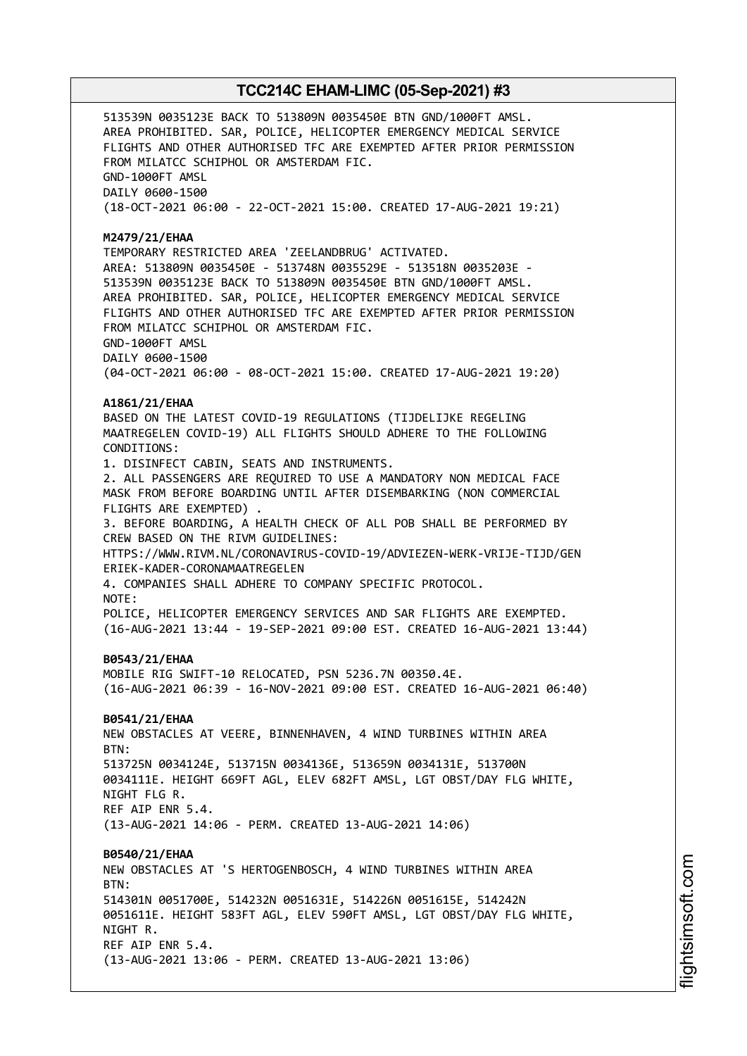513539N 0035123E BACK TO 513809N 0035450E BTN GND/1000FT AMSL. AREA PROHIBITED. SAR, POLICE, HELICOPTER EMERGENCY MEDICAL SERVICE FLIGHTS AND OTHER AUTHORISED TFC ARE EXEMPTED AFTER PRIOR PERMISSION FROM MILATCC SCHIPHOL OR AMSTERDAM FIC. GND-1000FT AMSL DAILY 0600-1500 (18-OCT-2021 06:00 - 22-OCT-2021 15:00. CREATED 17-AUG-2021 19:21) **M2479/21/EHAA** TEMPORARY RESTRICTED AREA 'ZEELANDBRUG' ACTIVATED. AREA: 513809N 0035450E - 513748N 0035529E - 513518N 0035203E - 513539N 0035123E BACK TO 513809N 0035450E BTN GND/1000FT AMSL. AREA PROHIBITED. SAR, POLICE, HELICOPTER EMERGENCY MEDICAL SERVICE FLIGHTS AND OTHER AUTHORISED TFC ARE EXEMPTED AFTER PRIOR PERMISSION FROM MILATCC SCHIPHOL OR AMSTERDAM FIC. GND-1000FT AMSL DAILY 0600-1500 (04-OCT-2021 06:00 - 08-OCT-2021 15:00. CREATED 17-AUG-2021 19:20) **A1861/21/EHAA** BASED ON THE LATEST COVID-19 REGULATIONS (TIJDELIJKE REGELING MAATREGELEN COVID-19) ALL FLIGHTS SHOULD ADHERE TO THE FOLLOWING CONDITIONS: 1. DISINFECT CABIN, SEATS AND INSTRUMENTS. 2. ALL PASSENGERS ARE REQUIRED TO USE A MANDATORY NON MEDICAL FACE MASK FROM BEFORE BOARDING UNTIL AFTER DISEMBARKING (NON COMMERCIAL FLIGHTS ARE EXEMPTED) . 3. BEFORE BOARDING, A HEALTH CHECK OF ALL POB SHALL BE PERFORMED BY CREW BASED ON THE RIVM GUIDELINES: HTTPS://WWW.RIVM.NL/CORONAVIRUS-COVID-19/ADVIEZEN-WERK-VRIJE-TIJD/GEN ERIEK-KADER-CORONAMAATREGELEN 4. COMPANIES SHALL ADHERE TO COMPANY SPECIFIC PROTOCOL. NOTE: POLICE, HELICOPTER EMERGENCY SERVICES AND SAR FLIGHTS ARE EXEMPTED. (16-AUG-2021 13:44 - 19-SEP-2021 09:00 EST. CREATED 16-AUG-2021 13:44) **B0543/21/EHAA** MOBILE RIG SWIFT-10 RELOCATED, PSN 5236.7N 00350.4E. (16-AUG-2021 06:39 - 16-NOV-2021 09:00 EST. CREATED 16-AUG-2021 06:40) **B0541/21/EHAA** NEW OBSTACLES AT VEERE, BINNENHAVEN, 4 WIND TURBINES WITHIN AREA BTN: 513725N 0034124E, 513715N 0034136E, 513659N 0034131E, 513700N 0034111E. HEIGHT 669FT AGL, ELEV 682FT AMSL, LGT OBST/DAY FLG WHITE, NIGHT FLG R. REF AIP ENR 5.4. (13-AUG-2021 14:06 - PERM. CREATED 13-AUG-2021 14:06) **B0540/21/EHAA** NEW OBSTACLES AT 'S HERTOGENBOSCH, 4 WIND TURBINES WITHIN AREA  $RTN$ 514301N 0051700E, 514232N 0051631E, 514226N 0051615E, 514242N 0051611E. HEIGHT 583FT AGL, ELEV 590FT AMSL, LGT OBST/DAY FLG WHITE, NIGHT R. REF AIP ENR 5.4. (13-AUG-2021 13:06 - PERM. CREATED 13-AUG-2021 13:06)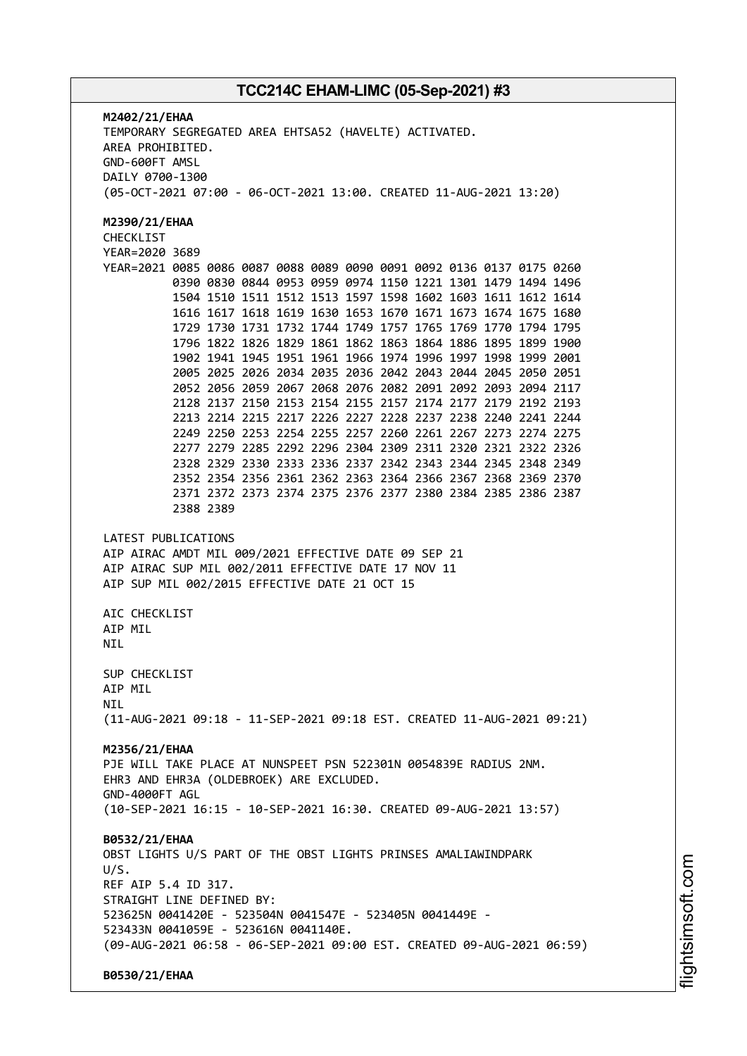**M2402/21/EHAA** TEMPORARY SEGREGATED AREA EHTSA52 (HAVELTE) ACTIVATED. AREA PROHIBITED. GND-600FT AMSL DAILY 0700-1300 (05-OCT-2021 07:00 - 06-OCT-2021 13:00. CREATED 11-AUG-2021 13:20) **M2390/21/EHAA** CHECKLIST YEAR=2020 3689 YEAR=2021 0085 0086 0087 0088 0089 0090 0091 0092 0136 0137 0175 0260 0390 0830 0844 0953 0959 0974 1150 1221 1301 1479 1494 1496 1504 1510 1511 1512 1513 1597 1598 1602 1603 1611 1612 1614 1616 1617 1618 1619 1630 1653 1670 1671 1673 1674 1675 1680 1729 1730 1731 1732 1744 1749 1757 1765 1769 1770 1794 1795 1796 1822 1826 1829 1861 1862 1863 1864 1886 1895 1899 1900 1902 1941 1945 1951 1961 1966 1974 1996 1997 1998 1999 2001 2005 2025 2026 2034 2035 2036 2042 2043 2044 2045 2050 2051 2052 2056 2059 2067 2068 2076 2082 2091 2092 2093 2094 2117 2128 2137 2150 2153 2154 2155 2157 2174 2177 2179 2192 2193 2213 2214 2215 2217 2226 2227 2228 2237 2238 2240 2241 2244 2249 2250 2253 2254 2255 2257 2260 2261 2267 2273 2274 2275 2277 2279 2285 2292 2296 2304 2309 2311 2320 2321 2322 2326 2328 2329 2330 2333 2336 2337 2342 2343 2344 2345 2348 2349 2352 2354 2356 2361 2362 2363 2364 2366 2367 2368 2369 2370 2371 2372 2373 2374 2375 2376 2377 2380 2384 2385 2386 2387 2388 2389 LATEST PUBLICATIONS AIP AIRAC AMDT MIL 009/2021 EFFECTIVE DATE 09 SEP 21 AIP AIRAC SUP MIL 002/2011 EFFECTIVE DATE 17 NOV 11 AIP SUP MIL 002/2015 EFFECTIVE DATE 21 OCT 15 AIC CHECKLIST AIP MIL **NTI** SUP CHECKLIST AIP MIL **NTI** (11-AUG-2021 09:18 - 11-SEP-2021 09:18 EST. CREATED 11-AUG-2021 09:21) **M2356/21/EHAA** PJE WILL TAKE PLACE AT NUNSPEET PSN 522301N 0054839E RADIUS 2NM. EHR3 AND EHR3A (OLDEBROEK) ARE EXCLUDED. GND-4000FT AGL (10-SEP-2021 16:15 - 10-SEP-2021 16:30. CREATED 09-AUG-2021 13:57) **B0532/21/EHAA** OBST LIGHTS U/S PART OF THE OBST LIGHTS PRINSES AMALIAWINDPARK U/S. REF AIP 5.4 ID 317. STRAIGHT LINE DEFINED BY: 523625N 0041420E - 523504N 0041547E - 523405N 0041449E - 523433N 0041059E - 523616N 0041140E. (09-AUG-2021 06:58 - 06-SEP-2021 09:00 EST. CREATED 09-AUG-2021 06:59) **B0530/21/EHAA**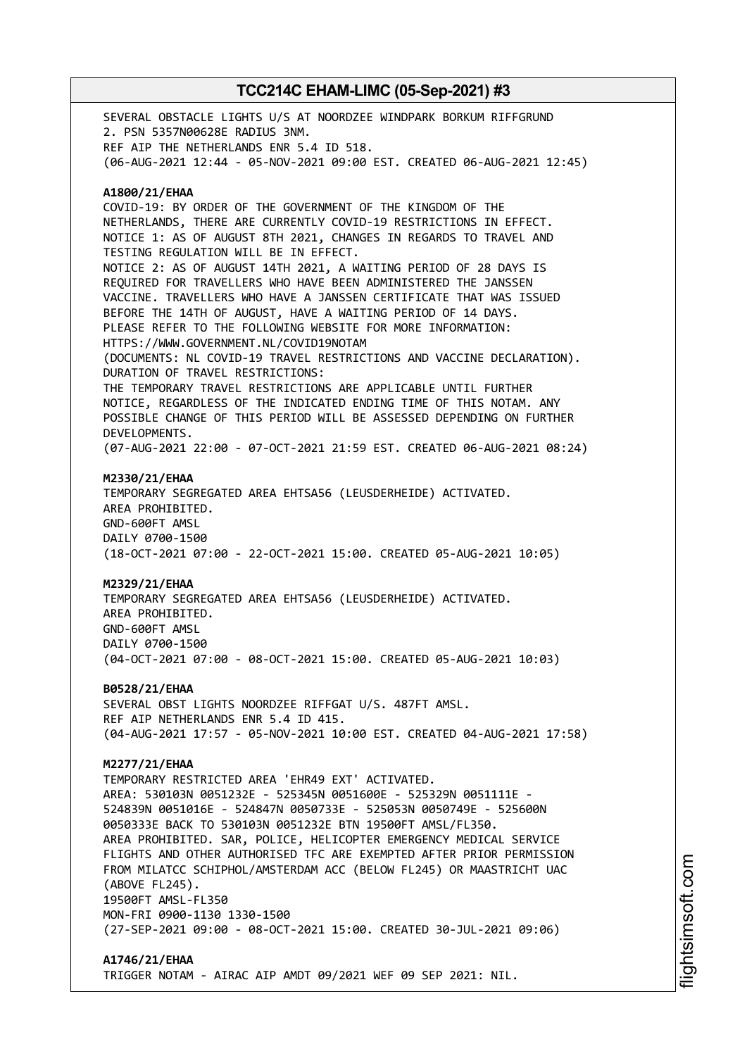SEVERAL OBSTACLE LIGHTS U/S AT NOORDZEE WINDPARK BORKUM RIFFGRUND 2. PSN 5357N00628E RADIUS 3NM. REF AIP THE NETHERLANDS ENR 5.4 ID 518. (06-AUG-2021 12:44 - 05-NOV-2021 09:00 EST. CREATED 06-AUG-2021 12:45) **A1800/21/EHAA** COVID-19: BY ORDER OF THE GOVERNMENT OF THE KINGDOM OF THE NETHERLANDS, THERE ARE CURRENTLY COVID-19 RESTRICTIONS IN EFFECT. NOTICE 1: AS OF AUGUST 8TH 2021, CHANGES IN REGARDS TO TRAVEL AND TESTING REGULATION WILL BE IN EFFECT. NOTICE 2: AS OF AUGUST 14TH 2021, A WAITING PERIOD OF 28 DAYS IS REQUIRED FOR TRAVELLERS WHO HAVE BEEN ADMINISTERED THE JANSSEN VACCINE. TRAVELLERS WHO HAVE A JANSSEN CERTIFICATE THAT WAS ISSUED BEFORE THE 14TH OF AUGUST, HAVE A WAITING PERIOD OF 14 DAYS. PLEASE REFER TO THE FOLLOWING WEBSITE FOR MORE INFORMATION: HTTPS://WWW.GOVERNMENT.NL/COVID19NOTAM (DOCUMENTS: NL COVID-19 TRAVEL RESTRICTIONS AND VACCINE DECLARATION). DURATION OF TRAVEL RESTRICTIONS: THE TEMPORARY TRAVEL RESTRICTIONS ARE APPLICABLE UNTIL FURTHER NOTICE, REGARDLESS OF THE INDICATED ENDING TIME OF THIS NOTAM. ANY POSSIBLE CHANGE OF THIS PERIOD WILL BE ASSESSED DEPENDING ON FURTHER DEVELOPMENTS. (07-AUG-2021 22:00 - 07-OCT-2021 21:59 EST. CREATED 06-AUG-2021 08:24) **M2330/21/EHAA** TEMPORARY SEGREGATED AREA EHTSA56 (LEUSDERHEIDE) ACTIVATED. AREA PROHIBITED. GND-600FT AMSL DAILY 0700-1500 (18-OCT-2021 07:00 - 22-OCT-2021 15:00. CREATED 05-AUG-2021 10:05) **M2329/21/EHAA** TEMPORARY SEGREGATED AREA EHTSA56 (LEUSDERHEIDE) ACTIVATED. AREA PROHIBITED. GND-600FT AMSL DAILY 0700-1500 (04-OCT-2021 07:00 - 08-OCT-2021 15:00. CREATED 05-AUG-2021 10:03) **B0528/21/EHAA** SEVERAL OBST LIGHTS NOORDZEE RIFFGAT U/S. 487FT AMSL. REF AIP NETHERLANDS ENR 5.4 ID 415. (04-AUG-2021 17:57 - 05-NOV-2021 10:00 EST. CREATED 04-AUG-2021 17:58) **M2277/21/EHAA** TEMPORARY RESTRICTED AREA 'EHR49 EXT' ACTIVATED. AREA: 530103N 0051232E - 525345N 0051600E - 525329N 0051111E - 524839N 0051016E - 524847N 0050733E - 525053N 0050749E - 525600N 0050333E BACK TO 530103N 0051232E BTN 19500FT AMSL/FL350. AREA PROHIBITED. SAR, POLICE, HELICOPTER EMERGENCY MEDICAL SERVICE FLIGHTS AND OTHER AUTHORISED TFC ARE EXEMPTED AFTER PRIOR PERMISSION FROM MILATCC SCHIPHOL/AMSTERDAM ACC (BELOW FL245) OR MAASTRICHT UAC (ABOVE FL245). 19500FT AMSL-FL350 MON-FRI 0900-1130 1330-1500 (27-SEP-2021 09:00 - 08-OCT-2021 15:00. CREATED 30-JUL-2021 09:06) **A1746/21/EHAA**

TRIGGER NOTAM - AIRAC AIP AMDT 09/2021 WEF 09 SEP 2021: NIL.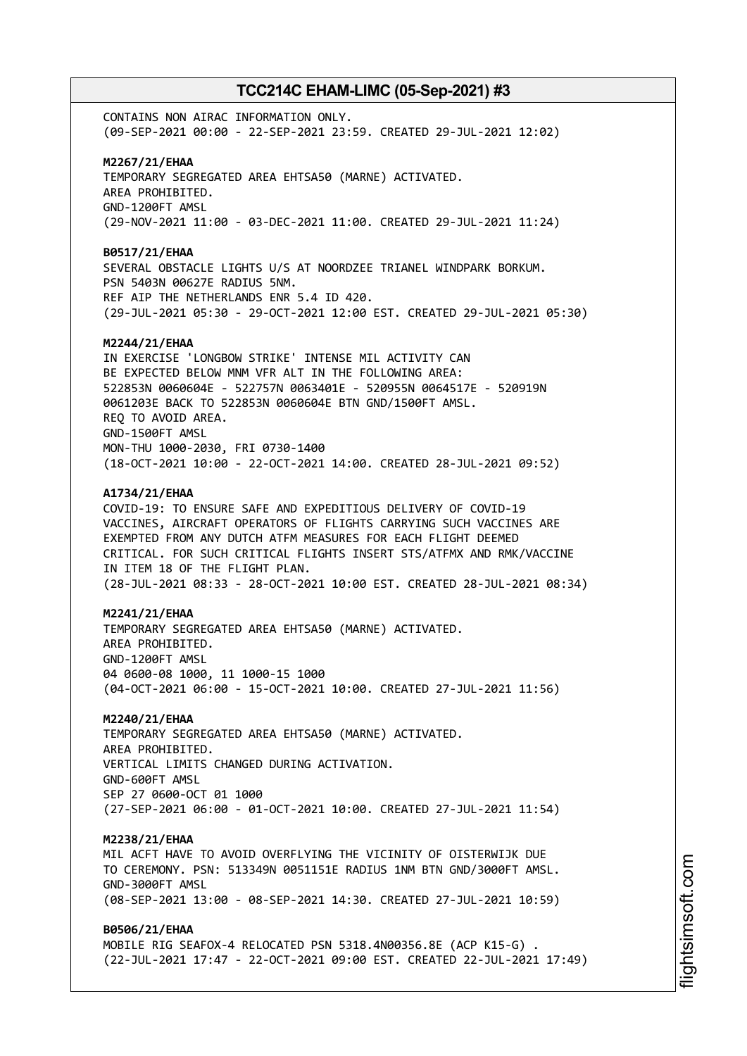CONTAINS NON AIRAC INFORMATION ONLY. (09-SEP-2021 00:00 - 22-SEP-2021 23:59. CREATED 29-JUL-2021 12:02) **M2267/21/EHAA** TEMPORARY SEGREGATED AREA EHTSA50 (MARNE) ACTIVATED. AREA PROHIBITED. GND-1200FT AMSL (29-NOV-2021 11:00 - 03-DEC-2021 11:00. CREATED 29-JUL-2021 11:24) **B0517/21/EHAA** SEVERAL OBSTACLE LIGHTS U/S AT NOORDZEE TRIANEL WINDPARK BORKUM. PSN 5403N 00627E RADIUS 5NM. REF AIP THE NETHERLANDS ENR 5.4 ID 420. (29-JUL-2021 05:30 - 29-OCT-2021 12:00 EST. CREATED 29-JUL-2021 05:30) **M2244/21/EHAA** IN EXERCISE 'LONGBOW STRIKE' INTENSE MIL ACTIVITY CAN BE EXPECTED BELOW MNM VFR ALT IN THE FOLLOWING AREA: 522853N 0060604E - 522757N 0063401E - 520955N 0064517E - 520919N 0061203E BACK TO 522853N 0060604E BTN GND/1500FT AMSL. REQ TO AVOID AREA. GND-1500FT AMSL MON-THU 1000-2030, FRI 0730-1400 (18-OCT-2021 10:00 - 22-OCT-2021 14:00. CREATED 28-JUL-2021 09:52) **A1734/21/EHAA** COVID-19: TO ENSURE SAFE AND EXPEDITIOUS DELIVERY OF COVID-19 VACCINES, AIRCRAFT OPERATORS OF FLIGHTS CARRYING SUCH VACCINES ARE EXEMPTED FROM ANY DUTCH ATFM MEASURES FOR EACH FLIGHT DEEMED CRITICAL. FOR SUCH CRITICAL FLIGHTS INSERT STS/ATFMX AND RMK/VACCINE IN ITEM 18 OF THE FLIGHT PLAN. (28-JUL-2021 08:33 - 28-OCT-2021 10:00 EST. CREATED 28-JUL-2021 08:34) **M2241/21/EHAA** TEMPORARY SEGREGATED AREA EHTSA50 (MARNE) ACTIVATED. AREA PROHIBITED. GND-1200FT AMSL 04 0600-08 1000, 11 1000-15 1000 (04-OCT-2021 06:00 - 15-OCT-2021 10:00. CREATED 27-JUL-2021 11:56) **M2240/21/EHAA** TEMPORARY SEGREGATED AREA EHTSA50 (MARNE) ACTIVATED. AREA PROHIBITED. VERTICAL LIMITS CHANGED DURING ACTIVATION. GND-600FT AMSL SEP 27 0600-OCT 01 1000 (27-SEP-2021 06:00 - 01-OCT-2021 10:00. CREATED 27-JUL-2021 11:54) **M2238/21/EHAA** MIL ACFT HAVE TO AVOID OVERFLYING THE VICINITY OF OISTERWIJK DUE TO CEREMONY. PSN: 513349N 0051151E RADIUS 1NM BTN GND/3000FT AMSL. GND-3000FT AMSL (08-SEP-2021 13:00 - 08-SEP-2021 14:30. CREATED 27-JUL-2021 10:59) **B0506/21/EHAA** MOBILE RIG SEAFOX-4 RELOCATED PSN 5318.4N00356.8E (ACP K15-G) . (22-JUL-2021 17:47 - 22-OCT-2021 09:00 EST. CREATED 22-JUL-2021 17:49)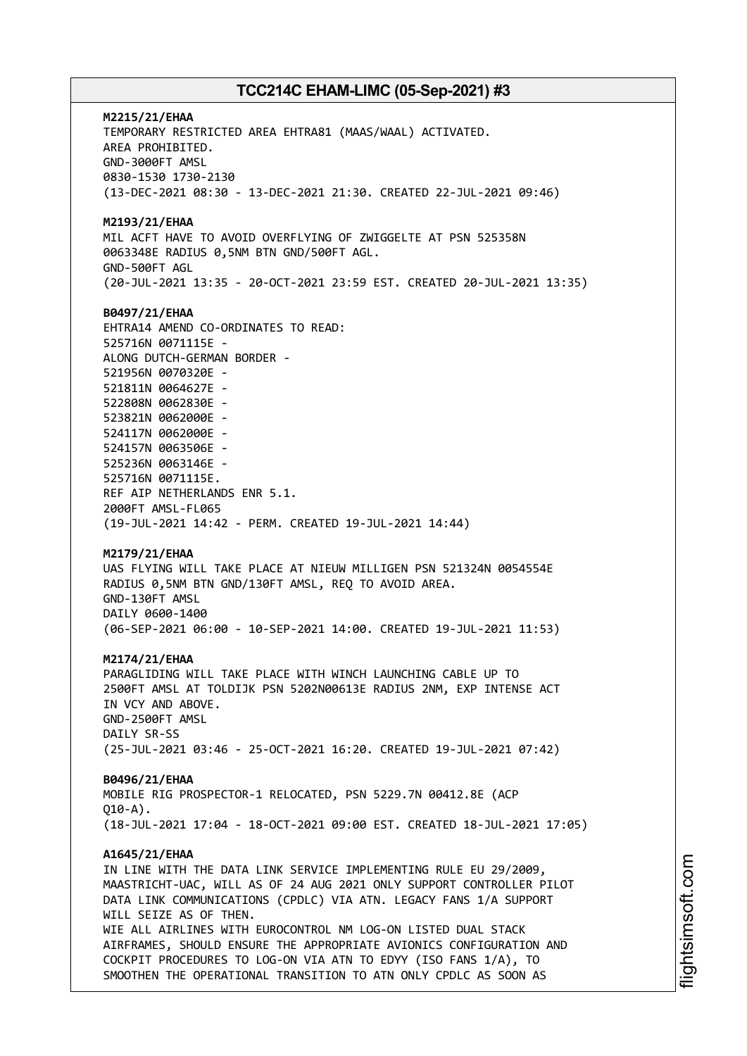**M2215/21/EHAA** TEMPORARY RESTRICTED AREA EHTRA81 (MAAS/WAAL) ACTIVATED. AREA PROHIBITED. GND-3000FT AMSL 0830-1530 1730-2130 (13-DEC-2021 08:30 - 13-DEC-2021 21:30. CREATED 22-JUL-2021 09:46) **M2193/21/EHAA** MIL ACFT HAVE TO AVOID OVERFLYING OF ZWIGGELTE AT PSN 525358N 0063348E RADIUS 0,5NM BTN GND/500FT AGL. GND-500FT AGL (20-JUL-2021 13:35 - 20-OCT-2021 23:59 EST. CREATED 20-JUL-2021 13:35) **B0497/21/EHAA** EHTRA14 AMEND CO-ORDINATES TO READ: 525716N 0071115E - ALONG DUTCH-GERMAN BORDER - 521956N 0070320E - 521811N 0064627E - 522808N 0062830E - 523821N 0062000E - 524117N 0062000E - 524157N 0063506E - 525236N 0063146E - 525716N 0071115E. REF AIP NETHERLANDS ENR 5.1. 2000FT AMSL-FL065 (19-JUL-2021 14:42 - PERM. CREATED 19-JUL-2021 14:44) **M2179/21/EHAA** UAS FLYING WILL TAKE PLACE AT NIEUW MILLIGEN PSN 521324N 0054554E RADIUS 0,5NM BTN GND/130FT AMSL, REQ TO AVOID AREA. GND-130FT AMSL DAILY 0600-1400 (06-SEP-2021 06:00 - 10-SEP-2021 14:00. CREATED 19-JUL-2021 11:53) **M2174/21/EHAA** PARAGLIDING WILL TAKE PLACE WITH WINCH LAUNCHING CABLE UP TO 2500FT AMSL AT TOLDIJK PSN 5202N00613E RADIUS 2NM, EXP INTENSE ACT IN VCY AND ABOVE. GND-2500FT AMSL DAILY SR-SS (25-JUL-2021 03:46 - 25-OCT-2021 16:20. CREATED 19-JUL-2021 07:42) **B0496/21/EHAA** MOBILE RIG PROSPECTOR-1 RELOCATED, PSN 5229.7N 00412.8E (ACP  $(10-4)$ (18-JUL-2021 17:04 - 18-OCT-2021 09:00 EST. CREATED 18-JUL-2021 17:05) **A1645/21/EHAA** IN LINE WITH THE DATA LINK SERVICE IMPLEMENTING RULE EU 29/2009, MAASTRICHT-UAC, WILL AS OF 24 AUG 2021 ONLY SUPPORT CONTROLLER PILOT DATA LINK COMMUNICATIONS (CPDLC) VIA ATN. LEGACY FANS 1/A SUPPORT WILL SEIZE AS OF THEN. WIE ALL ATRLINES WITH FUROCONTROL NM LOG-ON LISTED DUAL STACK AIRFRAMES, SHOULD ENSURE THE APPROPRIATE AVIONICS CONFIGURATION AND COCKPIT PROCEDURES TO LOG-ON VIA ATN TO EDYY (ISO FANS 1/A), TO SMOOTHEN THE OPERATIONAL TRANSITION TO ATN ONLY CPDLC AS SOON AS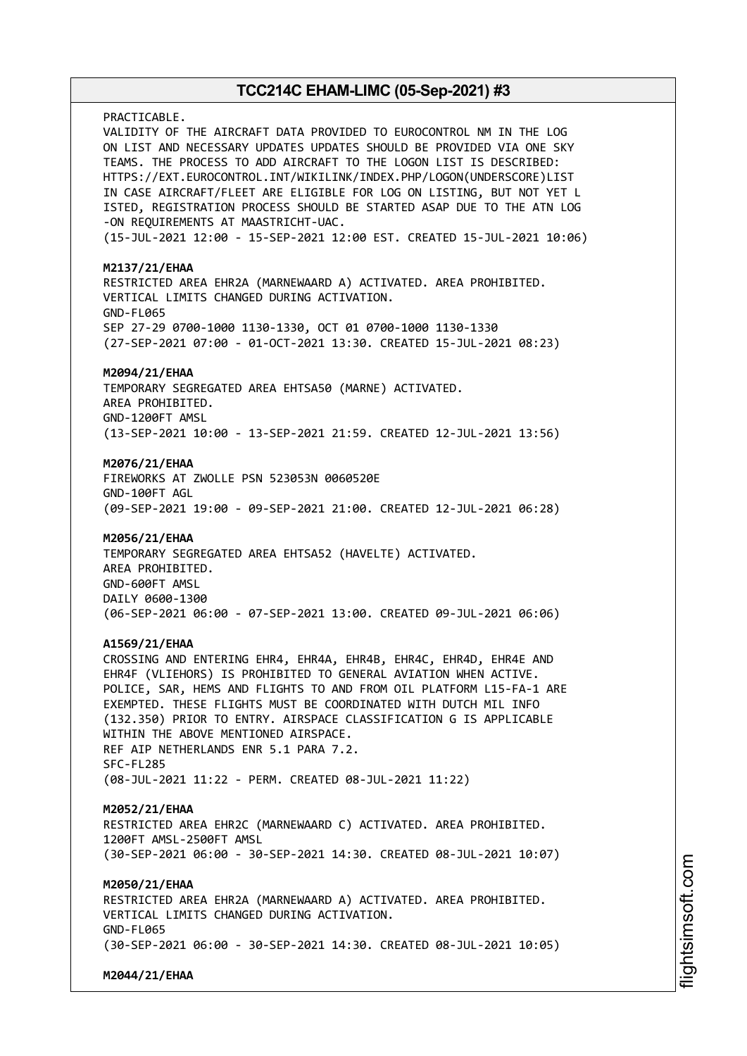PRACTICABLE. VALIDITY OF THE AIRCRAFT DATA PROVIDED TO EUROCONTROL NM IN THE LOG ON LIST AND NECESSARY UPDATES UPDATES SHOULD BE PROVIDED VIA ONE SKY TEAMS. THE PROCESS TO ADD AIRCRAFT TO THE LOGON LIST IS DESCRIBED: HTTPS://EXT.EUROCONTROL.INT/WIKILINK/INDEX.PHP/LOGON(UNDERSCORE)LIST IN CASE AIRCRAFT/FLEET ARE ELIGIBLE FOR LOG ON LISTING, BUT NOT YET L ISTED, REGISTRATION PROCESS SHOULD BE STARTED ASAP DUE TO THE ATN LOG -ON REQUIREMENTS AT MAASTRICHT-UAC. (15-JUL-2021 12:00 - 15-SEP-2021 12:00 EST. CREATED 15-JUL-2021 10:06) **M2137/21/EHAA** RESTRICTED AREA EHR2A (MARNEWAARD A) ACTIVATED. AREA PROHIBITED. VERTICAL LIMITS CHANGED DURING ACTIVATION. GND-FL065 SEP 27-29 0700-1000 1130-1330, OCT 01 0700-1000 1130-1330 (27-SEP-2021 07:00 - 01-OCT-2021 13:30. CREATED 15-JUL-2021 08:23) **M2094/21/EHAA** TEMPORARY SEGREGATED AREA EHTSA50 (MARNE) ACTIVATED. AREA PROHIBITED. GND-1200FT AMSL (13-SEP-2021 10:00 - 13-SEP-2021 21:59. CREATED 12-JUL-2021 13:56) **M2076/21/EHAA** FIREWORKS AT ZWOLLE PSN 523053N 0060520E GND-100FT AGL (09-SEP-2021 19:00 - 09-SEP-2021 21:00. CREATED 12-JUL-2021 06:28) **M2056/21/EHAA** TEMPORARY SEGREGATED AREA EHTSA52 (HAVELTE) ACTIVATED. AREA PROHIBITED. GND-600FT AMSL DAILY 0600-1300 (06-SEP-2021 06:00 - 07-SEP-2021 13:00. CREATED 09-JUL-2021 06:06) **A1569/21/EHAA** CROSSING AND ENTERING EHR4, EHR4A, EHR4B, EHR4C, EHR4D, EHR4E AND EHR4F (VLIEHORS) IS PROHIBITED TO GENERAL AVIATION WHEN ACTIVE. POLICE, SAR, HEMS AND FLIGHTS TO AND FROM OIL PLATFORM L15-FA-1 ARE EXEMPTED. THESE FLIGHTS MUST BE COORDINATED WITH DUTCH MIL INFO (132.350) PRIOR TO ENTRY. AIRSPACE CLASSIFICATION G IS APPLICABLE WITHIN THE ABOVE MENTIONED AIRSPACE. REF AIP NETHERLANDS ENR 5.1 PARA 7.2. SFC-FL285 (08-JUL-2021 11:22 - PERM. CREATED 08-JUL-2021 11:22) **M2052/21/EHAA** RESTRICTED AREA EHR2C (MARNEWAARD C) ACTIVATED. AREA PROHIBITED. 1200FT AMSL-2500FT AMSL (30-SEP-2021 06:00 - 30-SEP-2021 14:30. CREATED 08-JUL-2021 10:07) **M2050/21/EHAA** RESTRICTED AREA EHR2A (MARNEWAARD A) ACTIVATED. AREA PROHIBITED. VERTICAL LIMITS CHANGED DURING ACTIVATION. GND-FL065 (30-SEP-2021 06:00 - 30-SEP-2021 14:30. CREATED 08-JUL-2021 10:05)

**M2044/21/EHAA**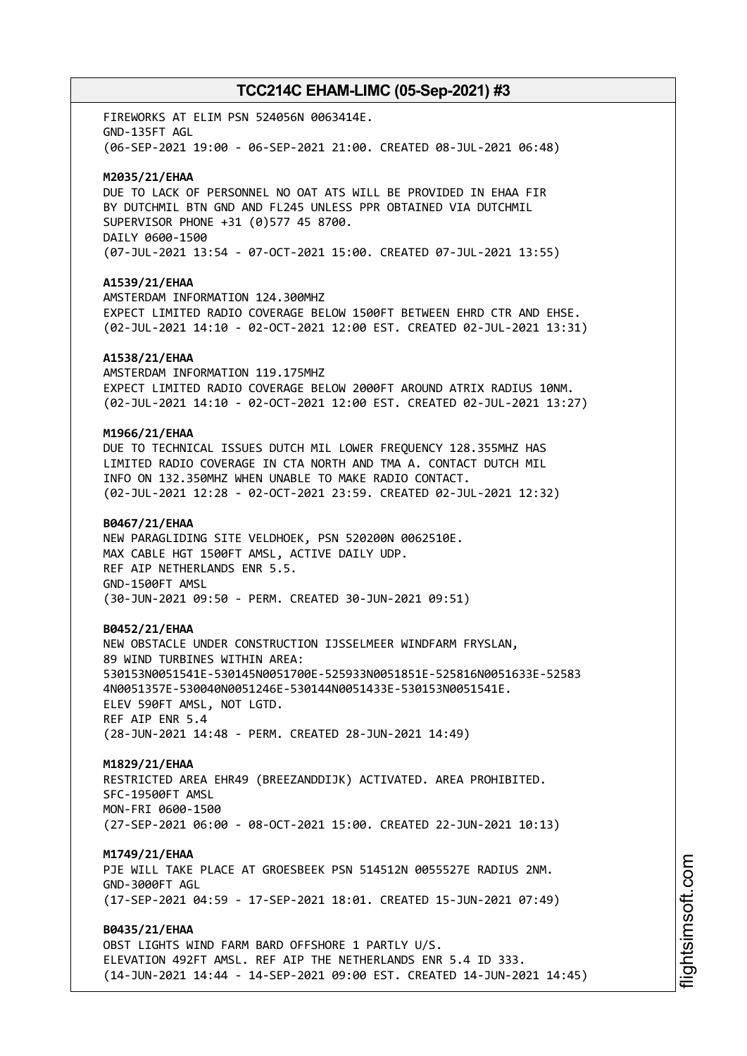FIREWORKS AT ELIM PSN 524056N 0063414E. GND-135FT AGL (06-SEP-2021 19:00 - 06-SEP-2021 21:00. CREATED 08-JUL-2021 06:48)

#### **M2035/21/EHAA**

DUE TO LACK OF PERSONNEL NO OAT ATS WILL BE PROVIDED IN EHAA FIR BY DUTCHMIL BTN GND AND FL245 UNLESS PPR OBTAINED VIA DUTCHMIL SUPERVISOR PHONE +31 (0)577 45 8700. DAILY 0600-1500 (07-JUL-2021 13:54 - 07-OCT-2021 15:00. CREATED 07-JUL-2021 13:55)

#### **A1539/21/EHAA**

AMSTERDAM INFORMATION 124.300MHZ EXPECT LIMITED RADIO COVERAGE BELOW 1500FT BETWEEN EHRD CTR AND EHSE. (02-JUL-2021 14:10 - 02-OCT-2021 12:00 EST. CREATED 02-JUL-2021 13:31)

#### **A1538/21/EHAA**

AMSTERDAM INFORMATION 119.175MHZ EXPECT LIMITED RADIO COVERAGE BELOW 2000FT AROUND ATRIX RADIUS 10NM. (02-JUL-2021 14:10 - 02-OCT-2021 12:00 EST. CREATED 02-JUL-2021 13:27)

### **M1966/21/EHAA**

DUE TO TECHNICAL ISSUES DUTCH MIL LOWER FREQUENCY 128.355MHZ HAS LIMITED RADIO COVERAGE IN CTA NORTH AND TMA A. CONTACT DUTCH MIL INFO ON 132.350MHZ WHEN UNABLE TO MAKE RADIO CONTACT. (02-JUL-2021 12:28 - 02-OCT-2021 23:59. CREATED 02-JUL-2021 12:32)

#### **B0467/21/EHAA**

NEW PARAGLIDING SITE VELDHOEK, PSN 520200N 0062510E. MAX CABLE HGT 1500FT AMSL, ACTIVE DAILY UDP. REF AIP NETHERLANDS ENR 5.5. GND-1500FT AMSL (30-JUN-2021 09:50 - PERM. CREATED 30-JUN-2021 09:51)

#### **B0452/21/EHAA**

NEW OBSTACLE UNDER CONSTRUCTION IJSSELMEER WINDFARM FRYSLAN, 89 WIND TURBINES WITHIN AREA: 530153N0051541E-530145N0051700E-525933N0051851E-525816N0051633E-52583 4N0051357E-530040N0051246E-530144N0051433E-530153N0051541E. ELEV 590FT AMSL, NOT LGTD. REF AIP ENR 5.4 (28-JUN-2021 14:48 - PERM. CREATED 28-JUN-2021 14:49)

#### **M1829/21/EHAA**

RESTRICTED AREA EHR49 (BREEZANDDIJK) ACTIVATED. AREA PROHIBITED. SFC-19500FT AMSL MON-FRI 0600-1500 (27-SEP-2021 06:00 - 08-OCT-2021 15:00. CREATED 22-JUN-2021 10:13)

#### **M1749/21/EHAA**

PJE WILL TAKE PLACE AT GROESBEEK PSN 514512N 0055527E RADIUS 2NM. GND-3000FT AGL (17-SEP-2021 04:59 - 17-SEP-2021 18:01. CREATED 15-JUN-2021 07:49)

## **B0435/21/EHAA**

OBST LIGHTS WIND FARM BARD OFFSHORE 1 PARTLY U/S. ELEVATION 492FT AMSL. REF AIP THE NETHERLANDS ENR 5.4 ID 333. (14-JUN-2021 14:44 - 14-SEP-2021 09:00 EST. CREATED 14-JUN-2021 14:45)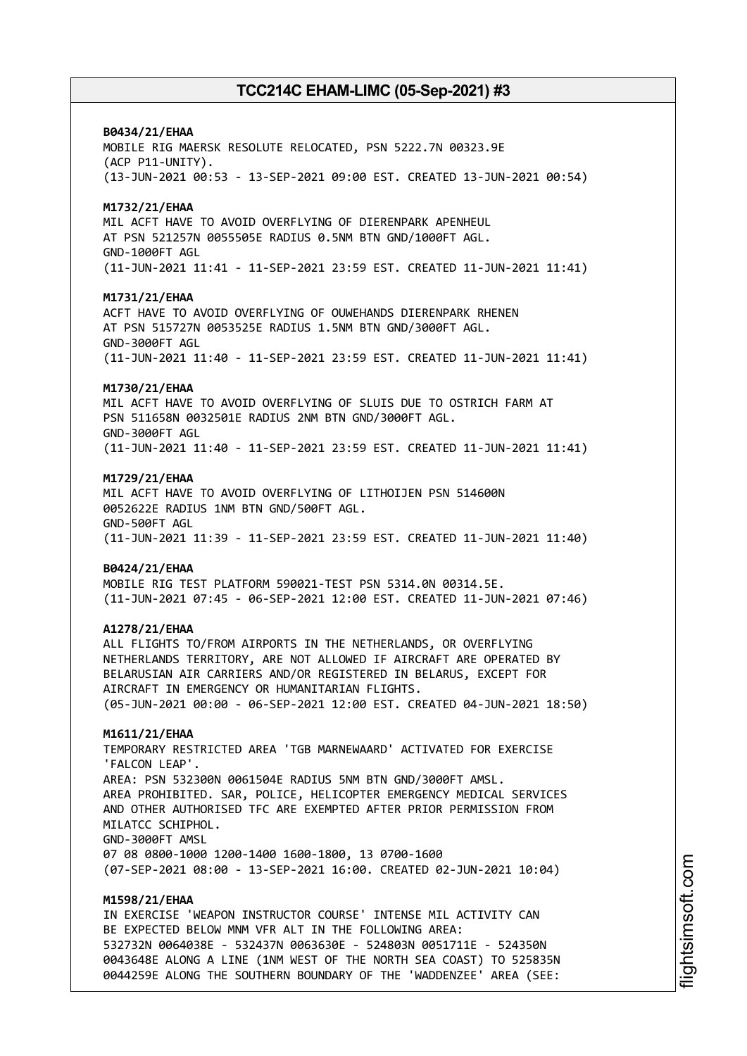#### **B0434/21/EHAA**

MOBILE RIG MAERSK RESOLUTE RELOCATED, PSN 5222.7N 00323.9E (ACP P11-UNITY). (13-JUN-2021 00:53 - 13-SEP-2021 09:00 EST. CREATED 13-JUN-2021 00:54)

#### **M1732/21/EHAA**

MIL ACFT HAVE TO AVOID OVERFLYING OF DIERENPARK APENHEUL AT PSN 521257N 0055505E RADIUS 0.5NM BTN GND/1000FT AGL. GND-1000FT AGL (11-JUN-2021 11:41 - 11-SEP-2021 23:59 EST. CREATED 11-JUN-2021 11:41)

#### **M1731/21/EHAA**

ACFT HAVE TO AVOID OVERFLYING OF OUWEHANDS DIERENPARK RHENEN AT PSN 515727N 0053525E RADIUS 1.5NM BTN GND/3000FT AGL. GND-3000FT AGL (11-JUN-2021 11:40 - 11-SEP-2021 23:59 EST. CREATED 11-JUN-2021 11:41)

#### **M1730/21/EHAA**

MIL ACFT HAVE TO AVOID OVERFLYING OF SLUIS DUE TO OSTRICH FARM AT PSN 511658N 0032501E RADIUS 2NM BTN GND/3000FT AGL. GND-3000FT AGL (11-JUN-2021 11:40 - 11-SEP-2021 23:59 EST. CREATED 11-JUN-2021 11:41)

#### **M1729/21/EHAA**

MIL ACFT HAVE TO AVOID OVERFLYING OF LITHOIJEN PSN 514600N 0052622E RADIUS 1NM BTN GND/500FT AGL. GND-500FT AGL (11-JUN-2021 11:39 - 11-SEP-2021 23:59 EST. CREATED 11-JUN-2021 11:40)

#### **B0424/21/EHAA**

MOBILE RIG TEST PLATFORM 590021-TEST PSN 5314.0N 00314.5E. (11-JUN-2021 07:45 - 06-SEP-2021 12:00 EST. CREATED 11-JUN-2021 07:46)

#### **A1278/21/EHAA**

ALL FLIGHTS TO/FROM AIRPORTS IN THE NETHERLANDS, OR OVERFLYING NETHERLANDS TERRITORY, ARE NOT ALLOWED IF AIRCRAFT ARE OPERATED BY BELARUSIAN AIR CARRIERS AND/OR REGISTERED IN BELARUS, EXCEPT FOR AIRCRAFT IN EMERGENCY OR HUMANITARIAN FLIGHTS. (05-JUN-2021 00:00 - 06-SEP-2021 12:00 EST. CREATED 04-JUN-2021 18:50)

#### **M1611/21/EHAA**

TEMPORARY RESTRICTED AREA 'TGB MARNEWAARD' ACTIVATED FOR EXERCISE 'FALCON LEAP'. AREA: PSN 532300N 0061504E RADIUS 5NM BTN GND/3000FT AMSL. AREA PROHIBITED. SAR, POLICE, HELICOPTER EMERGENCY MEDICAL SERVICES AND OTHER AUTHORISED TFC ARE EXEMPTED AFTER PRIOR PERMISSION FROM MILATCC SCHIPHOL. GND-3000FT AMSL 07 08 0800-1000 1200-1400 1600-1800, 13 0700-1600 (07-SEP-2021 08:00 - 13-SEP-2021 16:00. CREATED 02-JUN-2021 10:04)

#### **M1598/21/EHAA**

IN EXERCISE 'WEAPON INSTRUCTOR COURSE' INTENSE MIL ACTIVITY CAN BE EXPECTED BELOW MNM VFR ALT IN THE FOLLOWING AREA: 532732N 0064038E - 532437N 0063630E - 524803N 0051711E - 524350N 0043648E ALONG A LINE (1NM WEST OF THE NORTH SEA COAST) TO 525835N 0044259E ALONG THE SOUTHERN BOUNDARY OF THE 'WADDENZEE' AREA (SEE: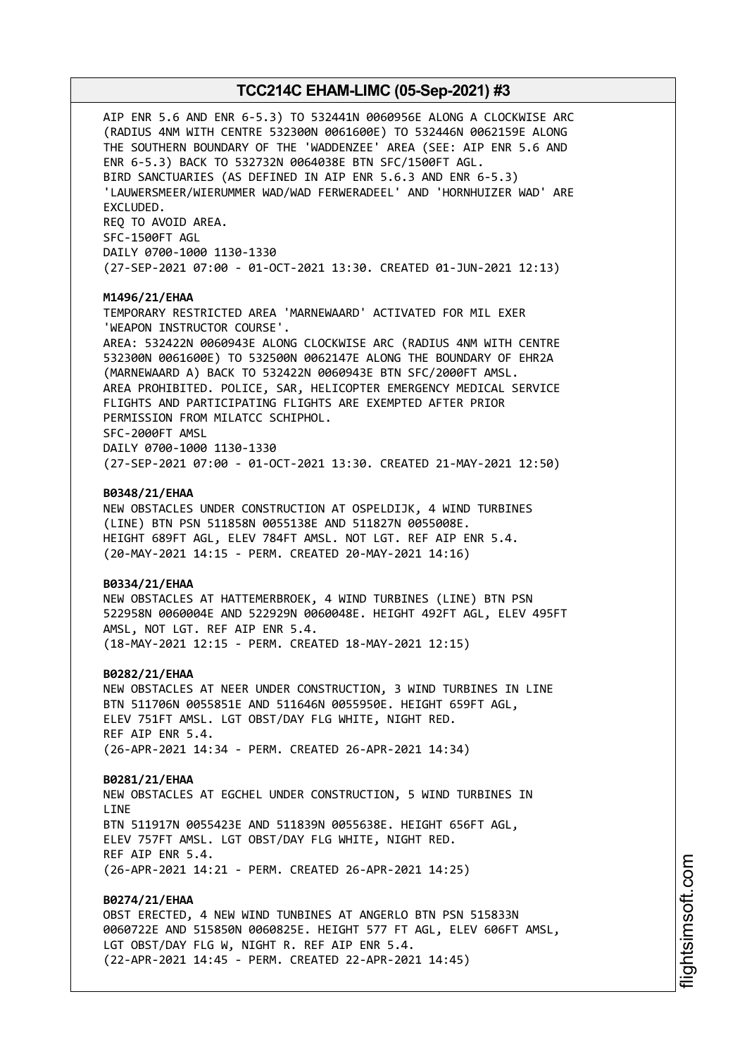AIP ENR 5.6 AND ENR 6-5.3) TO 532441N 0060956E ALONG A CLOCKWISE ARC (RADIUS 4NM WITH CENTRE 532300N 0061600E) TO 532446N 0062159E ALONG THE SOUTHERN BOUNDARY OF THE 'WADDENZEE' AREA (SEE: AIP ENR 5.6 AND ENR 6-5.3) BACK TO 532732N 0064038E BTN SFC/1500FT AGL. BIRD SANCTUARIES (AS DEFINED IN AIP ENR 5.6.3 AND ENR 6-5.3) 'LAUWERSMEER/WIERUMMER WAD/WAD FERWERADEEL' AND 'HORNHUIZER WAD' ARE EXCLUDED. REQ TO AVOID AREA. SFC-1500FT AGL DAILY 0700-1000 1130-1330 (27-SEP-2021 07:00 - 01-OCT-2021 13:30. CREATED 01-JUN-2021 12:13) **M1496/21/EHAA** TEMPORARY RESTRICTED AREA 'MARNEWAARD' ACTIVATED FOR MIL EXER 'WEAPON INSTRUCTOR COURSE'. AREA: 532422N 0060943E ALONG CLOCKWISE ARC (RADIUS 4NM WITH CENTRE 532300N 0061600E) TO 532500N 0062147E ALONG THE BOUNDARY OF EHR2A (MARNEWAARD A) BACK TO 532422N 0060943E BTN SFC/2000FT AMSL. AREA PROHIBITED. POLICE, SAR, HELICOPTER EMERGENCY MEDICAL SERVICE FLIGHTS AND PARTICIPATING FLIGHTS ARE EXEMPTED AFTER PRIOR PERMISSION FROM MILATCC SCHIPHOL. SFC-2000FT AMSL DAILY 0700-1000 1130-1330 (27-SEP-2021 07:00 - 01-OCT-2021 13:30. CREATED 21-MAY-2021 12:50) **B0348/21/EHAA** NEW OBSTACLES UNDER CONSTRUCTION AT OSPELDIJK, 4 WIND TURBINES (LINE) BTN PSN 511858N 0055138E AND 511827N 0055008E. HEIGHT 689FT AGL, ELEV 784FT AMSL. NOT LGT. REF AIP ENR 5.4. (20-MAY-2021 14:15 - PERM. CREATED 20-MAY-2021 14:16) **B0334/21/EHAA** NEW OBSTACLES AT HATTEMERBROEK, 4 WIND TURBINES (LINE) BTN PSN 522958N 0060004E AND 522929N 0060048E. HEIGHT 492FT AGL, ELEV 495FT AMSL, NOT LGT. REF AIP ENR 5.4. (18-MAY-2021 12:15 - PERM. CREATED 18-MAY-2021 12:15) **B0282/21/EHAA** NEW OBSTACLES AT NEER UNDER CONSTRUCTION, 3 WIND TURBINES IN LINE BTN 511706N 0055851E AND 511646N 0055950E. HEIGHT 659FT AGL, ELEV 751FT AMSL. LGT OBST/DAY FLG WHITE, NIGHT RED. REF AIP ENR 5.4. (26-APR-2021 14:34 - PERM. CREATED 26-APR-2021 14:34) **B0281/21/EHAA** NEW OBSTACLES AT EGCHEL UNDER CONSTRUCTION, 5 WIND TURBINES IN **LTNF** BTN 511917N 0055423E AND 511839N 0055638E. HEIGHT 656FT AGL, ELEV 757FT AMSL. LGT OBST/DAY FLG WHITE, NIGHT RED. REF AIP ENR 5.4. (26-APR-2021 14:21 - PERM. CREATED 26-APR-2021 14:25) **B0274/21/EHAA** OBST ERECTED, 4 NEW WIND TUNBINES AT ANGERLO BTN PSN 515833N 0060722E AND 515850N 0060825E. HEIGHT 577 FT AGL, ELEV 606FT AMSL, LGT OBST/DAY FLG W, NIGHT R. REF AIP ENR 5.4. (22-APR-2021 14:45 - PERM. CREATED 22-APR-2021 14:45)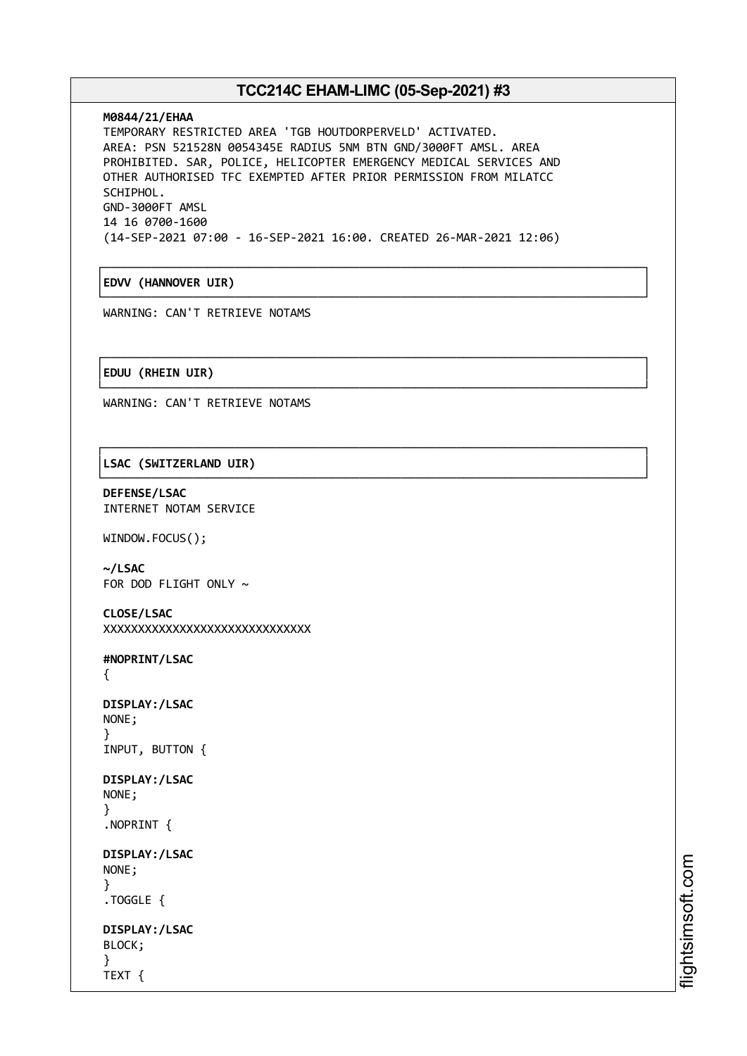┌──────────────────────────────────────────────────────────────────────────────┐

└──────────────────────────────────────────────────────────────────────────────┘

└──────────────────────────────────────────────────────────────────────────────┘

### **M0844/21/EHAA**

TEMPORARY RESTRICTED AREA 'TGB HOUTDORPERVELD' ACTIVATED. AREA: PSN 521528N 0054345E RADIUS 5NM BTN GND/3000FT AMSL. AREA PROHIBITED. SAR, POLICE, HELICOPTER EMERGENCY MEDICAL SERVICES AND OTHER AUTHORISED TFC EXEMPTED AFTER PRIOR PERMISSION FROM MILATCC SCHIPHOL. GND-3000FT AMSL 14 16 0700-1600 (14-SEP-2021 07:00 - 16-SEP-2021 16:00. CREATED 26-MAR-2021 12:06)

│**EDVV (HANNOVER UIR)** │

└──────────────────────────────────────────────────────────────────────────────┘ WARNING: CAN'T RETRIEVE NOTAMS

┌──────────────────────────────────────────────────────────────────────────────┐ │**EDUU (RHEIN UIR)** │

WARNING: CAN'T RETRIEVE NOTAMS

┌──────────────────────────────────────────────────────────────────────────────┐ │**LSAC (SWITZERLAND UIR)** │

**DEFENSE/LSAC** INTERNET NOTAM SERVICE

WINDOW.FOCUS();

**~/LSAC** FOR DOD FLIGHT ONLY  $\sim$ 

```
CLOSE/LSAC
XXXXXXXXXXXXXXXXXXXXXXXXXXXXXX
```
**#NOPRINT/LSAC**

{

```
DISPLAY:/LSAC
NONE;
}
INPUT, BUTTON {
```

```
DISPLAY:/LSAC
NONE;
}
```
.NOPRINT {

```
DISPLAY:/LSAC
NONE;
}
```
.TOGGLE {

```
DISPLAY:/LSAC
BLOCK;
}
TEXT {
```
m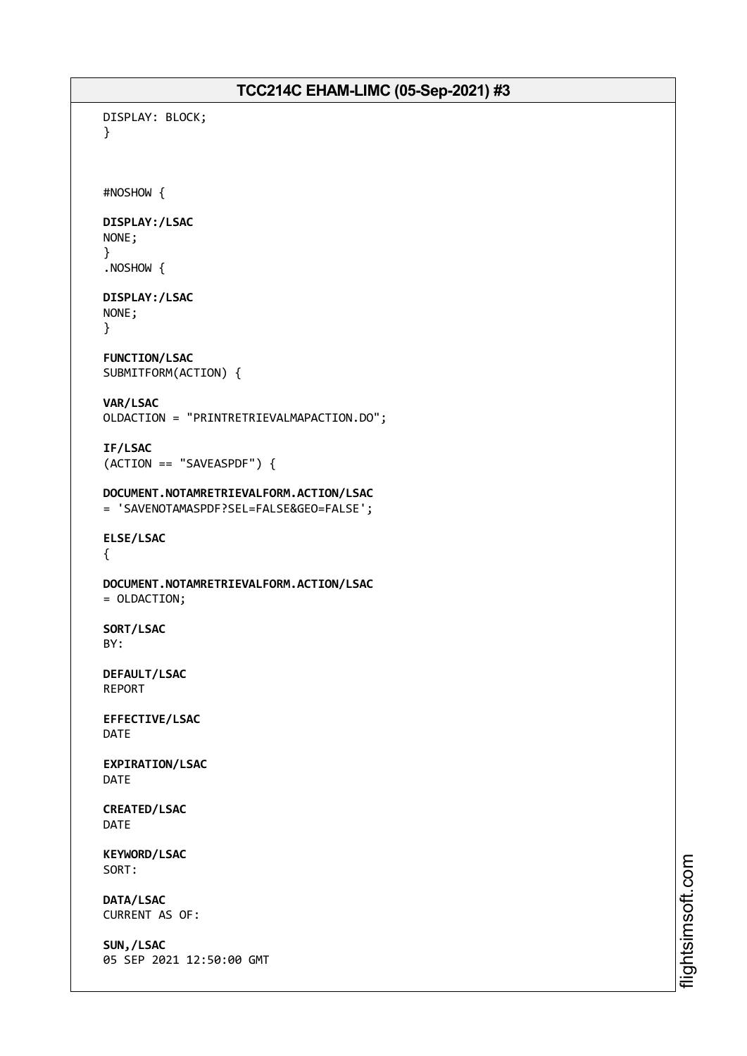```
DISPLAY: BLOCK;
}
#NOSHOW {
DISPLAY:/LSAC
NONE;
}
.NOSHOW {
DISPLAY:/LSAC
NONE;
}
FUNCTION/LSAC
SUBMITFORM(ACTION) {
VAR/LSAC
OLDACTION = "PRINTRETRIEVALMAPACTION.DO";
IF/LSAC
(ACTION == "SAVEASPDF") {
DOCUMENT.NOTAMRETRIEVALFORM.ACTION/LSAC
= 'SAVENOTAMASPDF?SEL=FALSE&GEO=FALSE';
ELSE/LSAC
{
DOCUMENT.NOTAMRETRIEVALFORM.ACTION/LSAC
= OLDACTION;
SORT/LSAC
BY:
DEFAULT/LSAC
REPORT
EFFECTIVE/LSAC
DATE
EXPIRATION/LSAC
DATE
CREATED/LSAC
DATE
KEYWORD/LSAC
SORT:
DATA/LSAC
CURRENT AS OF:
SUN,/LSAC
05 SEP 2021 12:50:00 GMT
```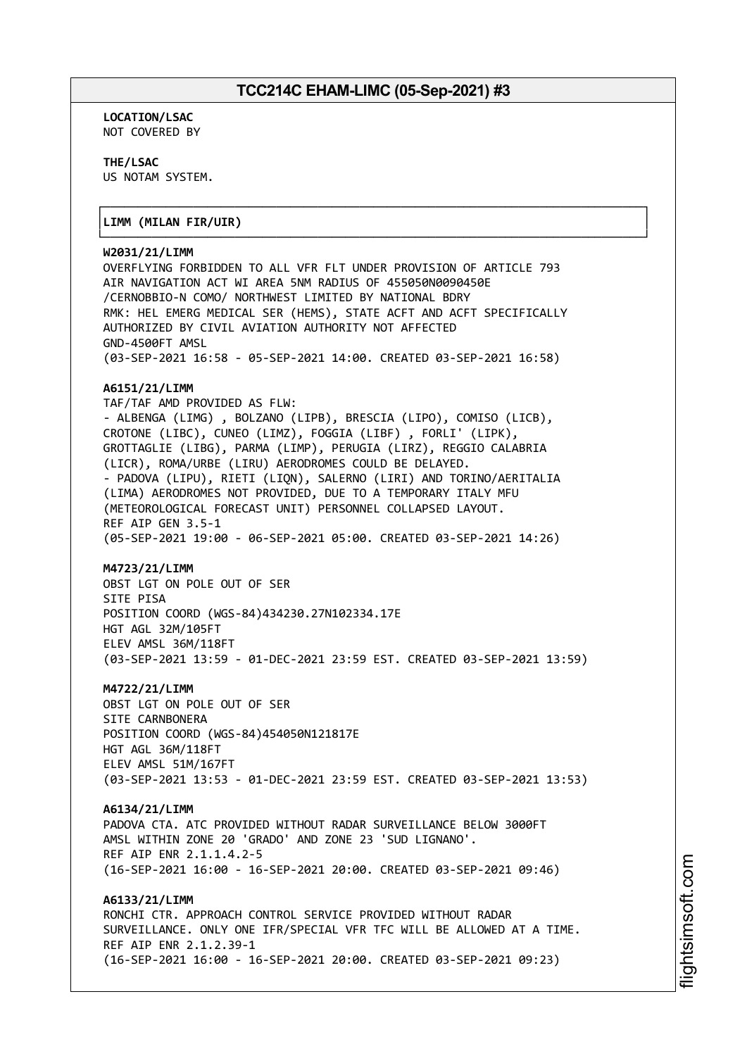┌──────────────────────────────────────────────────────────────────────────────┐

└──────────────────────────────────────────────────────────────────────────────┘

**LOCATION/LSAC** NOT COVERED BY

**THE/LSAC** US NOTAM SYSTEM.

#### │**LIMM (MILAN FIR/UIR)** │

#### **W2031/21/LIMM**

OVERFLYING FORBIDDEN TO ALL VFR FLT UNDER PROVISION OF ARTICLE 793 AIR NAVIGATION ACT WI AREA 5NM RADIUS OF 455050N0090450E /CERNOBBIO-N COMO/ NORTHWEST LIMITED BY NATIONAL BDRY RMK: HEL EMERG MEDICAL SER (HEMS), STATE ACFT AND ACFT SPECIFICALLY AUTHORIZED BY CIVIL AVIATION AUTHORITY NOT AFFECTED GND-4500FT AMSL (03-SEP-2021 16:58 - 05-SEP-2021 14:00. CREATED 03-SEP-2021 16:58)

#### **A6151/21/LIMM**

TAF/TAF AMD PROVIDED AS FLW: - ALBENGA (LIMG) , BOLZANO (LIPB), BRESCIA (LIPO), COMISO (LICB), CROTONE (LIBC), CUNEO (LIMZ), FOGGIA (LIBF) , FORLI' (LIPK), GROTTAGLIE (LIBG), PARMA (LIMP), PERUGIA (LIRZ), REGGIO CALABRIA (LICR), ROMA/URBE (LIRU) AERODROMES COULD BE DELAYED. - PADOVA (LIPU), RIETI (LIQN), SALERNO (LIRI) AND TORINO/AERITALIA (LIMA) AERODROMES NOT PROVIDED, DUE TO A TEMPORARY ITALY MFU (METEOROLOGICAL FORECAST UNIT) PERSONNEL COLLAPSED LAYOUT. REF AIP GEN 3.5-1 (05-SEP-2021 19:00 - 06-SEP-2021 05:00. CREATED 03-SEP-2021 14:26)

#### **M4723/21/LIMM**

OBST LGT ON POLE OUT OF SER SITE PISA POSITION COORD (WGS-84)434230.27N102334.17E HGT AGL 32M/105FT ELEV AMSL 36M/118FT (03-SEP-2021 13:59 - 01-DEC-2021 23:59 EST. CREATED 03-SEP-2021 13:59)

#### **M4722/21/LIMM**

OBST LGT ON POLE OUT OF SER SITE CARNBONERA POSITION COORD (WGS-84)454050N121817E HGT AGL 36M/118FT ELEV AMSL 51M/167FT (03-SEP-2021 13:53 - 01-DEC-2021 23:59 EST. CREATED 03-SEP-2021 13:53)

#### **A6134/21/LIMM**

PADOVA CTA. ATC PROVIDED WITHOUT RADAR SURVEILLANCE BELOW 3000FT AMSL WITHIN ZONE 20 'GRADO' AND ZONE 23 'SUD LIGNANO'. REF AIP ENR 2.1.1.4.2-5 (16-SEP-2021 16:00 - 16-SEP-2021 20:00. CREATED 03-SEP-2021 09:46)

#### **A6133/21/LIMM** RONCHI CTR. APPROACH CONTROL SERVICE PROVIDED WITHOUT RADAR

SURVEILLANCE. ONLY ONE IFR/SPECIAL VFR TFC WILL BE ALLOWED AT A TIME. REF AIP ENR 2.1.2.39-1 (16-SEP-2021 16:00 - 16-SEP-2021 20:00. CREATED 03-SEP-2021 09:23)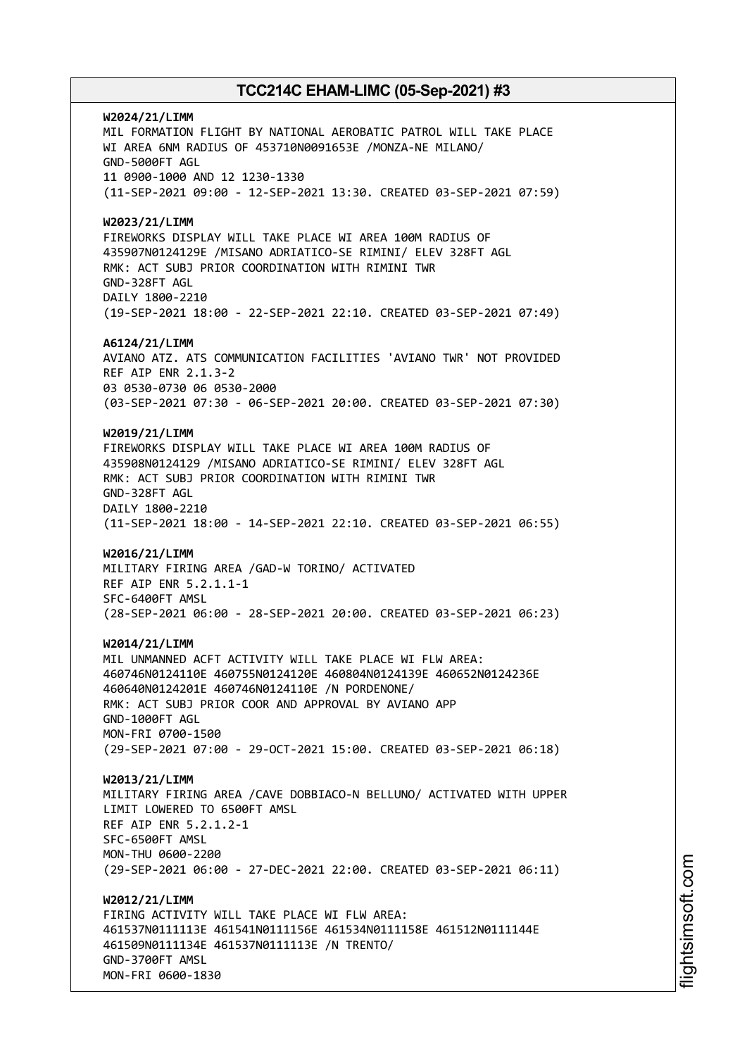**W2024/21/LIMM** MIL FORMATION FLIGHT BY NATIONAL AEROBATIC PATROL WILL TAKE PLACE WI AREA 6NM RADIUS OF 453710N0091653E /MONZA-NE MILANO/ GND-5000FT AGL 11 0900-1000 AND 12 1230-1330 (11-SEP-2021 09:00 - 12-SEP-2021 13:30. CREATED 03-SEP-2021 07:59) **W2023/21/LIMM** FIREWORKS DISPLAY WILL TAKE PLACE WI AREA 100M RADIUS OF 435907N0124129E /MISANO ADRIATICO-SE RIMINI/ ELEV 328FT AGL RMK: ACT SUBJ PRIOR COORDINATION WITH RIMINI TWR GND-328FT AGL DAILY 1800-2210 (19-SEP-2021 18:00 - 22-SEP-2021 22:10. CREATED 03-SEP-2021 07:49) **A6124/21/LIMM** AVIANO ATZ. ATS COMMUNICATION FACILITIES 'AVIANO TWR' NOT PROVIDED REF AIP ENR 2.1.3-2 03 0530-0730 06 0530-2000 (03-SEP-2021 07:30 - 06-SEP-2021 20:00. CREATED 03-SEP-2021 07:30) **W2019/21/LIMM** FIREWORKS DISPLAY WILL TAKE PLACE WI AREA 100M RADIUS OF 435908N0124129 /MISANO ADRIATICO-SE RIMINI/ ELEV 328FT AGL RMK: ACT SUBJ PRIOR COORDINATION WITH RIMINI TWR GND-328FT AGL DAILY 1800-2210 (11-SEP-2021 18:00 - 14-SEP-2021 22:10. CREATED 03-SEP-2021 06:55) **W2016/21/LIMM** MILITARY FIRING AREA /GAD-W TORINO/ ACTIVATED REF AIP ENR 5.2.1.1-1 SFC-6400FT AMSL (28-SEP-2021 06:00 - 28-SEP-2021 20:00. CREATED 03-SEP-2021 06:23) **W2014/21/LIMM** MIL UNMANNED ACFT ACTIVITY WILL TAKE PLACE WI FLW AREA: 460746N0124110E 460755N0124120E 460804N0124139E 460652N0124236E 460640N0124201E 460746N0124110E /N PORDENONE/ RMK: ACT SUBJ PRIOR COOR AND APPROVAL BY AVIANO APP GND-1000FT AGL MON-FRI 0700-1500 (29-SEP-2021 07:00 - 29-OCT-2021 15:00. CREATED 03-SEP-2021 06:18) **W2013/21/LIMM** MILITARY FIRING AREA /CAVE DOBBIACO-N BELLUNO/ ACTIVATED WITH UPPER LIMIT LOWERED TO 6500FT AMSL REF AIP ENR 5.2.1.2-1 SFC-6500FT AMSL MON-THU 0600-2200 (29-SEP-2021 06:00 - 27-DEC-2021 22:00. CREATED 03-SEP-2021 06:11) **W2012/21/LIMM** FIRING ACTIVITY WILL TAKE PLACE WI FLW AREA: 461537N0111113E 461541N0111156E 461534N0111158E 461512N0111144E 461509N0111134E 461537N0111113E /N TRENTO/ GND-3700FT AMSL MON-FRI 0600-1830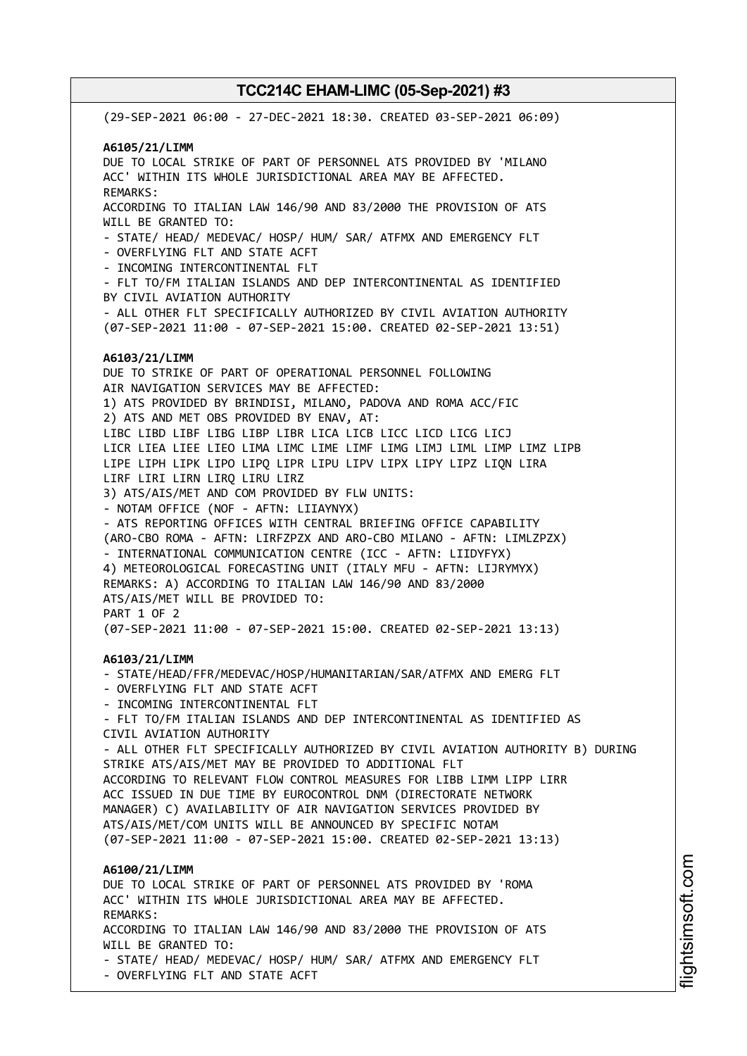(29-SEP-2021 06:00 - 27-DEC-2021 18:30. CREATED 03-SEP-2021 06:09) **A6105/21/LIMM** DUE TO LOCAL STRIKE OF PART OF PERSONNEL ATS PROVIDED BY 'MILANO ACC' WITHIN ITS WHOLE JURISDICTIONAL AREA MAY BE AFFECTED. REMARKS: ACCORDING TO ITALIAN LAW 146/90 AND 83/2000 THE PROVISION OF ATS WILL BE GRANTED TO: - STATE/ HEAD/ MEDEVAC/ HOSP/ HUM/ SAR/ ATFMX AND EMERGENCY FLT - OVERFLYING FLT AND STATE ACFT - INCOMING INTERCONTINENTAL FLT - FLT TO/FM ITALIAN ISLANDS AND DEP INTERCONTINENTAL AS IDENTIFIED BY CIVIL AVIATION AUTHORITY - ALL OTHER FLT SPECIFICALLY AUTHORIZED BY CIVIL AVIATION AUTHORITY (07-SEP-2021 11:00 - 07-SEP-2021 15:00. CREATED 02-SEP-2021 13:51) **A6103/21/LIMM** DUE TO STRIKE OF PART OF OPERATIONAL PERSONNEL FOLLOWING AIR NAVIGATION SERVICES MAY BE AFFECTED: 1) ATS PROVIDED BY BRINDISI, MILANO, PADOVA AND ROMA ACC/FIC 2) ATS AND MET OBS PROVIDED BY ENAV, AT: LIBC LIBD LIBF LIBG LIBP LIBR LICA LICB LICC LICD LICG LICJ LICR LIEA LIEE LIEO LIMA LIMC LIME LIMF LIMG LIMJ LIML LIMP LIMZ LIPB LIPE LIPH LIPK LIPO LIPQ LIPR LIPU LIPV LIPX LIPY LIPZ LIQN LIRA LIRF LIRI LIRN LIRQ LIRU LIRZ 3) ATS/AIS/MET AND COM PROVIDED BY FLW UNITS: - NOTAM OFFICE (NOF - AFTN: LIIAYNYX) - ATS REPORTING OFFICES WITH CENTRAL BRIEFING OFFICE CAPABILITY (ARO-CBO ROMA - AFTN: LIRFZPZX AND ARO-CBO MILANO - AFTN: LIMLZPZX) - INTERNATIONAL COMMUNICATION CENTRE (ICC - AFTN: LIIDYFYX) 4) METEOROLOGICAL FORECASTING UNIT (ITALY MFU - AFTN: LIJRYMYX) REMARKS: A) ACCORDING TO ITALIAN LAW 146/90 AND 83/2000 ATS/AIS/MET WILL BE PROVIDED TO: PART 1 OF 2 (07-SEP-2021 11:00 - 07-SEP-2021 15:00. CREATED 02-SEP-2021 13:13) **A6103/21/LIMM** - STATE/HEAD/FFR/MEDEVAC/HOSP/HUMANITARIAN/SAR/ATFMX AND EMERG FLT - OVERFLYING FLT AND STATE ACFT - INCOMING INTERCONTINENTAL FLT - FLT TO/FM ITALIAN ISLANDS AND DEP INTERCONTINENTAL AS IDENTIFIED AS CIVIL AVIATION AUTHORITY - ALL OTHER FLT SPECIFICALLY AUTHORIZED BY CIVIL AVIATION AUTHORITY B) DURING STRIKE ATS/AIS/MET MAY BE PROVIDED TO ADDITIONAL FLT ACCORDING TO RELEVANT FLOW CONTROL MEASURES FOR LIBB LIMM LIPP LIRR ACC ISSUED IN DUE TIME BY EUROCONTROL DNM (DIRECTORATE NETWORK MANAGER) C) AVAILABILITY OF AIR NAVIGATION SERVICES PROVIDED BY ATS/AIS/MET/COM UNITS WILL BE ANNOUNCED BY SPECIFIC NOTAM (07-SEP-2021 11:00 - 07-SEP-2021 15:00. CREATED 02-SEP-2021 13:13) **A6100/21/LIMM** DUE TO LOCAL STRIKE OF PART OF PERSONNEL ATS PROVIDED BY 'ROMA ACC' WITHIN ITS WHOLE JURISDICTIONAL AREA MAY BE AFFECTED. REMARKS: ACCORDING TO ITALIAN LAW 146/90 AND 83/2000 THE PROVISION OF ATS WILL BE GRANTED TO: - STATE/ HEAD/ MEDEVAC/ HOSP/ HUM/ SAR/ ATFMX AND EMERGENCY FLT - OVERFLYING FLT AND STATE ACFT

m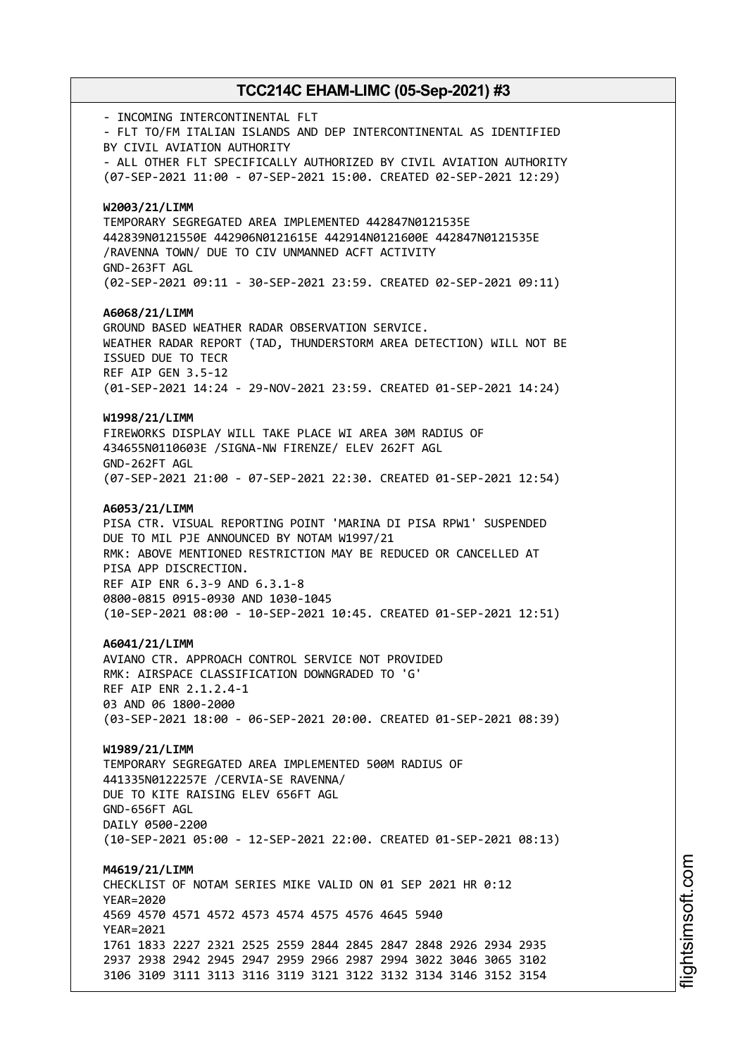- INCOMING INTERCONTINENTAL FLT - FLT TO/FM ITALIAN ISLANDS AND DEP INTERCONTINENTAL AS IDENTIFIED BY CIVIL AVIATION AUTHORITY - ALL OTHER FLT SPECIFICALLY AUTHORIZED BY CIVIL AVIATION AUTHORITY (07-SEP-2021 11:00 - 07-SEP-2021 15:00. CREATED 02-SEP-2021 12:29) **W2003/21/LIMM** TEMPORARY SEGREGATED AREA IMPLEMENTED 442847N0121535E 442839N0121550E 442906N0121615E 442914N0121600E 442847N0121535E /RAVENNA TOWN/ DUE TO CIV UNMANNED ACFT ACTIVITY GND-263FT AGL (02-SEP-2021 09:11 - 30-SEP-2021 23:59. CREATED 02-SEP-2021 09:11) **A6068/21/LIMM** GROUND BASED WEATHER RADAR OBSERVATION SERVICE. WEATHER RADAR REPORT (TAD, THUNDERSTORM AREA DETECTION) WILL NOT BE ISSUED DUE TO TECR REF AIP GEN 3.5-12 (01-SEP-2021 14:24 - 29-NOV-2021 23:59. CREATED 01-SEP-2021 14:24) **W1998/21/LIMM** FIREWORKS DISPLAY WILL TAKE PLACE WI AREA 30M RADIUS OF 434655N0110603E /SIGNA-NW FIRENZE/ ELEV 262FT AGL GND-262FT AGL (07-SEP-2021 21:00 - 07-SEP-2021 22:30. CREATED 01-SEP-2021 12:54) **A6053/21/LIMM** PISA CTR. VISUAL REPORTING POINT 'MARINA DI PISA RPW1' SUSPENDED DUE TO MIL PJE ANNOUNCED BY NOTAM W1997/21 RMK: ABOVE MENTIONED RESTRICTION MAY BE REDUCED OR CANCELLED AT PISA APP DISCRECTION. REF AIP ENR 6.3-9 AND 6.3.1-8 0800-0815 0915-0930 AND 1030-1045 (10-SEP-2021 08:00 - 10-SEP-2021 10:45. CREATED 01-SEP-2021 12:51) **A6041/21/LIMM** AVIANO CTR. APPROACH CONTROL SERVICE NOT PROVIDED RMK: AIRSPACE CLASSIFICATION DOWNGRADED TO 'G' REF AIP ENR 2.1.2.4-1 03 AND 06 1800-2000 (03-SEP-2021 18:00 - 06-SEP-2021 20:00. CREATED 01-SEP-2021 08:39) **W1989/21/LIMM** TEMPORARY SEGREGATED AREA IMPLEMENTED 500M RADIUS OF 441335N0122257E /CERVIA-SE RAVENNA/ DUE TO KITE RAISING ELEV 656FT AGL GND-656FT AGL DAILY 0500-2200 (10-SEP-2021 05:00 - 12-SEP-2021 22:00. CREATED 01-SEP-2021 08:13) **M4619/21/LIMM** CHECKLIST OF NOTAM SERIES MIKE VALID ON 01 SEP 2021 HR 0:12 YEAR=2020 4569 4570 4571 4572 4573 4574 4575 4576 4645 5940 YEAR=2021 1761 1833 2227 2321 2525 2559 2844 2845 2847 2848 2926 2934 2935 2937 2938 2942 2945 2947 2959 2966 2987 2994 3022 3046 3065 3102 3106 3109 3111 3113 3116 3119 3121 3122 3132 3134 3146 3152 3154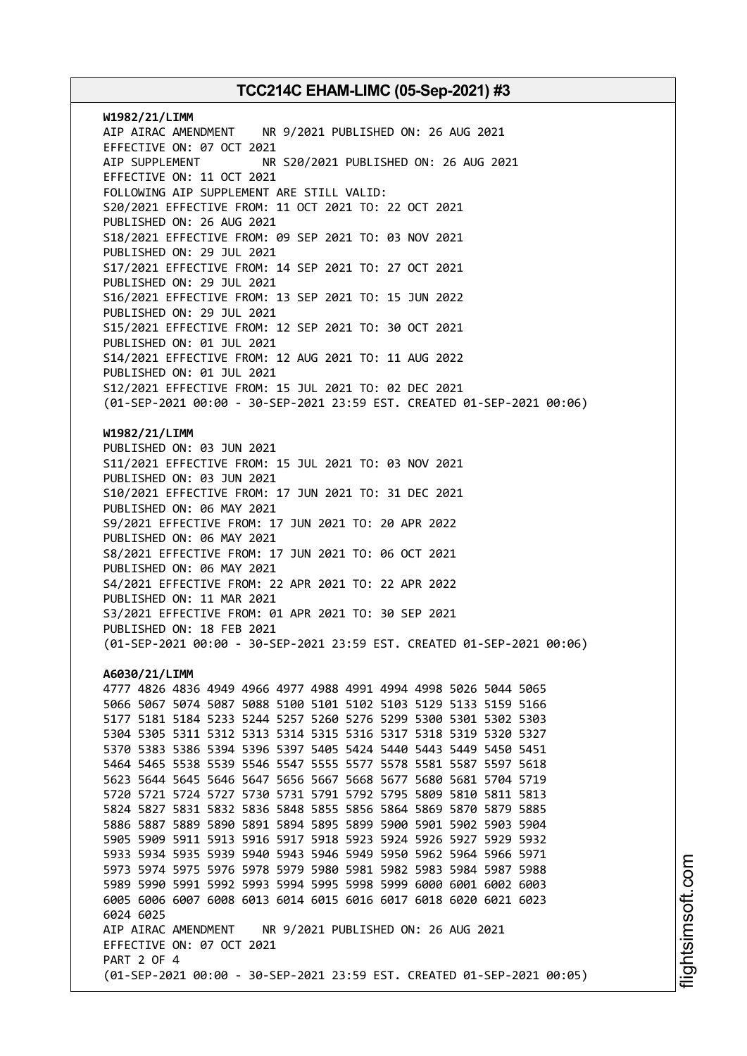**W1982/21/LIMM** AIP AIRAC AMENDMENT NR 9/2021 PUBLISHED ON: 26 AUG 2021 EFFECTIVE ON: 07 OCT 2021 AIP SUPPLEMENT NR S20/2021 PUBLISHED ON: 26 AUG 2021 EFFECTIVE ON: 11 OCT 2021 FOLLOWING AIP SUPPLEMENT ARE STILL VALID: S20/2021 EFFECTIVE FROM: 11 OCT 2021 TO: 22 OCT 2021 PUBLISHED ON: 26 AUG 2021 S18/2021 EFFECTIVE FROM: 09 SEP 2021 TO: 03 NOV 2021 PUBLISHED ON: 29 JUL 2021 S17/2021 EFFECTIVE FROM: 14 SEP 2021 TO: 27 OCT 2021 PUBLISHED ON: 29 JUL 2021 S16/2021 EFFECTIVE FROM: 13 SEP 2021 TO: 15 JUN 2022 PUBLISHED ON: 29 JUL 2021 S15/2021 EFFECTIVE FROM: 12 SEP 2021 TO: 30 OCT 2021 PUBLISHED ON: 01 JUL 2021 S14/2021 EFFECTIVE FROM: 12 AUG 2021 TO: 11 AUG 2022 PUBLISHED ON: 01 JUL 2021 S12/2021 EFFECTIVE FROM: 15 JUL 2021 TO: 02 DEC 2021 (01-SEP-2021 00:00 - 30-SEP-2021 23:59 EST. CREATED 01-SEP-2021 00:06) **W1982/21/LIMM** PUBLISHED ON: 03 JUN 2021 S11/2021 EFFECTIVE FROM: 15 JUL 2021 TO: 03 NOV 2021 PUBLISHED ON: 03 JUN 2021 S10/2021 EFFECTIVE FROM: 17 JUN 2021 TO: 31 DEC 2021 PUBLISHED ON: 06 MAY 2021 S9/2021 EFFECTIVE FROM: 17 JUN 2021 TO: 20 APR 2022 PUBLISHED ON: 06 MAY 2021 S8/2021 EFFECTIVE FROM: 17 JUN 2021 TO: 06 OCT 2021 PUBLISHED ON: 06 MAY 2021 S4/2021 EFFECTIVE FROM: 22 APR 2021 TO: 22 APR 2022 PUBLISHED ON: 11 MAR 2021 S3/2021 EFFECTIVE FROM: 01 APR 2021 TO: 30 SEP 2021 PUBLISHED ON: 18 FEB 2021 (01-SEP-2021 00:00 - 30-SEP-2021 23:59 EST. CREATED 01-SEP-2021 00:06) **A6030/21/LIMM** 4777 4826 4836 4949 4966 4977 4988 4991 4994 4998 5026 5044 5065 5066 5067 5074 5087 5088 5100 5101 5102 5103 5129 5133 5159 5166 5177 5181 5184 5233 5244 5257 5260 5276 5299 5300 5301 5302 5303

 5305 5311 5312 5313 5314 5315 5316 5317 5318 5319 5320 5327 5383 5386 5394 5396 5397 5405 5424 5440 5443 5449 5450 5451 5465 5538 5539 5546 5547 5555 5577 5578 5581 5587 5597 5618 5644 5645 5646 5647 5656 5667 5668 5677 5680 5681 5704 5719 5721 5724 5727 5730 5731 5791 5792 5795 5809 5810 5811 5813 5827 5831 5832 5836 5848 5855 5856 5864 5869 5870 5879 5885 5887 5889 5890 5891 5894 5895 5899 5900 5901 5902 5903 5904 5909 5911 5913 5916 5917 5918 5923 5924 5926 5927 5929 5932 5934 5935 5939 5940 5943 5946 5949 5950 5962 5964 5966 5971 5974 5975 5976 5978 5979 5980 5981 5982 5983 5984 5987 5988 5990 5991 5992 5993 5994 5995 5998 5999 6000 6001 6002 6003 6006 6007 6008 6013 6014 6015 6016 6017 6018 6020 6021 6023 6024 6025 AIP AIRAC AMENDMENT NR 9/2021 PUBLISHED ON: 26 AUG 2021 EFFECTIVE ON: 07 OCT 2021 PART 2 OF 4 (01-SEP-2021 00:00 - 30-SEP-2021 23:59 EST. CREATED 01-SEP-2021 00:05)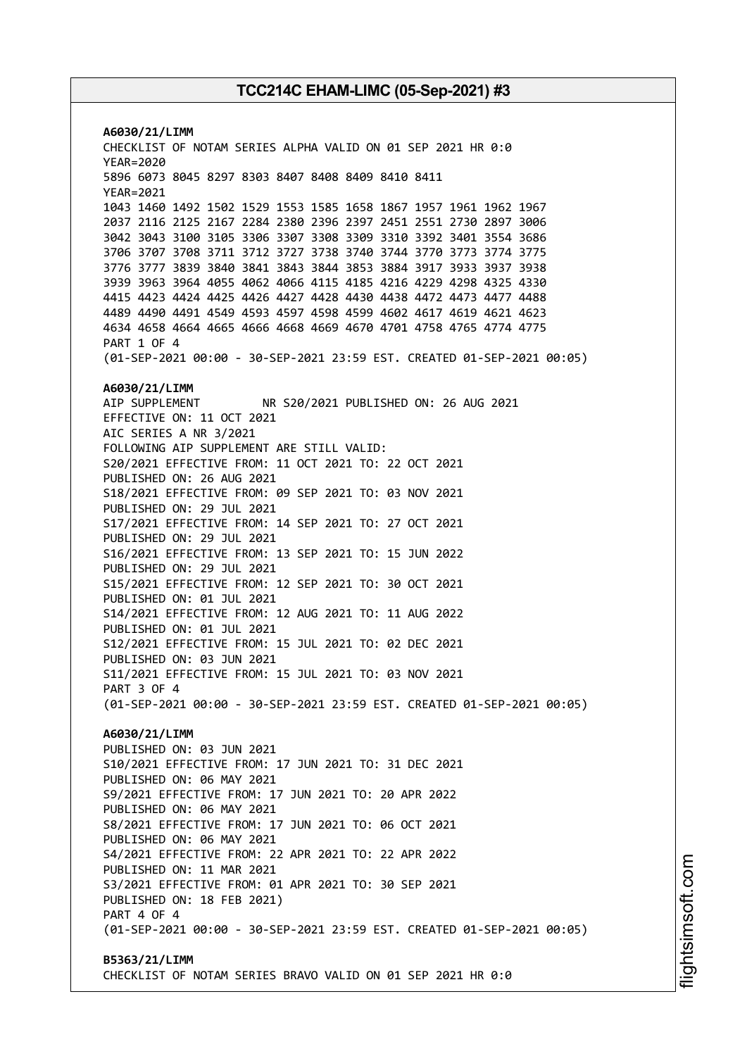**A6030/21/LIMM** CHECKLIST OF NOTAM SERIES ALPHA VALID ON 01 SEP 2021 HR 0:0 YEAR=2020 5896 6073 8045 8297 8303 8407 8408 8409 8410 8411 YFAR=2021 1043 1460 1492 1502 1529 1553 1585 1658 1867 1957 1961 1962 1967 2037 2116 2125 2167 2284 2380 2396 2397 2451 2551 2730 2897 3006 3042 3043 3100 3105 3306 3307 3308 3309 3310 3392 3401 3554 3686 3706 3707 3708 3711 3712 3727 3738 3740 3744 3770 3773 3774 3775 3776 3777 3839 3840 3841 3843 3844 3853 3884 3917 3933 3937 3938 3939 3963 3964 4055 4062 4066 4115 4185 4216 4229 4298 4325 4330 4415 4423 4424 4425 4426 4427 4428 4430 4438 4472 4473 4477 4488 4489 4490 4491 4549 4593 4597 4598 4599 4602 4617 4619 4621 4623 4634 4658 4664 4665 4666 4668 4669 4670 4701 4758 4765 4774 4775 PART 1 OF 4 (01-SEP-2021 00:00 - 30-SEP-2021 23:59 EST. CREATED 01-SEP-2021 00:05) **A6030/21/LIMM** AIP SUPPLEMENT NR S20/2021 PUBLISHED ON: 26 AUG 2021 EFFECTIVE ON: 11 OCT 2021 AIC SERIES A NR 3/2021 FOLLOWING AIP SUPPLEMENT ARE STILL VALID: S20/2021 EFFECTIVE FROM: 11 OCT 2021 TO: 22 OCT 2021 PUBLISHED ON: 26 AUG 2021 S18/2021 EFFECTIVE FROM: 09 SEP 2021 TO: 03 NOV 2021 PUBLISHED ON: 29 JUL 2021 S17/2021 EFFECTIVE FROM: 14 SEP 2021 TO: 27 OCT 2021 PUBLISHED ON: 29 JUL 2021 S16/2021 EFFECTIVE FROM: 13 SEP 2021 TO: 15 JUN 2022 PUBLISHED ON: 29 JUL 2021 S15/2021 EFFECTIVE FROM: 12 SEP 2021 TO: 30 OCT 2021 PUBLISHED ON: 01 JUL 2021 S14/2021 EFFECTIVE FROM: 12 AUG 2021 TO: 11 AUG 2022 PUBLISHED ON: 01 JUL 2021 S12/2021 EFFECTIVE FROM: 15 JUL 2021 TO: 02 DEC 2021 PUBLISHED ON: 03 JUN 2021 S11/2021 EFFECTIVE FROM: 15 JUL 2021 TO: 03 NOV 2021 PART 3 OF 4 (01-SEP-2021 00:00 - 30-SEP-2021 23:59 EST. CREATED 01-SEP-2021 00:05) **A6030/21/LIMM** PUBLISHED ON: 03 JUN 2021 S10/2021 EFFECTIVE FROM: 17 JUN 2021 TO: 31 DEC 2021 PUBLISHED ON: 06 MAY 2021 S9/2021 EFFECTIVE FROM: 17 JUN 2021 TO: 20 APR 2022 PUBLISHED ON: 06 MAY 2021 S8/2021 EFFECTIVE FROM: 17 JUN 2021 TO: 06 OCT 2021 PUBLISHED ON: 06 MAY 2021 S4/2021 EFFECTIVE FROM: 22 APR 2021 TO: 22 APR 2022 PUBLISHED ON: 11 MAR 2021 S3/2021 EFFECTIVE FROM: 01 APR 2021 TO: 30 SEP 2021 PUBLISHED ON: 18 FEB 2021) PART 4 OF 4 (01-SEP-2021 00:00 - 30-SEP-2021 23:59 EST. CREATED 01-SEP-2021 00:05) **B5363/21/LIMM** CHECKLIST OF NOTAM SERIES BRAVO VALID ON 01 SEP 2021 HR 0:0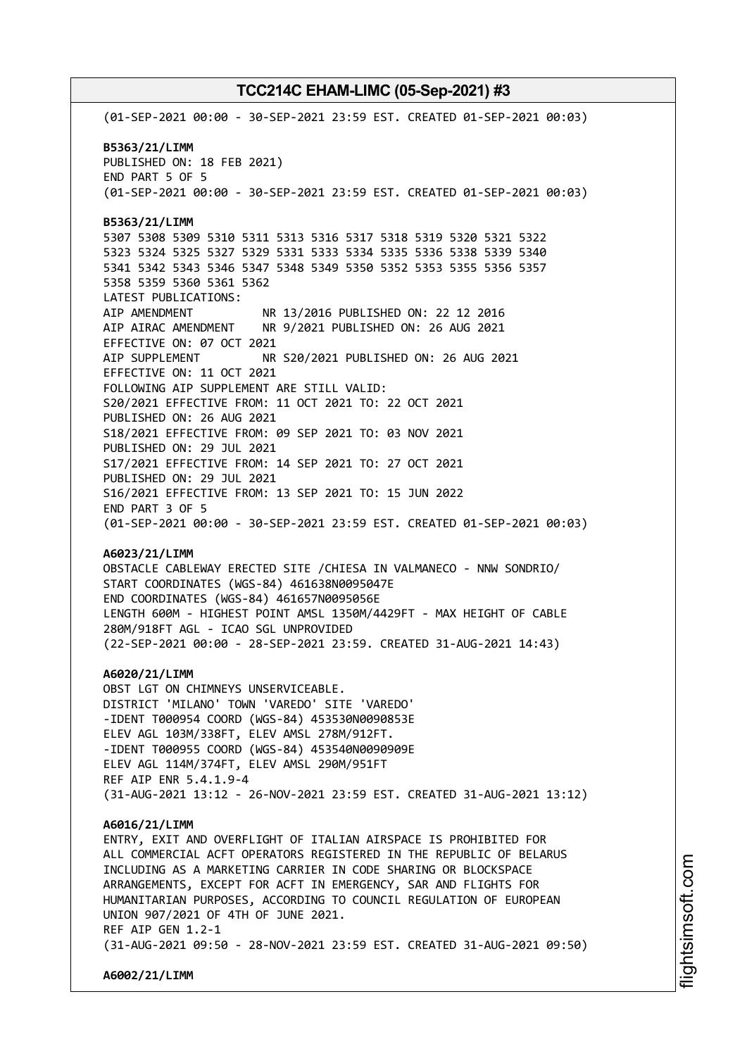(01-SEP-2021 00:00 - 30-SEP-2021 23:59 EST. CREATED 01-SEP-2021 00:03) **B5363/21/LIMM** PUBLISHED ON: 18 FEB 2021) END PART 5 OF 5 (01-SEP-2021 00:00 - 30-SEP-2021 23:59 EST. CREATED 01-SEP-2021 00:03) **B5363/21/LIMM** 5307 5308 5309 5310 5311 5313 5316 5317 5318 5319 5320 5321 5322 5323 5324 5325 5327 5329 5331 5333 5334 5335 5336 5338 5339 5340 5341 5342 5343 5346 5347 5348 5349 5350 5352 5353 5355 5356 5357 5358 5359 5360 5361 5362 LATEST PUBLICATIONS: AIP AMENDMENT NR 13/2016 PUBLISHED ON: 22 12 2016 AIP AIRAC AMENDMENT NR 9/2021 PUBLISHED ON: 26 AUG 2021 EFFECTIVE ON: 07 OCT 2021 AIP SUPPLEMENT NR S20/2021 PUBLISHED ON: 26 AUG 2021 EFFECTIVE ON: 11 OCT 2021 FOLLOWING AIP SUPPLEMENT ARE STILL VALID: S20/2021 EFFECTIVE FROM: 11 OCT 2021 TO: 22 OCT 2021 PUBLISHED ON: 26 AUG 2021 S18/2021 EFFECTIVE FROM: 09 SEP 2021 TO: 03 NOV 2021 PUBLISHED ON: 29 JUL 2021 S17/2021 EFFECTIVE FROM: 14 SEP 2021 TO: 27 OCT 2021 PUBLISHED ON: 29 JUL 2021 S16/2021 EFFECTIVE FROM: 13 SEP 2021 TO: 15 JUN 2022 END PART 3 OF 5 (01-SEP-2021 00:00 - 30-SEP-2021 23:59 EST. CREATED 01-SEP-2021 00:03) **A6023/21/LIMM** OBSTACLE CABLEWAY ERECTED SITE /CHIESA IN VALMANECO - NNW SONDRIO/ START COORDINATES (WGS-84) 461638N0095047E END COORDINATES (WGS-84) 461657N0095056E LENGTH 600M - HIGHEST POINT AMSL 1350M/4429FT - MAX HEIGHT OF CABLE 280M/918FT AGL - ICAO SGL UNPROVIDED (22-SEP-2021 00:00 - 28-SEP-2021 23:59. CREATED 31-AUG-2021 14:43) **A6020/21/LIMM** OBST LGT ON CHIMNEYS UNSERVICEABLE. DISTRICT 'MILANO' TOWN 'VAREDO' SITE 'VAREDO' -IDENT T000954 COORD (WGS-84) 453530N0090853E ELEV AGL 103M/338FT, ELEV AMSL 278M/912FT. -IDENT T000955 COORD (WGS-84) 453540N0090909E ELEV AGL 114M/374FT, ELEV AMSL 290M/951FT REF AIP ENR 5.4.1.9-4 (31-AUG-2021 13:12 - 26-NOV-2021 23:59 EST. CREATED 31-AUG-2021 13:12) **A6016/21/LIMM** ENTRY, EXIT AND OVERFLIGHT OF ITALIAN AIRSPACE IS PROHIBITED FOR ALL COMMERCIAL ACFT OPERATORS REGISTERED IN THE REPUBLIC OF BELARUS INCLUDING AS A MARKETING CARRIER IN CODE SHARING OR BLOCKSPACE ARRANGEMENTS, EXCEPT FOR ACFT IN EMERGENCY, SAR AND FLIGHTS FOR HUMANITARIAN PURPOSES, ACCORDING TO COUNCIL REGULATION OF EUROPEAN UNION 907/2021 OF 4TH OF JUNE 2021. REF AIP GEN 1.2-1 (31-AUG-2021 09:50 - 28-NOV-2021 23:59 EST. CREATED 31-AUG-2021 09:50) **A6002/21/LIMM**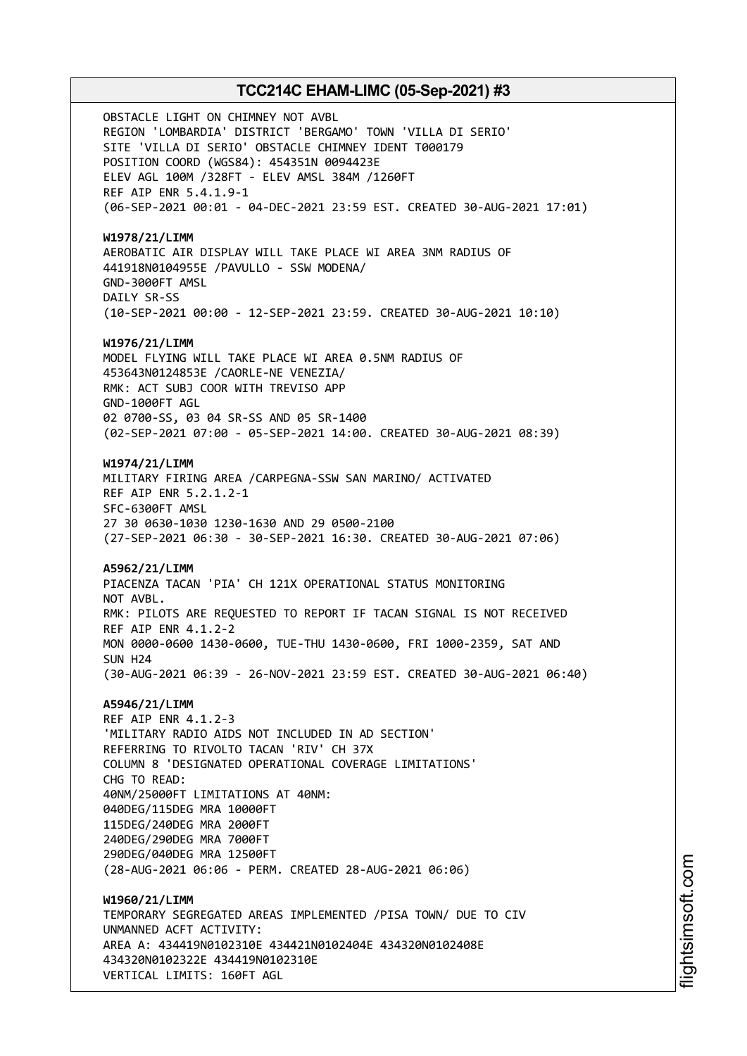OBSTACLE LIGHT ON CHIMNEY NOT AVBL REGION 'LOMBARDIA' DISTRICT 'BERGAMO' TOWN 'VILLA DI SERIO' SITE 'VILLA DI SERIO' OBSTACLE CHIMNEY IDENT T000179 POSITION COORD (WGS84): 454351N 0094423E ELEV AGL 100M /328FT - ELEV AMSL 384M /1260FT REF AIP ENR 5.4.1.9-1 (06-SEP-2021 00:01 - 04-DEC-2021 23:59 EST. CREATED 30-AUG-2021 17:01) **W1978/21/LIMM** AEROBATIC AIR DISPLAY WILL TAKE PLACE WI AREA 3NM RADIUS OF 441918N0104955E /PAVULLO - SSW MODENA/ GND-3000FT AMSL DAILY SR-SS (10-SEP-2021 00:00 - 12-SEP-2021 23:59. CREATED 30-AUG-2021 10:10)

**W1976/21/LIMM**

MODEL FLYING WILL TAKE PLACE WI AREA 0.5NM RADIUS OF 453643N0124853E /CAORLE-NE VENEZIA/ RMK: ACT SUBJ COOR WITH TREVISO APP GND-1000FT AGL 02 0700-SS, 03 04 SR-SS AND 05 SR-1400 (02-SEP-2021 07:00 - 05-SEP-2021 14:00. CREATED 30-AUG-2021 08:39)

**W1974/21/LIMM** MILITARY FIRING AREA /CARPEGNA-SSW SAN MARINO/ ACTIVATED REF AIP ENR 5.2.1.2-1 SFC-6300FT AMSL 27 30 0630-1030 1230-1630 AND 29 0500-2100

(27-SEP-2021 06:30 - 30-SEP-2021 16:30. CREATED 30-AUG-2021 07:06)

**A5962/21/LIMM**

PIACENZA TACAN 'PIA' CH 121X OPERATIONAL STATUS MONITORING NOT AVBL. RMK: PILOTS ARE REQUESTED TO REPORT IF TACAN SIGNAL IS NOT RECEIVED REF AIP ENR 4.1.2-2 MON 0000-0600 1430-0600, TUE-THU 1430-0600, FRI 1000-2359, SAT AND SUN H24 (30-AUG-2021 06:39 - 26-NOV-2021 23:59 EST. CREATED 30-AUG-2021 06:40)

**A5946/21/LIMM**

REF AIP ENR 4.1.2-3 'MILITARY RADIO AIDS NOT INCLUDED IN AD SECTION' REFERRING TO RIVOLTO TACAN 'RIV' CH 37X COLUMN 8 'DESIGNATED OPERATIONAL COVERAGE LIMITATIONS' CHG TO READ: 40NM/25000FT LIMITATIONS AT 40NM: 040DEG/115DEG MRA 10000FT 115DEG/240DEG MRA 2000FT 240DEG/290DEG MRA 7000FT 290DEG/040DEG MRA 12500FT (28-AUG-2021 06:06 - PERM. CREATED 28-AUG-2021 06:06)

**W1960/21/LIMM** TEMPORARY SEGREGATED AREAS IMPLEMENTED /PISA TOWN/ DUE TO CIV UNMANNED ACFT ACTIVITY: AREA A: 434419N0102310E 434421N0102404E 434320N0102408E 434320N0102322E 434419N0102310E VERTICAL LIMITS: 160FT AGL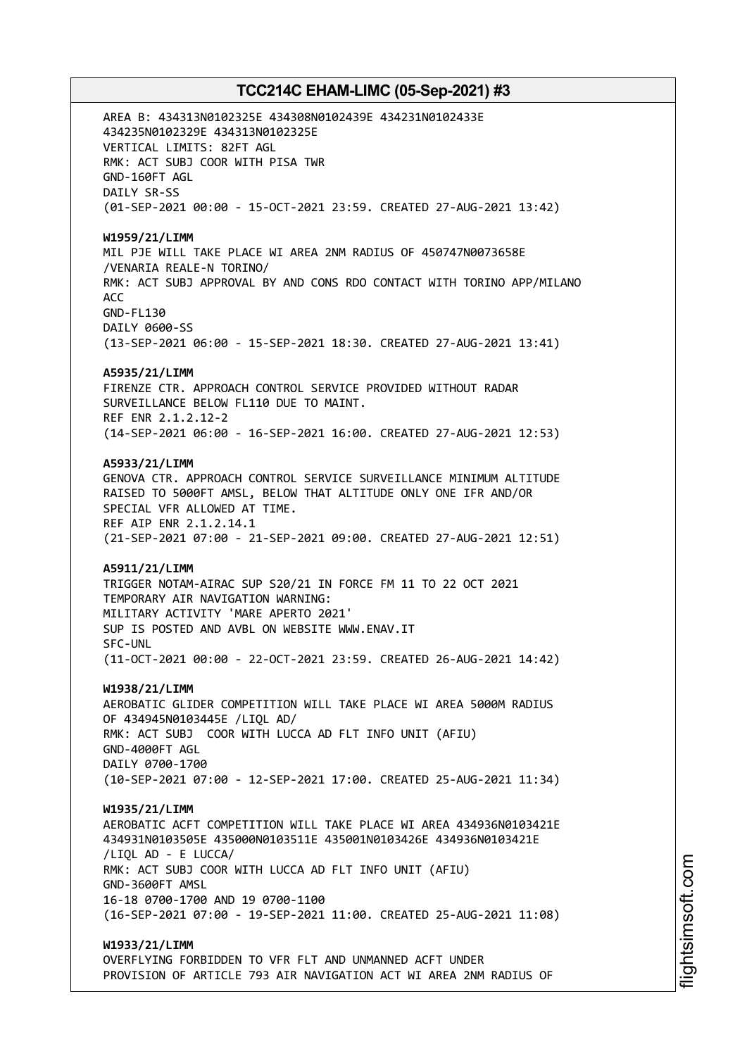AREA B: 434313N0102325E 434308N0102439E 434231N0102433E 434235N0102329E 434313N0102325E VERTICAL LIMITS: 82FT AGL RMK: ACT SUBJ COOR WITH PISA TWR GND-160FT AGL DAILY SR-SS (01-SEP-2021 00:00 - 15-OCT-2021 23:59. CREATED 27-AUG-2021 13:42) **W1959/21/LIMM** MIL PJE WILL TAKE PLACE WI AREA 2NM RADIUS OF 450747N0073658E /VENARIA REALE-N TORINO/ RMK: ACT SUBJ APPROVAL BY AND CONS RDO CONTACT WITH TORINO APP/MILANO ACC GND-FL130 DAILY 0600-SS (13-SEP-2021 06:00 - 15-SEP-2021 18:30. CREATED 27-AUG-2021 13:41) **A5935/21/LIMM** FIRENZE CTR. APPROACH CONTROL SERVICE PROVIDED WITHOUT RADAR SURVEILLANCE BELOW FL110 DUE TO MAINT. REF ENR 2.1.2.12-2 (14-SEP-2021 06:00 - 16-SEP-2021 16:00. CREATED 27-AUG-2021 12:53) **A5933/21/LIMM** GENOVA CTR. APPROACH CONTROL SERVICE SURVEILLANCE MINIMUM ALTITUDE RAISED TO 5000FT AMSL, BELOW THAT ALTITUDE ONLY ONE IFR AND/OR SPECIAL VFR ALLOWED AT TIME. REF AIP ENR 2.1.2.14.1 (21-SEP-2021 07:00 - 21-SEP-2021 09:00. CREATED 27-AUG-2021 12:51) **A5911/21/LIMM** TRIGGER NOTAM-AIRAC SUP S20/21 IN FORCE FM 11 TO 22 OCT 2021 TEMPORARY AIR NAVIGATION WARNING: MILITARY ACTIVITY 'MARE APERTO 2021' SUP IS POSTED AND AVBL ON WEBSITE WWW.ENAV.IT SFC-UNL (11-OCT-2021 00:00 - 22-OCT-2021 23:59. CREATED 26-AUG-2021 14:42) **W1938/21/LIMM** AEROBATIC GLIDER COMPETITION WILL TAKE PLACE WI AREA 5000M RADIUS OF 434945N0103445E /LIQL AD/ RMK: ACT SUBJ COOR WITH LUCCA AD FLT INFO UNIT (AFIU) GND-4000FT AGL DAILY 0700-1700 (10-SEP-2021 07:00 - 12-SEP-2021 17:00. CREATED 25-AUG-2021 11:34) **W1935/21/LIMM** AEROBATIC ACFT COMPETITION WILL TAKE PLACE WI AREA 434936N0103421E 434931N0103505E 435000N0103511E 435001N0103426E 434936N0103421E /LIQL AD - E LUCCA/ RMK: ACT SUBJ COOR WITH LUCCA AD FLT INFO UNIT (AFIU) GND-3600FT AMSL 16-18 0700-1700 AND 19 0700-1100 (16-SEP-2021 07:00 - 19-SEP-2021 11:00. CREATED 25-AUG-2021 11:08) **W1933/21/LIMM**

OVERFLYING FORBIDDEN TO VFR FLT AND UNMANNED ACFT UNDER PROVISION OF ARTICLE 793 AIR NAVIGATION ACT WI AREA 2NM RADIUS OF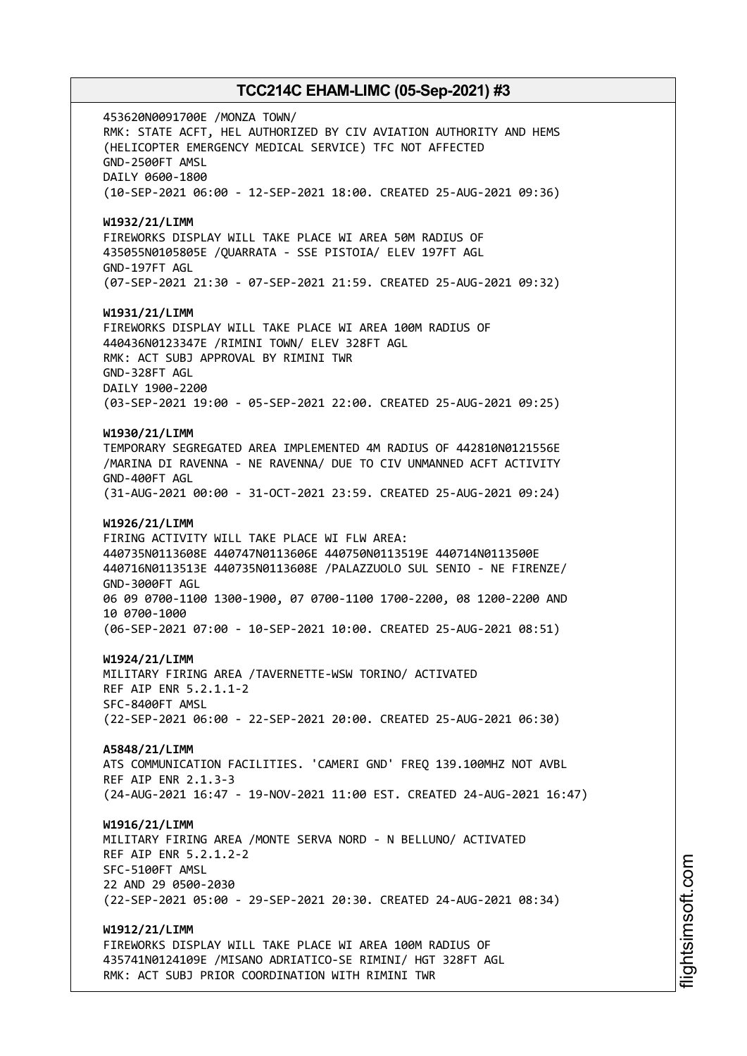453620N0091700E /MONZA TOWN/ RMK: STATE ACFT, HEL AUTHORIZED BY CIV AVIATION AUTHORITY AND HEMS (HELICOPTER EMERGENCY MEDICAL SERVICE) TFC NOT AFFECTED GND-2500FT AMSL DAILY 0600-1800 (10-SEP-2021 06:00 - 12-SEP-2021 18:00. CREATED 25-AUG-2021 09:36) **W1932/21/LIMM** FIREWORKS DISPLAY WILL TAKE PLACE WI AREA 50M RADIUS OF 435055N0105805E /QUARRATA - SSE PISTOIA/ ELEV 197FT AGL GND-197FT AGL (07-SEP-2021 21:30 - 07-SEP-2021 21:59. CREATED 25-AUG-2021 09:32) **W1931/21/LIMM** FIREWORKS DISPLAY WILL TAKE PLACE WI AREA 100M RADIUS OF 440436N0123347E /RIMINI TOWN/ ELEV 328FT AGL RMK: ACT SUBJ APPROVAL BY RIMINI TWR GND-328FT AGL DAILY 1900-2200 (03-SEP-2021 19:00 - 05-SEP-2021 22:00. CREATED 25-AUG-2021 09:25) **W1930/21/LIMM** TEMPORARY SEGREGATED AREA IMPLEMENTED 4M RADIUS OF 442810N0121556E /MARINA DI RAVENNA - NE RAVENNA/ DUE TO CIV UNMANNED ACFT ACTIVITY GND-400FT AGL (31-AUG-2021 00:00 - 31-OCT-2021 23:59. CREATED 25-AUG-2021 09:24) **W1926/21/LIMM** FIRING ACTIVITY WILL TAKE PLACE WI FLW AREA: 440735N0113608E 440747N0113606E 440750N0113519E 440714N0113500E 440716N0113513E 440735N0113608E /PALAZZUOLO SUL SENIO - NE FIRENZE/ GND-3000FT AGL 06 09 0700-1100 1300-1900, 07 0700-1100 1700-2200, 08 1200-2200 AND 10 0700-1000 (06-SEP-2021 07:00 - 10-SEP-2021 10:00. CREATED 25-AUG-2021 08:51) **W1924/21/LIMM** MILITARY FIRING AREA /TAVERNETTE-WSW TORINO/ ACTIVATED REF AIP ENR 5.2.1.1-2 SFC-8400FT AMSL (22-SEP-2021 06:00 - 22-SEP-2021 20:00. CREATED 25-AUG-2021 06:30) **A5848/21/LIMM** ATS COMMUNICATION FACILITIES. 'CAMERI GND' FREQ 139.100MHZ NOT AVBL REF AIP ENR 2.1.3-3 (24-AUG-2021 16:47 - 19-NOV-2021 11:00 EST. CREATED 24-AUG-2021 16:47) **W1916/21/LIMM** MILITARY FIRING AREA /MONTE SERVA NORD - N BELLUNO/ ACTIVATED REF AIP ENR 5.2.1.2-2 SFC-5100FT AMSL 22 AND 29 0500-2030 (22-SEP-2021 05:00 - 29-SEP-2021 20:30. CREATED 24-AUG-2021 08:34) **W1912/21/LIMM** FIREWORKS DISPLAY WILL TAKE PLACE WI AREA 100M RADIUS OF 435741N0124109E /MISANO ADRIATICO-SE RIMINI/ HGT 328FT AGL

RMK: ACT SUBJ PRIOR COORDINATION WITH RIMINI TWR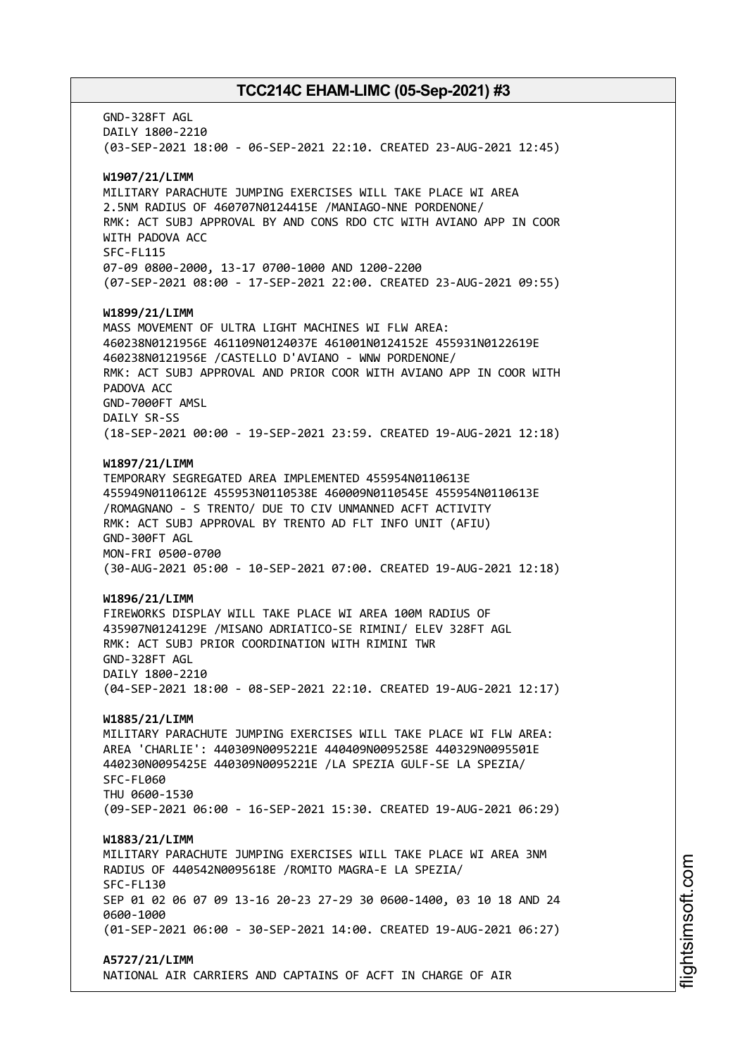GND-328FT AGL DAILY 1800-2210 (03-SEP-2021 18:00 - 06-SEP-2021 22:10. CREATED 23-AUG-2021 12:45) **W1907/21/LIMM** MILITARY PARACHUTE JUMPING EXERCISES WILL TAKE PLACE WI AREA 2.5NM RADIUS OF 460707N0124415E /MANIAGO-NNE PORDENONE/ RMK: ACT SUBJ APPROVAL BY AND CONS RDO CTC WITH AVIANO APP IN COOR WITH PADOVA ACC SFC-FL115 07-09 0800-2000, 13-17 0700-1000 AND 1200-2200 (07-SEP-2021 08:00 - 17-SEP-2021 22:00. CREATED 23-AUG-2021 09:55) **W1899/21/LIMM** MASS MOVEMENT OF ULTRA LIGHT MACHINES WI FLW AREA: 460238N0121956E 461109N0124037E 461001N0124152E 455931N0122619E 460238N0121956E /CASTELLO D'AVIANO - WNW PORDENONE/ RMK: ACT SUBJ APPROVAL AND PRIOR COOR WITH AVIANO APP IN COOR WITH PADOVA ACC GND-7000FT AMSL DAILY SR-SS (18-SEP-2021 00:00 - 19-SEP-2021 23:59. CREATED 19-AUG-2021 12:18) **W1897/21/LIMM** TEMPORARY SEGREGATED AREA IMPLEMENTED 455954N0110613E 455949N0110612E 455953N0110538E 460009N0110545E 455954N0110613E /ROMAGNANO - S TRENTO/ DUE TO CIV UNMANNED ACFT ACTIVITY RMK: ACT SUBJ APPROVAL BY TRENTO AD FLT INFO UNIT (AFIU) GND-300FT AGL MON-FRI 0500-0700 (30-AUG-2021 05:00 - 10-SEP-2021 07:00. CREATED 19-AUG-2021 12:18) **W1896/21/LIMM** FIREWORKS DISPLAY WILL TAKE PLACE WI AREA 100M RADIUS OF 435907N0124129E /MISANO ADRIATICO-SE RIMINI/ ELEV 328FT AGL RMK: ACT SUBJ PRIOR COORDINATION WITH RIMINI TWR GND-328FT AGL DAILY 1800-2210 (04-SEP-2021 18:00 - 08-SEP-2021 22:10. CREATED 19-AUG-2021 12:17) **W1885/21/LIMM** MILITARY PARACHUTE JUMPING EXERCISES WILL TAKE PLACE WI FLW AREA: AREA 'CHARLIE': 440309N0095221E 440409N0095258E 440329N0095501E 440230N0095425E 440309N0095221E /LA SPEZIA GULF-SE LA SPEZIA/ SFC-FL060 THU 0600-1530 (09-SEP-2021 06:00 - 16-SEP-2021 15:30. CREATED 19-AUG-2021 06:29) **W1883/21/LIMM** MILITARY PARACHUTE JUMPING EXERCISES WILL TAKE PLACE WI AREA 3NM RADIUS OF 440542N0095618E /ROMITO MAGRA-E LA SPEZIA/ SFC-FL130 SEP 01 02 06 07 09 13-16 20-23 27-29 30 0600-1400, 03 10 18 AND 24 0600-1000 (01-SEP-2021 06:00 - 30-SEP-2021 14:00. CREATED 19-AUG-2021 06:27) **A5727/21/LIMM** NATIONAL AIR CARRIERS AND CAPTAINS OF ACFT IN CHARGE OF AIR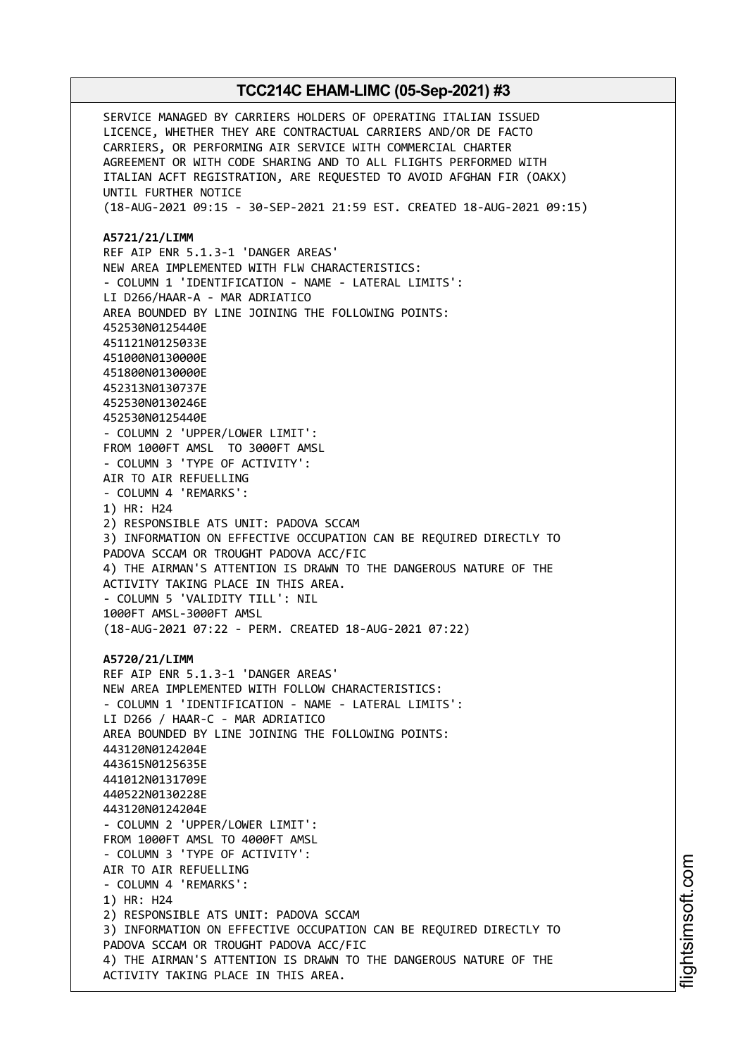SERVICE MANAGED BY CARRIERS HOLDERS OF OPERATING ITALIAN ISSUED LICENCE, WHETHER THEY ARE CONTRACTUAL CARRIERS AND/OR DE FACTO CARRIERS, OR PERFORMING AIR SERVICE WITH COMMERCIAL CHARTER AGREEMENT OR WITH CODE SHARING AND TO ALL FLIGHTS PERFORMED WITH ITALIAN ACFT REGISTRATION, ARE REQUESTED TO AVOID AFGHAN FIR (OAKX) UNTIL FURTHER NOTICE (18-AUG-2021 09:15 - 30-SEP-2021 21:59 EST. CREATED 18-AUG-2021 09:15) **A5721/21/LIMM** REF AIP ENR 5.1.3-1 'DANGER AREAS' NEW AREA IMPLEMENTED WITH FLW CHARACTERISTICS: - COLUMN 1 'IDENTIFICATION - NAME - LATERAL LIMITS': LI D266/HAAR-A - MAR ADRIATICO AREA BOUNDED BY LINE JOINING THE FOLLOWING POINTS: 452530N0125440E 451121N0125033E 451000N0130000E 451800N0130000E 452313N0130737E 452530N0130246E 452530N0125440E - COLUMN 2 'UPPER/LOWER LIMIT': FROM 1000FT AMSL TO 3000FT AMSL - COLUMN 3 'TYPE OF ACTIVITY': AIR TO AIR REFUELLING - COLUMN 4 'REMARKS': 1) HR: H24 2) RESPONSIBLE ATS UNIT: PADOVA SCCAM 3) INFORMATION ON EFFECTIVE OCCUPATION CAN BE REQUIRED DIRECTLY TO PADOVA SCCAM OR TROUGHT PADOVA ACC/FIC 4) THE AIRMAN'S ATTENTION IS DRAWN TO THE DANGEROUS NATURE OF THE ACTIVITY TAKING PLACE IN THIS AREA. - COLUMN 5 'VALIDITY TILL': NIL 1000FT AMSL-3000FT AMSL (18-AUG-2021 07:22 - PERM. CREATED 18-AUG-2021 07:22) **A5720/21/LIMM** REF AIP ENR 5.1.3-1 'DANGER AREAS' NEW AREA IMPLEMENTED WITH FOLLOW CHARACTERISTICS: - COLUMN 1 'IDENTIFICATION - NAME - LATERAL LIMITS': LI D266 / HAAR-C - MAR ADRIATICO AREA BOUNDED BY LINE JOINING THE FOLLOWING POINTS: 443120N0124204E 443615N0125635E 441012N0131709E 440522N0130228E 443120N0124204E - COLUMN 2 'UPPER/LOWER LIMIT': FROM 1000FT AMSL TO 4000FT AMSL - COLUMN 3 'TYPE OF ACTIVITY': AIR TO AIR REFUELLING - COLUMN 4 'REMARKS': 1) HR: H24 2) RESPONSIBLE ATS UNIT: PADOVA SCCAM 3) INFORMATION ON EFFECTIVE OCCUPATION CAN BE REQUIRED DIRECTLY TO PADOVA SCCAM OR TROUGHT PADOVA ACC/FIC 4) THE AIRMAN'S ATTENTION IS DRAWN TO THE DANGEROUS NATURE OF THE ACTIVITY TAKING PLACE IN THIS AREA.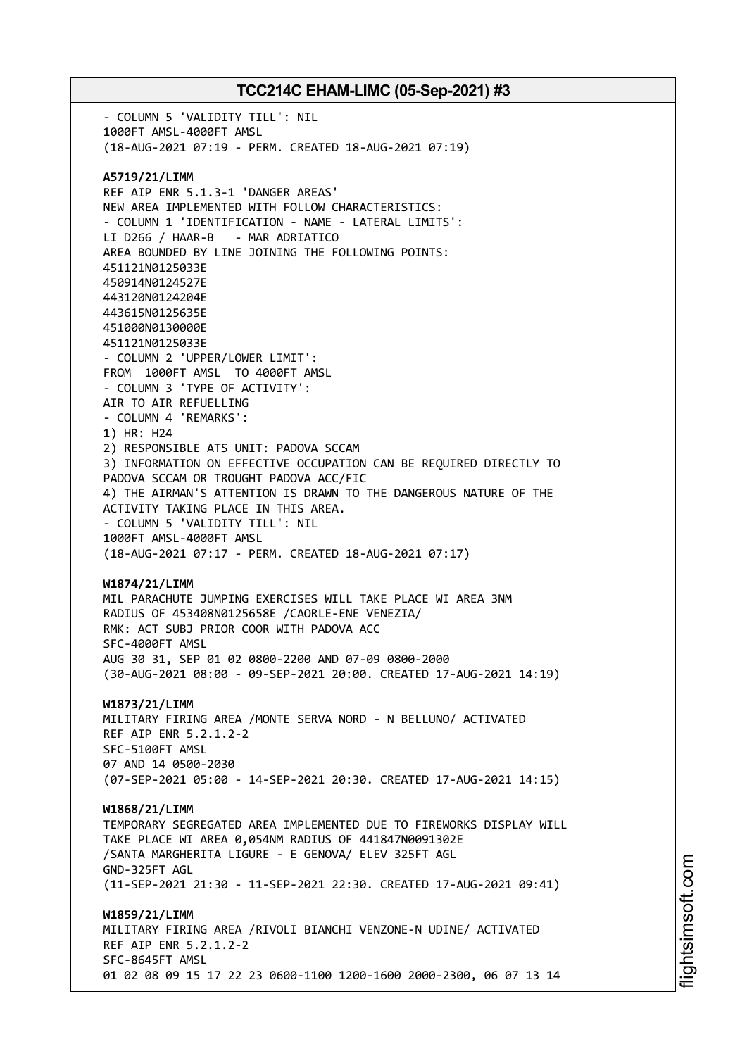- COLUMN 5 'VALIDITY TILL': NIL 1000FT AMSL-4000FT AMSL (18-AUG-2021 07:19 - PERM. CREATED 18-AUG-2021 07:19) **A5719/21/LIMM** REF AIP ENR 5.1.3-1 'DANGER AREAS' NEW AREA IMPLEMENTED WITH FOLLOW CHARACTERISTICS: - COLUMN 1 'IDENTIFICATION - NAME - LATERAL LIMITS': LI D266 / HAAR-B - MAR ADRIATICO AREA BOUNDED BY LINE JOINING THE FOLLOWING POINTS: 451121N0125033E 450914N0124527E 443120N0124204E 443615N0125635E 451000N0130000E 451121N0125033E - COLUMN 2 'UPPER/LOWER LIMIT': FROM 1000FT AMSL TO 4000FT AMSL - COLUMN 3 'TYPE OF ACTIVITY': AIR TO AIR REFUELLING - COLUMN 4 'REMARKS': 1) HR: H24 2) RESPONSIBLE ATS UNIT: PADOVA SCCAM 3) INFORMATION ON EFFECTIVE OCCUPATION CAN BE REQUIRED DIRECTLY TO PADOVA SCCAM OR TROUGHT PADOVA ACC/FIC 4) THE AIRMAN'S ATTENTION IS DRAWN TO THE DANGEROUS NATURE OF THE ACTIVITY TAKING PLACE IN THIS AREA. - COLUMN 5 'VALIDITY TILL': NIL 1000FT AMSL-4000FT AMSL (18-AUG-2021 07:17 - PERM. CREATED 18-AUG-2021 07:17) **W1874/21/LIMM** MIL PARACHUTE JUMPING EXERCISES WILL TAKE PLACE WI AREA 3NM RADIUS OF 453408N0125658E /CAORLE-ENE VENEZIA/ RMK: ACT SUBJ PRIOR COOR WITH PADOVA ACC SFC-4000FT AMSL AUG 30 31, SEP 01 02 0800-2200 AND 07-09 0800-2000 (30-AUG-2021 08:00 - 09-SEP-2021 20:00. CREATED 17-AUG-2021 14:19) **W1873/21/LIMM** MILITARY FIRING AREA /MONTE SERVA NORD - N BELLUNO/ ACTIVATED REF AIP ENR 5.2.1.2-2 SFC-5100FT AMSL 07 AND 14 0500-2030 (07-SEP-2021 05:00 - 14-SEP-2021 20:30. CREATED 17-AUG-2021 14:15) **W1868/21/LIMM** TEMPORARY SEGREGATED AREA IMPLEMENTED DUE TO FIREWORKS DISPLAY WILL TAKE PLACE WI AREA 0,054NM RADIUS OF 441847N0091302E /SANTA MARGHERITA LIGURE - E GENOVA/ ELEV 325FT AGL GND-325FT AGL (11-SEP-2021 21:30 - 11-SEP-2021 22:30. CREATED 17-AUG-2021 09:41) **W1859/21/LIMM** MILITARY FIRING AREA /RIVOLI BIANCHI VENZONE-N UDINE/ ACTIVATED REF AIP ENR 5.2.1.2-2 SFC-8645FT AMSL 01 02 08 09 15 17 22 23 0600-1100 1200-1600 2000-2300, 06 07 13 14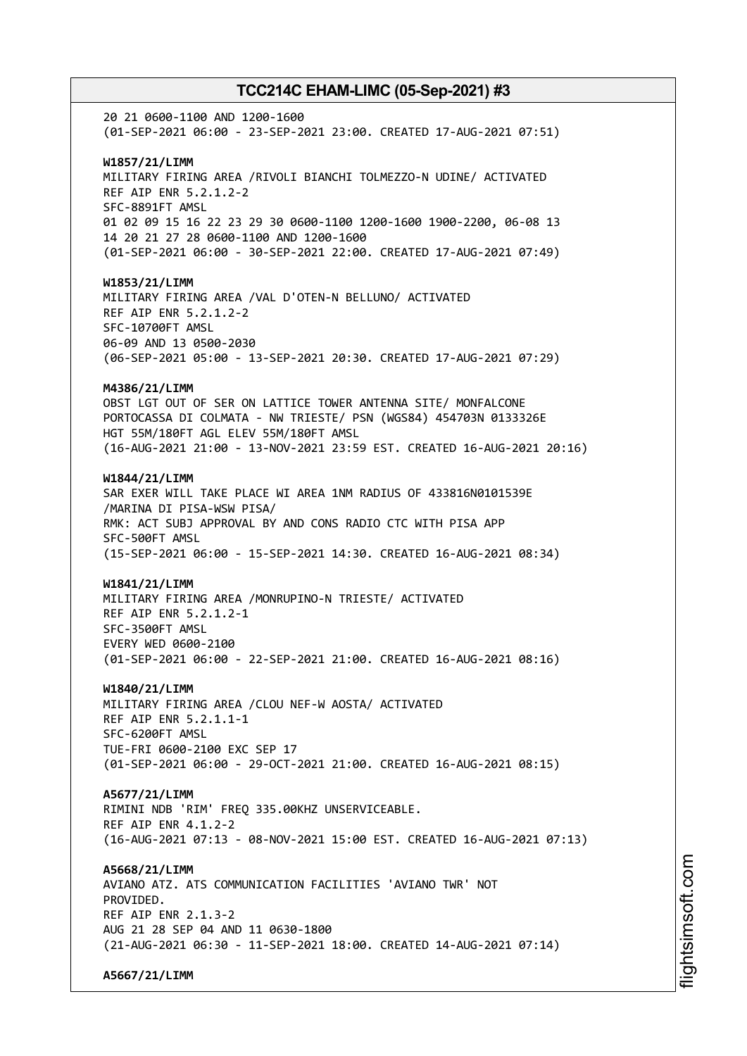20 21 0600-1100 AND 1200-1600 (01-SEP-2021 06:00 - 23-SEP-2021 23:00. CREATED 17-AUG-2021 07:51) **W1857/21/LIMM** MILITARY FIRING AREA /RIVOLI BIANCHI TOLMEZZO-N UDINE/ ACTIVATED REF AIP ENR 5.2.1.2-2 SFC-8891FT AMSL 01 02 09 15 16 22 23 29 30 0600-1100 1200-1600 1900-2200, 06-08 13 14 20 21 27 28 0600-1100 AND 1200-1600 (01-SEP-2021 06:00 - 30-SEP-2021 22:00. CREATED 17-AUG-2021 07:49) **W1853/21/LIMM** MILITARY FIRING AREA /VAL D'OTEN-N BELLUNO/ ACTIVATED REF AIP ENR 5.2.1.2-2 SFC-10700FT AMSL 06-09 AND 13 0500-2030 (06-SEP-2021 05:00 - 13-SEP-2021 20:30. CREATED 17-AUG-2021 07:29) **M4386/21/LIMM** OBST LGT OUT OF SER ON LATTICE TOWER ANTENNA SITE/ MONFALCONE PORTOCASSA DI COLMATA - NW TRIESTE/ PSN (WGS84) 454703N 0133326E HGT 55M/180FT AGL ELEV 55M/180FT AMSL (16-AUG-2021 21:00 - 13-NOV-2021 23:59 EST. CREATED 16-AUG-2021 20:16) **W1844/21/LIMM** SAR EXER WILL TAKE PLACE WI AREA 1NM RADIUS OF 433816N0101539E /MARINA DI PISA-WSW PISA/ RMK: ACT SUBJ APPROVAL BY AND CONS RADIO CTC WITH PISA APP SFC-500FT AMSL (15-SEP-2021 06:00 - 15-SEP-2021 14:30. CREATED 16-AUG-2021 08:34) **W1841/21/LIMM** MILITARY FIRING AREA /MONRUPINO-N TRIESTE/ ACTIVATED REF AIP ENR 5.2.1.2-1 SFC-3500FT AMSL EVERY WED 0600-2100 (01-SEP-2021 06:00 - 22-SEP-2021 21:00. CREATED 16-AUG-2021 08:16) **W1840/21/LIMM** MILITARY FIRING AREA /CLOU NEF-W AOSTA/ ACTIVATED REF AIP ENR 5.2.1.1-1 SFC-6200FT AMSL TUE-FRI 0600-2100 EXC SEP 17 (01-SEP-2021 06:00 - 29-OCT-2021 21:00. CREATED 16-AUG-2021 08:15) **A5677/21/LIMM** RIMINI NDB 'RIM' FREQ 335.00KHZ UNSERVICEABLE. REF AIP ENR 4.1.2-2 (16-AUG-2021 07:13 - 08-NOV-2021 15:00 EST. CREATED 16-AUG-2021 07:13) **A5668/21/LIMM** AVIANO ATZ. ATS COMMUNICATION FACILITIES 'AVIANO TWR' NOT PROVIDED. REF AIP ENR 2.1.3-2 AUG 21 28 SEP 04 AND 11 0630-1800 (21-AUG-2021 06:30 - 11-SEP-2021 18:00. CREATED 14-AUG-2021 07:14) **A5667/21/LIMM**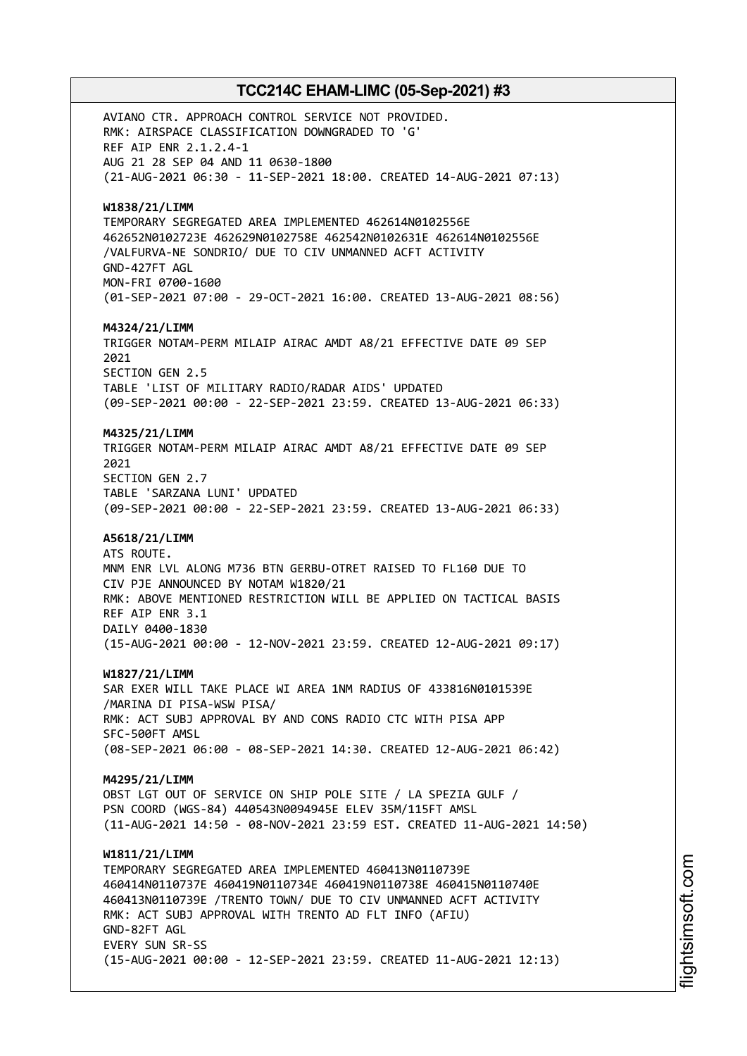AVIANO CTR. APPROACH CONTROL SERVICE NOT PROVIDED. RMK: AIRSPACE CLASSIFICATION DOWNGRADED TO 'G' REF AIP ENR 2.1.2.4-1 AUG 21 28 SEP 04 AND 11 0630-1800 (21-AUG-2021 06:30 - 11-SEP-2021 18:00. CREATED 14-AUG-2021 07:13) **W1838/21/LIMM** TEMPORARY SEGREGATED AREA IMPLEMENTED 462614N0102556E 462652N0102723E 462629N0102758E 462542N0102631E 462614N0102556E /VALFURVA-NE SONDRIO/ DUE TO CIV UNMANNED ACFT ACTIVITY GND-427FT AGL MON-FRI 0700-1600 (01-SEP-2021 07:00 - 29-OCT-2021 16:00. CREATED 13-AUG-2021 08:56) **M4324/21/LIMM** TRIGGER NOTAM-PERM MILAIP AIRAC AMDT A8/21 EFFECTIVE DATE 09 SEP 2021 SECTION GEN 2.5 TABLE 'LIST OF MILITARY RADIO/RADAR AIDS' UPDATED (09-SEP-2021 00:00 - 22-SEP-2021 23:59. CREATED 13-AUG-2021 06:33) **M4325/21/LIMM** TRIGGER NOTAM-PERM MILAIP AIRAC AMDT A8/21 EFFECTIVE DATE 09 SEP 2021 SECTION GEN 2.7 TABLE 'SARZANA LUNI' UPDATED (09-SEP-2021 00:00 - 22-SEP-2021 23:59. CREATED 13-AUG-2021 06:33) **A5618/21/LIMM** ATS ROUTE. MNM ENR LVL ALONG M736 BTN GERBU-OTRET RAISED TO FL160 DUE TO CIV PJE ANNOUNCED BY NOTAM W1820/21 RMK: ABOVE MENTIONED RESTRICTION WILL BE APPLIED ON TACTICAL BASIS REF AIP ENR 3.1 DAILY 0400-1830 (15-AUG-2021 00:00 - 12-NOV-2021 23:59. CREATED 12-AUG-2021 09:17) **W1827/21/LIMM** SAR EXER WILL TAKE PLACE WI AREA 1NM RADIUS OF 433816N0101539E /MARINA DI PISA-WSW PISA/ RMK: ACT SUBJ APPROVAL BY AND CONS RADIO CTC WITH PISA APP SFC-500FT AMSL (08-SEP-2021 06:00 - 08-SEP-2021 14:30. CREATED 12-AUG-2021 06:42) **M4295/21/LIMM** OBST LGT OUT OF SERVICE ON SHIP POLE SITE / LA SPEZIA GULF / PSN COORD (WGS-84) 440543N0094945E ELEV 35M/115FT AMSL (11-AUG-2021 14:50 - 08-NOV-2021 23:59 EST. CREATED 11-AUG-2021 14:50) **W1811/21/LIMM** TEMPORARY SEGREGATED AREA IMPLEMENTED 460413N0110739E 460414N0110737E 460419N0110734E 460419N0110738E 460415N0110740E 460413N0110739E /TRENTO TOWN/ DUE TO CIV UNMANNED ACFT ACTIVITY RMK: ACT SUBJ APPROVAL WITH TRENTO AD FLT INFO (AFIU) GND-82FT AGL EVERY SUN SR-SS (15-AUG-2021 00:00 - 12-SEP-2021 23:59. CREATED 11-AUG-2021 12:13)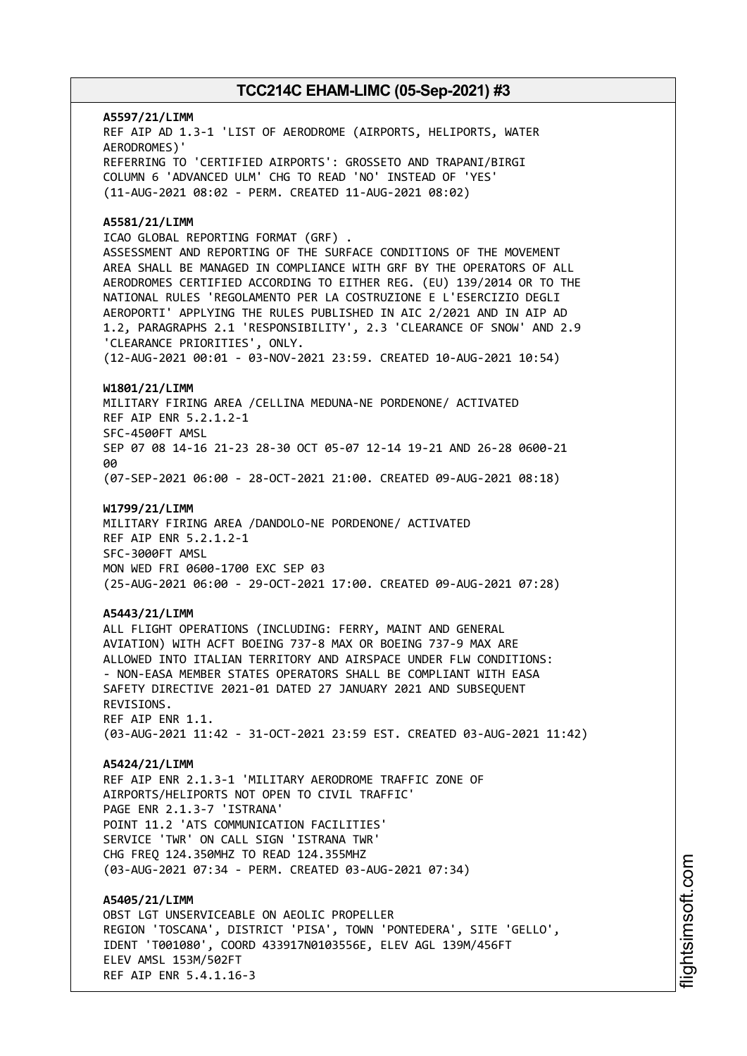**A5597/21/LIMM** REF AIP AD 1.3-1 'LIST OF AERODROME (AIRPORTS, HELIPORTS, WATER AERODROMES)' REFERRING TO 'CERTIFIED AIRPORTS': GROSSETO AND TRAPANI/BIRGI COLUMN 6 'ADVANCED ULM' CHG TO READ 'NO' INSTEAD OF 'YES' (11-AUG-2021 08:02 - PERM. CREATED 11-AUG-2021 08:02) **A5581/21/LIMM** ICAO GLOBAL REPORTING FORMAT (GRF) . ASSESSMENT AND REPORTING OF THE SURFACE CONDITIONS OF THE MOVEMENT AREA SHALL BE MANAGED IN COMPLIANCE WITH GRF BY THE OPERATORS OF ALL AERODROMES CERTIFIED ACCORDING TO EITHER REG. (EU) 139/2014 OR TO THE NATIONAL RULES 'REGOLAMENTO PER LA COSTRUZIONE E L'ESERCIZIO DEGLI AEROPORTI' APPLYING THE RULES PUBLISHED IN AIC 2/2021 AND IN AIP AD 1.2, PARAGRAPHS 2.1 'RESPONSIBILITY', 2.3 'CLEARANCE OF SNOW' AND 2.9 'CLEARANCE PRIORITIES', ONLY. (12-AUG-2021 00:01 - 03-NOV-2021 23:59. CREATED 10-AUG-2021 10:54) **W1801/21/LIMM** MILITARY FIRING AREA /CELLINA MEDUNA-NE PORDENONE/ ACTIVATED REF AIP ENR 5.2.1.2-1 SFC-4500FT AMSL SEP 07 08 14-16 21-23 28-30 OCT 05-07 12-14 19-21 AND 26-28 0600-21 aa (07-SEP-2021 06:00 - 28-OCT-2021 21:00. CREATED 09-AUG-2021 08:18) **W1799/21/LIMM** MILITARY FIRING AREA /DANDOLO-NE PORDENONE/ ACTIVATED REF AIP ENR 5.2.1.2-1 SFC-3000FT AMSL MON WED FRI 0600-1700 EXC SEP 03 (25-AUG-2021 06:00 - 29-OCT-2021 17:00. CREATED 09-AUG-2021 07:28) **A5443/21/LIMM** ALL FLIGHT OPERATIONS (INCLUDING: FERRY, MAINT AND GENERAL AVIATION) WITH ACFT BOEING 737-8 MAX OR BOEING 737-9 MAX ARE ALLOWED INTO ITALIAN TERRITORY AND AIRSPACE UNDER FLW CONDITIONS: - NON-EASA MEMBER STATES OPERATORS SHALL BE COMPLIANT WITH EASA SAFETY DIRECTIVE 2021-01 DATED 27 JANUARY 2021 AND SUBSEQUENT REVISIONS. REF AIP ENR 1.1. (03-AUG-2021 11:42 - 31-OCT-2021 23:59 EST. CREATED 03-AUG-2021 11:42) **A5424/21/LIMM** REF AIP ENR 2.1.3-1 'MILITARY AERODROME TRAFFIC ZONE OF AIRPORTS/HELIPORTS NOT OPEN TO CIVIL TRAFFIC' PAGE ENR 2.1.3-7 'ISTRANA' POINT 11.2 'ATS COMMUNICATION FACILITIES' SERVICE 'TWR' ON CALL SIGN 'ISTRANA TWR' CHG FREQ 124.350MHZ TO READ 124.355MHZ (03-AUG-2021 07:34 - PERM. CREATED 03-AUG-2021 07:34) **A5405/21/LIMM** OBST LGT UNSERVICEABLE ON AEOLIC PROPELLER REGION 'TOSCANA', DISTRICT 'PISA', TOWN 'PONTEDERA', SITE 'GELLO',

IDENT 'T001080', COORD 433917N0103556E, ELEV AGL 139M/456FT

ELEV AMSL 153M/502FT REF AIP ENR 5.4.1.16-3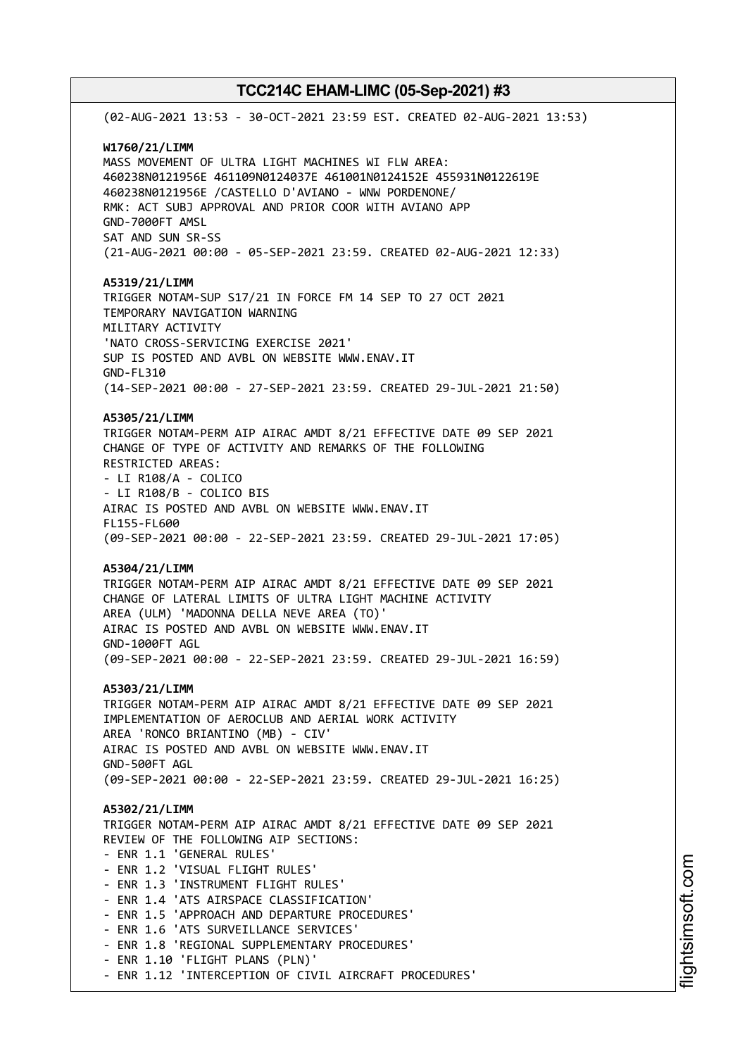(02-AUG-2021 13:53 - 30-OCT-2021 23:59 EST. CREATED 02-AUG-2021 13:53) **W1760/21/LIMM** MASS MOVEMENT OF ULTRA LIGHT MACHINES WI FLW AREA: 460238N0121956E 461109N0124037E 461001N0124152E 455931N0122619E 460238N0121956E /CASTELLO D'AVIANO - WNW PORDENONE/ RMK: ACT SUBJ APPROVAL AND PRIOR COOR WITH AVIANO APP GND-7000FT AMSL SAT AND SUN SR-SS (21-AUG-2021 00:00 - 05-SEP-2021 23:59. CREATED 02-AUG-2021 12:33) **A5319/21/LIMM** TRIGGER NOTAM-SUP S17/21 IN FORCE FM 14 SEP TO 27 OCT 2021 TEMPORARY NAVIGATION WARNING MILITARY ACTIVITY 'NATO CROSS-SERVICING EXERCISE 2021' SUP IS POSTED AND AVBL ON WEBSITE WWW.ENAV.IT GND-FL310 (14-SEP-2021 00:00 - 27-SEP-2021 23:59. CREATED 29-JUL-2021 21:50) **A5305/21/LIMM** TRIGGER NOTAM-PERM AIP AIRAC AMDT 8/21 EFFECTIVE DATE 09 SEP 2021 CHANGE OF TYPE OF ACTIVITY AND REMARKS OF THE FOLLOWING RESTRICTED AREAS: - LI R108/A - COLICO - LI R108/B - COLICO BIS AIRAC IS POSTED AND AVBL ON WEBSITE WWW.ENAV.IT FL155-FL600 (09-SEP-2021 00:00 - 22-SEP-2021 23:59. CREATED 29-JUL-2021 17:05) **A5304/21/LIMM** TRIGGER NOTAM-PERM AIP AIRAC AMDT 8/21 EFFECTIVE DATE 09 SEP 2021 CHANGE OF LATERAL LIMITS OF ULTRA LIGHT MACHINE ACTIVITY AREA (ULM) 'MADONNA DELLA NEVE AREA (TO)' AIRAC IS POSTED AND AVBL ON WEBSITE WWW.ENAV.IT GND-1000FT AGL (09-SEP-2021 00:00 - 22-SEP-2021 23:59. CREATED 29-JUL-2021 16:59) **A5303/21/LIMM** TRIGGER NOTAM-PERM AIP AIRAC AMDT 8/21 EFFECTIVE DATE 09 SEP 2021 IMPLEMENTATION OF AEROCLUB AND AERIAL WORK ACTIVITY AREA 'RONCO BRIANTINO (MB) - CIV' AIRAC IS POSTED AND AVBL ON WEBSITE WWW.ENAV.IT GND-500FT AGL (09-SEP-2021 00:00 - 22-SEP-2021 23:59. CREATED 29-JUL-2021 16:25) **A5302/21/LIMM** TRIGGER NOTAM-PERM AIP AIRAC AMDT 8/21 EFFECTIVE DATE 09 SEP 2021 REVIEW OF THE FOLLOWING AIP SECTIONS: - ENR 1.1 'GENERAL RULES' - ENR 1.2 'VISUAL FLIGHT RULES' - ENR 1.3 'INSTRUMENT FLIGHT RULES' - ENR 1.4 'ATS AIRSPACE CLASSIFICATION' - ENR 1.5 'APPROACH AND DEPARTURE PROCEDURES' - ENR 1.6 'ATS SURVEILLANCE SERVICES' - ENR 1.8 'REGIONAL SUPPLEMENTARY PROCEDURES' - ENR 1.10 'FLIGHT PLANS (PLN)' - ENR 1.12 'INTERCEPTION OF CIVIL AIRCRAFT PROCEDURES'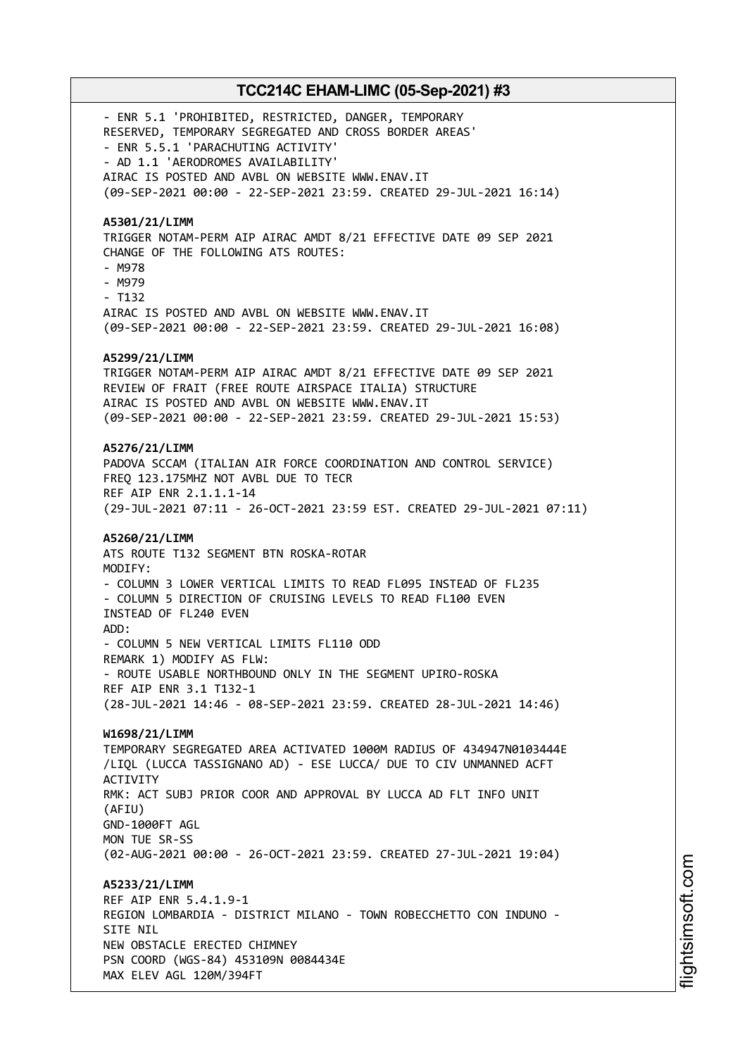- ENR 5.1 'PROHIBITED, RESTRICTED, DANGER, TEMPORARY RESERVED, TEMPORARY SEGREGATED AND CROSS BORDER AREAS' - ENR 5.5.1 'PARACHUTING ACTIVITY' - AD 1.1 'AERODROMES AVAILABILITY' AIRAC IS POSTED AND AVBL ON WEBSITE WWW.ENAV.IT (09-SEP-2021 00:00 - 22-SEP-2021 23:59. CREATED 29-JUL-2021 16:14) **A5301/21/LIMM** TRIGGER NOTAM-PERM AIP AIRAC AMDT 8/21 EFFECTIVE DATE 09 SEP 2021 CHANGE OF THE FOLLOWING ATS ROUTES: - M978 - M979 - T132 AIRAC IS POSTED AND AVBL ON WEBSITE WWW.ENAV.IT (09-SEP-2021 00:00 - 22-SEP-2021 23:59. CREATED 29-JUL-2021 16:08) **A5299/21/LIMM** TRIGGER NOTAM-PERM AIP AIRAC AMDT 8/21 EFFECTIVE DATE 09 SEP 2021 REVIEW OF FRAIT (FREE ROUTE AIRSPACE ITALIA) STRUCTURE AIRAC IS POSTED AND AVBL ON WEBSITE WWW.ENAV.IT (09-SEP-2021 00:00 - 22-SEP-2021 23:59. CREATED 29-JUL-2021 15:53) **A5276/21/LIMM** PADOVA SCCAM (ITALIAN AIR FORCE COORDINATION AND CONTROL SERVICE) FREQ 123.175MHZ NOT AVBL DUE TO TECR REF AIP ENR 2.1.1.1-14 (29-JUL-2021 07:11 - 26-OCT-2021 23:59 EST. CREATED 29-JUL-2021 07:11) **A5260/21/LIMM** ATS ROUTE T132 SEGMENT BTN ROSKA-ROTAR MODIFY: - COLUMN 3 LOWER VERTICAL LIMITS TO READ FL095 INSTEAD OF FL235 - COLUMN 5 DIRECTION OF CRUISING LEVELS TO READ FL100 EVEN INSTEAD OF FL240 EVEN ADD: - COLUMN 5 NEW VERTICAL LIMITS FL110 ODD REMARK 1) MODIFY AS FLW: - ROUTE USABLE NORTHBOUND ONLY IN THE SEGMENT UPIRO-ROSKA REF AIP ENR 3.1 T132-1 (28-JUL-2021 14:46 - 08-SEP-2021 23:59. CREATED 28-JUL-2021 14:46) **W1698/21/LIMM** TEMPORARY SEGREGATED AREA ACTIVATED 1000M RADIUS OF 434947N0103444E /LIQL (LUCCA TASSIGNANO AD) - ESE LUCCA/ DUE TO CIV UNMANNED ACFT ACTIVITY RMK: ACT SUBJ PRIOR COOR AND APPROVAL BY LUCCA AD FLT INFO UNIT (AFIU) GND-1000FT AGL MON TUE SR-SS (02-AUG-2021 00:00 - 26-OCT-2021 23:59. CREATED 27-JUL-2021 19:04) **A5233/21/LIMM** REF AIP ENR 5.4.1.9-1 REGION LOMBARDIA - DISTRICT MILANO - TOWN ROBECCHETTO CON INDUNO - SITE NIL NEW OBSTACLE ERECTED CHIMNEY PSN COORD (WGS-84) 453109N 0084434E MAX ELEV AGL 120M/394FT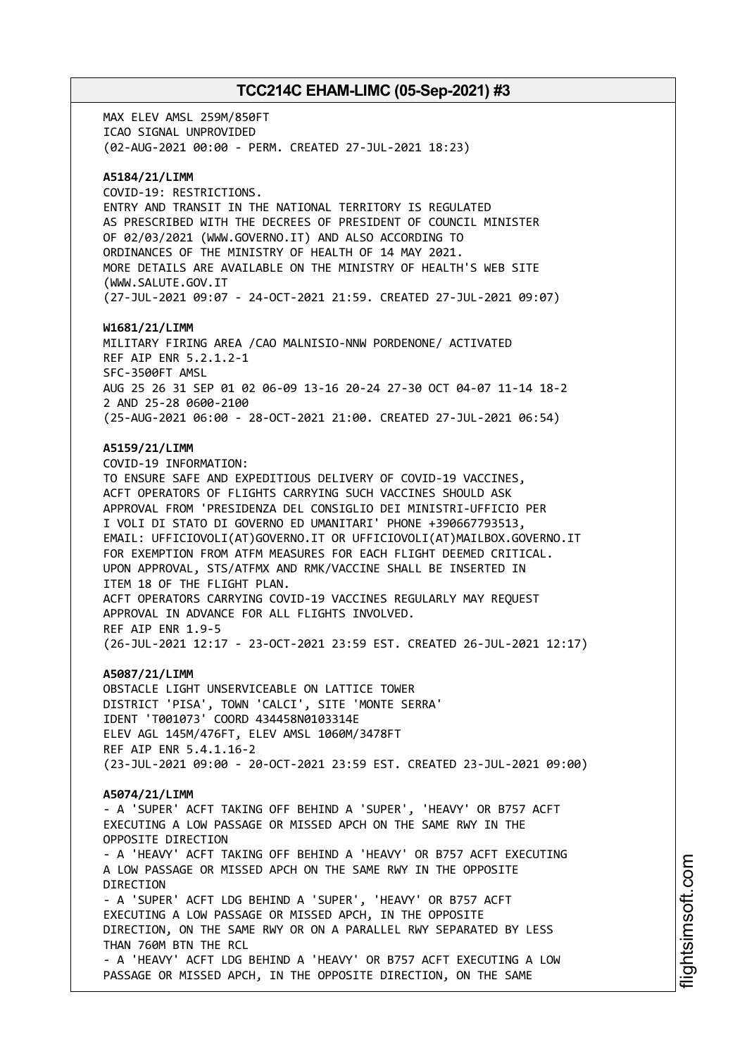MAX ELEV AMSL 259M/850FT ICAO SIGNAL UNPROVIDED (02-AUG-2021 00:00 - PERM. CREATED 27-JUL-2021 18:23) **A5184/21/LIMM** COVID-19: RESTRICTIONS. ENTRY AND TRANSIT IN THE NATIONAL TERRITORY IS REGULATED AS PRESCRIBED WITH THE DECREES OF PRESIDENT OF COUNCIL MINISTER OF 02/03/2021 (WWW.GOVERNO.IT) AND ALSO ACCORDING TO ORDINANCES OF THE MINISTRY OF HEALTH OF 14 MAY 2021. MORE DETAILS ARE AVAILABLE ON THE MINISTRY OF HEALTH'S WEB SITE (WWW.SALUTE.GOV.IT (27-JUL-2021 09:07 - 24-OCT-2021 21:59. CREATED 27-JUL-2021 09:07) **W1681/21/LIMM** MILITARY FIRING AREA /CAO MALNISIO-NNW PORDENONE/ ACTIVATED REF AIP ENR 5.2.1.2-1 SFC-3500FT AMSL AUG 25 26 31 SEP 01 02 06-09 13-16 20-24 27-30 OCT 04-07 11-14 18-2 2 AND 25-28 0600-2100 (25-AUG-2021 06:00 - 28-OCT-2021 21:00. CREATED 27-JUL-2021 06:54) **A5159/21/LIMM** COVID-19 INFORMATION: TO ENSURE SAFE AND EXPEDITIOUS DELIVERY OF COVID-19 VACCINES, ACFT OPERATORS OF FLIGHTS CARRYING SUCH VACCINES SHOULD ASK APPROVAL FROM 'PRESIDENZA DEL CONSIGLIO DEI MINISTRI-UFFICIO PER I VOLI DI STATO DI GOVERNO ED UMANITARI' PHONE +390667793513, EMAIL: UFFICIOVOLI(AT)GOVERNO.IT OR UFFICIOVOLI(AT)MAILBOX.GOVERNO.IT FOR EXEMPTION FROM ATFM MEASURES FOR EACH FLIGHT DEEMED CRITICAL. UPON APPROVAL, STS/ATFMX AND RMK/VACCINE SHALL BE INSERTED IN ITEM 18 OF THE FLIGHT PLAN. ACFT OPERATORS CARRYING COVID-19 VACCINES REGULARLY MAY REQUEST APPROVAL IN ADVANCE FOR ALL FLIGHTS INVOLVED. REF AIP ENR 1.9-5 (26-JUL-2021 12:17 - 23-OCT-2021 23:59 EST. CREATED 26-JUL-2021 12:17) **A5087/21/LIMM** OBSTACLE LIGHT UNSERVICEABLE ON LATTICE TOWER DISTRICT 'PISA', TOWN 'CALCI', SITE 'MONTE SERRA' IDENT 'T001073' COORD 434458N0103314E ELEV AGL 145M/476FT, ELEV AMSL 1060M/3478FT REF AIP ENR 5.4.1.16-2 (23-JUL-2021 09:00 - 20-OCT-2021 23:59 EST. CREATED 23-JUL-2021 09:00) **A5074/21/LIMM** - A 'SUPER' ACFT TAKING OFF BEHIND A 'SUPER', 'HEAVY' OR B757 ACFT EXECUTING A LOW PASSAGE OR MISSED APCH ON THE SAME RWY IN THE OPPOSITE DIRECTION - A 'HEAVY' ACFT TAKING OFF BEHIND A 'HEAVY' OR B757 ACFT EXECUTING A LOW PASSAGE OR MISSED APCH ON THE SAME RWY IN THE OPPOSITE DIRECTION - A 'SUPER' ACFT LDG BEHIND A 'SUPER', 'HEAVY' OR B757 ACFT EXECUTING A LOW PASSAGE OR MISSED APCH, IN THE OPPOSITE DIRECTION, ON THE SAME RWY OR ON A PARALLEL RWY SEPARATED BY LESS THAN 760M BTN THE RCL - A 'HEAVY' ACFT LDG BEHIND A 'HEAVY' OR B757 ACFT EXECUTING A LOW PASSAGE OR MISSED APCH, IN THE OPPOSITE DIRECTION, ON THE SAME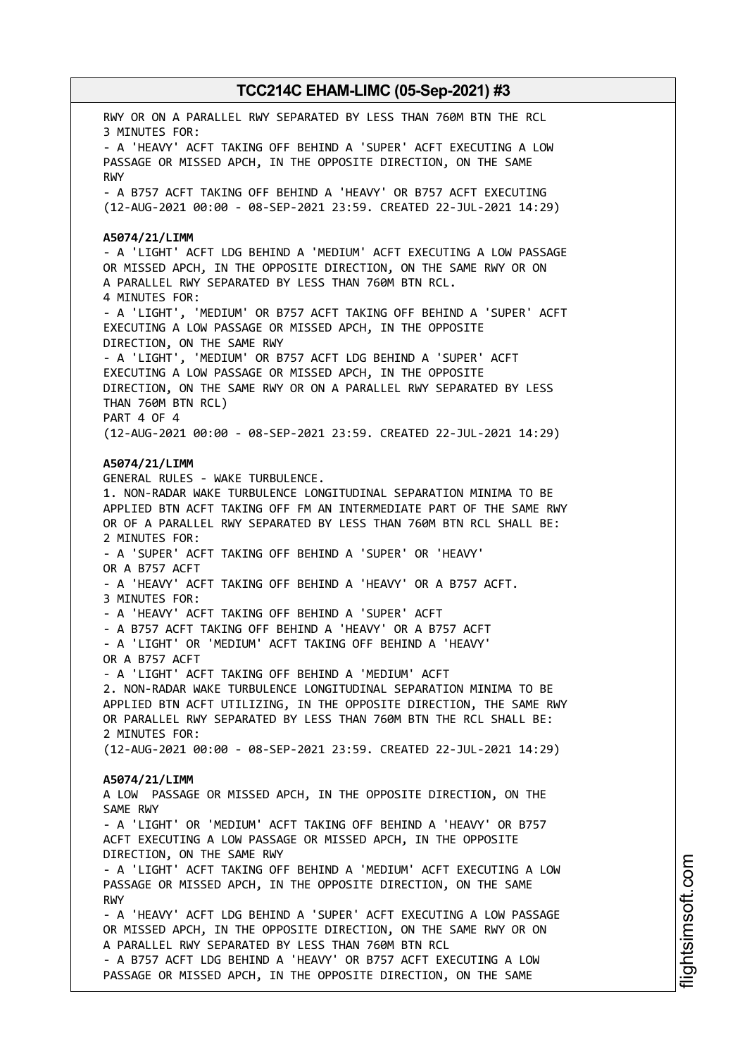RWY OR ON A PARALLEL RWY SEPARATED BY LESS THAN 760M BTN THE RCL 3 MINUTES FOR: - A 'HEAVY' ACFT TAKING OFF BEHIND A 'SUPER' ACFT EXECUTING A LOW PASSAGE OR MISSED APCH, IN THE OPPOSITE DIRECTION, ON THE SAME RWY - A B757 ACFT TAKING OFF BEHIND A 'HEAVY' OR B757 ACFT EXECUTING (12-AUG-2021 00:00 - 08-SEP-2021 23:59. CREATED 22-JUL-2021 14:29) **A5074/21/LIMM** - A 'LIGHT' ACFT LDG BEHIND A 'MEDIUM' ACFT EXECUTING A LOW PASSAGE OR MISSED APCH, IN THE OPPOSITE DIRECTION, ON THE SAME RWY OR ON A PARALLEL RWY SEPARATED BY LESS THAN 760M BTN RCL. 4 MINUTES FOR: - A 'LIGHT', 'MEDIUM' OR B757 ACFT TAKING OFF BEHIND A 'SUPER' ACFT EXECUTING A LOW PASSAGE OR MISSED APCH, IN THE OPPOSITE DIRECTION, ON THE SAME RWY - A 'LIGHT', 'MEDIUM' OR B757 ACFT LDG BEHIND A 'SUPER' ACFT EXECUTING A LOW PASSAGE OR MISSED APCH, IN THE OPPOSITE DIRECTION, ON THE SAME RWY OR ON A PARALLEL RWY SEPARATED BY LESS THAN 760M BTN RCL) PART 4 OF 4 (12-AUG-2021 00:00 - 08-SEP-2021 23:59. CREATED 22-JUL-2021 14:29) **A5074/21/LIMM** GENERAL RULES - WAKE TURBULENCE. 1. NON-RADAR WAKE TURBULENCE LONGITUDINAL SEPARATION MINIMA TO BE APPLIED BTN ACFT TAKING OFF FM AN INTERMEDIATE PART OF THE SAME RWY OR OF A PARALLEL RWY SEPARATED BY LESS THAN 760M BTN RCL SHALL BE: 2 MINUTES FOR: - A 'SUPER' ACFT TAKING OFF BEHIND A 'SUPER' OR 'HEAVY' OR A B757 ACFT - A 'HEAVY' ACFT TAKING OFF BEHIND A 'HEAVY' OR A B757 ACFT. 3 MINUTES FOR: - A 'HEAVY' ACFT TAKING OFF BEHIND A 'SUPER' ACFT - A B757 ACFT TAKING OFF BEHIND A 'HEAVY' OR A B757 ACFT - A 'LIGHT' OR 'MEDIUM' ACFT TAKING OFF BEHIND A 'HEAVY' OR A B757 ACFT - A 'LIGHT' ACFT TAKING OFF BEHIND A 'MEDIUM' ACFT 2. NON-RADAR WAKE TURBULENCE LONGITUDINAL SEPARATION MINIMA TO BE APPLIED BTN ACFT UTILIZING, IN THE OPPOSITE DIRECTION, THE SAME RWY OR PARALLEL RWY SEPARATED BY LESS THAN 760M BTN THE RCL SHALL BE: 2 MINUTES FOR: (12-AUG-2021 00:00 - 08-SEP-2021 23:59. CREATED 22-JUL-2021 14:29) **A5074/21/LIMM** A LOW PASSAGE OR MISSED APCH, IN THE OPPOSITE DIRECTION, ON THE SAME RWY - A 'LIGHT' OR 'MEDIUM' ACFT TAKING OFF BEHIND A 'HEAVY' OR B757 ACFT EXECUTING A LOW PASSAGE OR MISSED APCH, IN THE OPPOSITE DIRECTION, ON THE SAME RWY - A 'LIGHT' ACFT TAKING OFF BEHIND A 'MEDIUM' ACFT EXECUTING A LOW PASSAGE OR MISSED APCH, IN THE OPPOSITE DIRECTION, ON THE SAME RWY - A 'HEAVY' ACFT LDG BEHIND A 'SUPER' ACFT EXECUTING A LOW PASSAGE OR MISSED APCH, IN THE OPPOSITE DIRECTION, ON THE SAME RWY OR ON A PARALLEL RWY SEPARATED BY LESS THAN 760M BTN RCL - A B757 ACFT LDG BEHIND A 'HEAVY' OR B757 ACFT EXECUTING A LOW PASSAGE OR MISSED APCH, IN THE OPPOSITE DIRECTION, ON THE SAME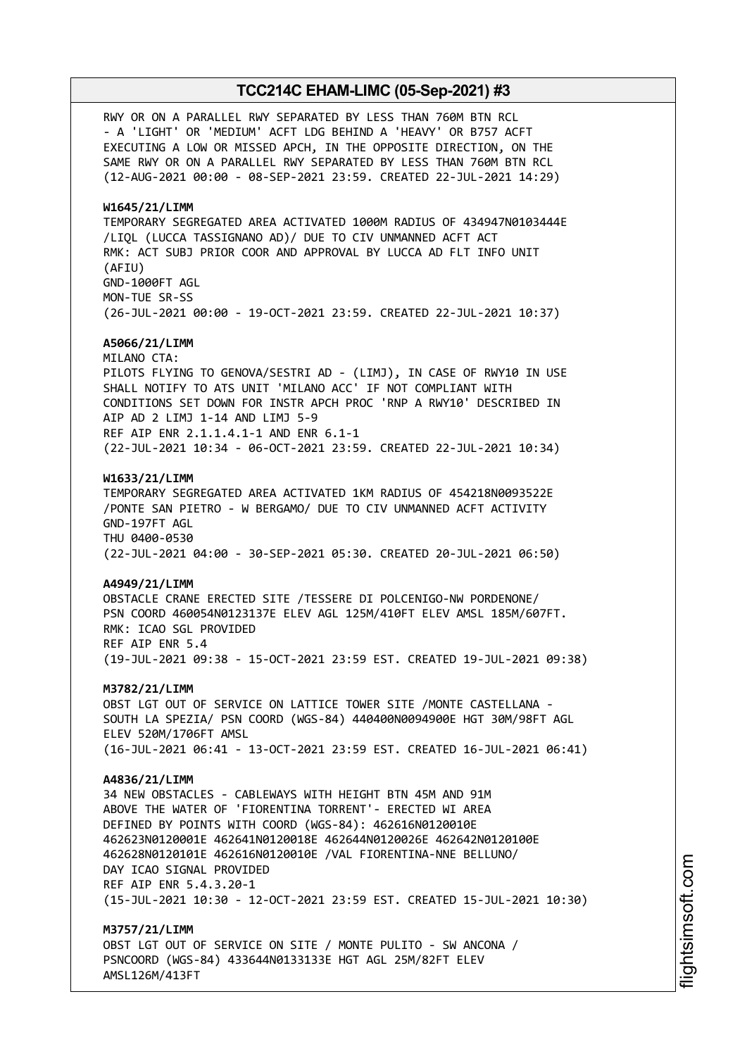RWY OR ON A PARALLEL RWY SEPARATED BY LESS THAN 760M BTN RCL - A 'LIGHT' OR 'MEDIUM' ACFT LDG BEHIND A 'HEAVY' OR B757 ACFT EXECUTING A LOW OR MISSED APCH, IN THE OPPOSITE DIRECTION, ON THE SAME RWY OR ON A PARALLEL RWY SEPARATED BY LESS THAN 760M BTN RCL (12-AUG-2021 00:00 - 08-SEP-2021 23:59. CREATED 22-JUL-2021 14:29) **W1645/21/LIMM** TEMPORARY SEGREGATED AREA ACTIVATED 1000M RADIUS OF 434947N0103444E /LIQL (LUCCA TASSIGNANO AD)/ DUE TO CIV UNMANNED ACFT ACT RMK: ACT SUBJ PRIOR COOR AND APPROVAL BY LUCCA AD FLT INFO UNIT (AFIU) GND-1000FT AGL MON-TUE SR-SS (26-JUL-2021 00:00 - 19-OCT-2021 23:59. CREATED 22-JUL-2021 10:37) **A5066/21/LIMM** MILANO CTA: PILOTS FLYING TO GENOVA/SESTRI AD - (LIMJ), IN CASE OF RWY10 IN USE SHALL NOTIFY TO ATS UNIT 'MILANO ACC' IF NOT COMPLIANT WITH CONDITIONS SET DOWN FOR INSTR APCH PROC 'RNP A RWY10' DESCRIBED IN AIP AD 2 LIMJ 1-14 AND LIMJ 5-9 REF AIP ENR 2.1.1.4.1-1 AND ENR 6.1-1 (22-JUL-2021 10:34 - 06-OCT-2021 23:59. CREATED 22-JUL-2021 10:34) **W1633/21/LIMM** TEMPORARY SEGREGATED AREA ACTIVATED 1KM RADIUS OF 454218N0093522E /PONTE SAN PIETRO - W BERGAMO/ DUE TO CIV UNMANNED ACFT ACTIVITY GND-197FT AGL THU 0400-0530 (22-JUL-2021 04:00 - 30-SEP-2021 05:30. CREATED 20-JUL-2021 06:50) **A4949/21/LIMM** OBSTACLE CRANE ERECTED SITE /TESSERE DI POLCENIGO-NW PORDENONE/ PSN COORD 460054N0123137E ELEV AGL 125M/410FT ELEV AMSL 185M/607FT. RMK: ICAO SGL PROVIDED REF AIP ENR 5.4 (19-JUL-2021 09:38 - 15-OCT-2021 23:59 EST. CREATED 19-JUL-2021 09:38) **M3782/21/LIMM** OBST LGT OUT OF SERVICE ON LATTICE TOWER SITE /MONTE CASTELLANA - SOUTH LA SPEZIA/ PSN COORD (WGS-84) 440400N0094900E HGT 30M/98FT AGL ELEV 520M/1706FT AMSL (16-JUL-2021 06:41 - 13-OCT-2021 23:59 EST. CREATED 16-JUL-2021 06:41) **A4836/21/LIMM** 34 NEW OBSTACLES - CABLEWAYS WITH HEIGHT BTN 45M AND 91M ABOVE THE WATER OF 'FIORENTINA TORRENT'- ERECTED WI AREA DEFINED BY POINTS WITH COORD (WGS-84): 462616N0120010E 462623N0120001E 462641N0120018E 462644N0120026E 462642N0120100E 462628N0120101E 462616N0120010E /VAL FIORENTINA-NNE BELLUNO/ DAY ICAO SIGNAL PROVIDED REF AIP ENR 5.4.3.20-1 (15-JUL-2021 10:30 - 12-OCT-2021 23:59 EST. CREATED 15-JUL-2021 10:30) **M3757/21/LIMM** OBST LGT OUT OF SERVICE ON SITE / MONTE PULITO - SW ANCONA / PSNCOORD (WGS-84) 433644N0133133E HGT AGL 25M/82FT ELEV AMSL126M/413FT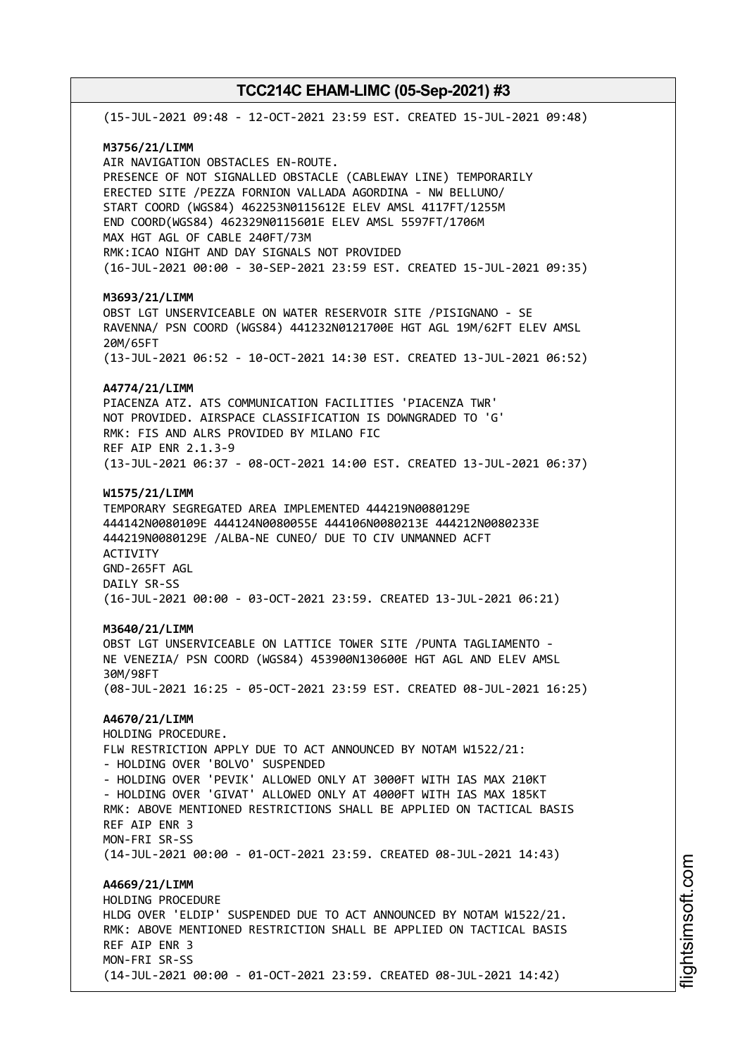| (15-JUL-2021 09:48 - 12-OCT-2021 23:59 EST. CREATED 15-JUL-2021 09:48)                                                                                                                                                                                                                                                                                                                                                                                                   |
|--------------------------------------------------------------------------------------------------------------------------------------------------------------------------------------------------------------------------------------------------------------------------------------------------------------------------------------------------------------------------------------------------------------------------------------------------------------------------|
| M3756/21/LIMM<br>AIR NAVIGATION OBSTACLES EN-ROUTE.<br>PRESENCE OF NOT SIGNALLED OBSTACLE (CABLEWAY LINE) TEMPORARILY<br>ERECTED SITE /PEZZA FORNION VALLADA AGORDINA - NW BELLUNO/<br>START COORD (WGS84) 462253N0115612E ELEV AMSL 4117FT/1255M<br>END COORD(WGS84) 462329N0115601E ELEV AMSL 5597FT/1706M<br>MAX HGT AGL OF CABLE 240FT/73M<br>RMK: ICAO NIGHT AND DAY SIGNALS NOT PROVIDED<br>(16-JUL-2021 00:00 - 30-SEP-2021 23:59 EST. CREATED 15-JUL-2021 09:35) |
| M3693/21/LIMM<br>OBST LGT UNSERVICEABLE ON WATER RESERVOIR SITE /PISIGNANO - SE<br>RAVENNA/ PSN COORD (WGS84) 441232N0121700E HGT AGL 19M/62FT ELEV AMSL<br>20M/65FT<br>(13-JUL-2021 06:52 - 10-OCT-2021 14:30 EST. CREATED 13-JUL-2021 06:52)                                                                                                                                                                                                                           |
| A4774/21/LIMM<br>PIACENZA ATZ. ATS COMMUNICATION FACILITIES 'PIACENZA TWR'<br>NOT PROVIDED. AIRSPACE CLASSIFICATION IS DOWNGRADED TO 'G'<br>RMK: FIS AND ALRS PROVIDED BY MILANO FIC<br>REF AIP ENR 2.1.3-9<br>(13-JUL-2021 06:37 - 08-OCT-2021 14:00 EST. CREATED 13-JUL-2021 06:37)                                                                                                                                                                                    |
| W1575/21/LIMM<br>TEMPORARY SEGREGATED AREA IMPLEMENTED 444219N0080129E<br>444219N0080129E /ALBA-NE CUNEO/ DUE TO CIV UNMANNED ACFT<br><b>ACTIVITY</b><br>GND-265FT AGL<br>DAILY SR-SS<br>(16-JUL-2021 00:00 - 03-OCT-2021 23:59. CREATED 13-JUL-2021 06:21)                                                                                                                                                                                                              |
| M3640/21/LIMM<br>OBST LGT UNSERVICEABLE ON LATTICE TOWER SITE /PUNTA TAGLIAMENTO -<br>NE VENEZIA/ PSN COORD (WGS84) 453900N130600E HGT AGL AND ELEV AMSL<br>30M/98FT<br>(08-JUL-2021 16:25 - 05-OCT-2021 23:59 EST. CREATED 08-JUL-2021 16:25)                                                                                                                                                                                                                           |
| A4670/21/LIMM<br>HOLDING PROCEDURE.<br>FLW RESTRICTION APPLY DUE TO ACT ANNOUNCED BY NOTAM W1522/21:<br>- HOLDING OVER 'BOLVO' SUSPENDED<br>- HOLDING OVER 'PEVIK' ALLOWED ONLY AT 3000FT WITH IAS MAX 210KT<br>- HOLDING OVER 'GIVAT' ALLOWED ONLY AT 4000FT WITH IAS MAX 185KT<br>RMK: ABOVE MENTIONED RESTRICTIONS SHALL BE APPLIED ON TACTICAL BASIS<br>REF AIP ENR 3<br>MON-FRI SR-SS<br>(14-JUL-2021 00:00 - 01-OCT-2021 23:59. CREATED 08-JUL-2021 14:43)         |
| A4669/21/LIMM<br>HOLDING PROCEDURE<br>HLDG OVER 'ELDIP' SUSPENDED DUE TO ACT ANNOUNCED BY NOTAM W1522/21.<br>RMK: ABOVE MENTIONED RESTRICTION SHALL BE APPLIED ON TACTICAL BASIS<br>REF AIP ENR 3<br>MON-FRI SR-SS<br>(14-JUL-2021 00:00 - 01-OCT-2021 23:59. CREATED 08-JUL-2021 14:42)                                                                                                                                                                                 |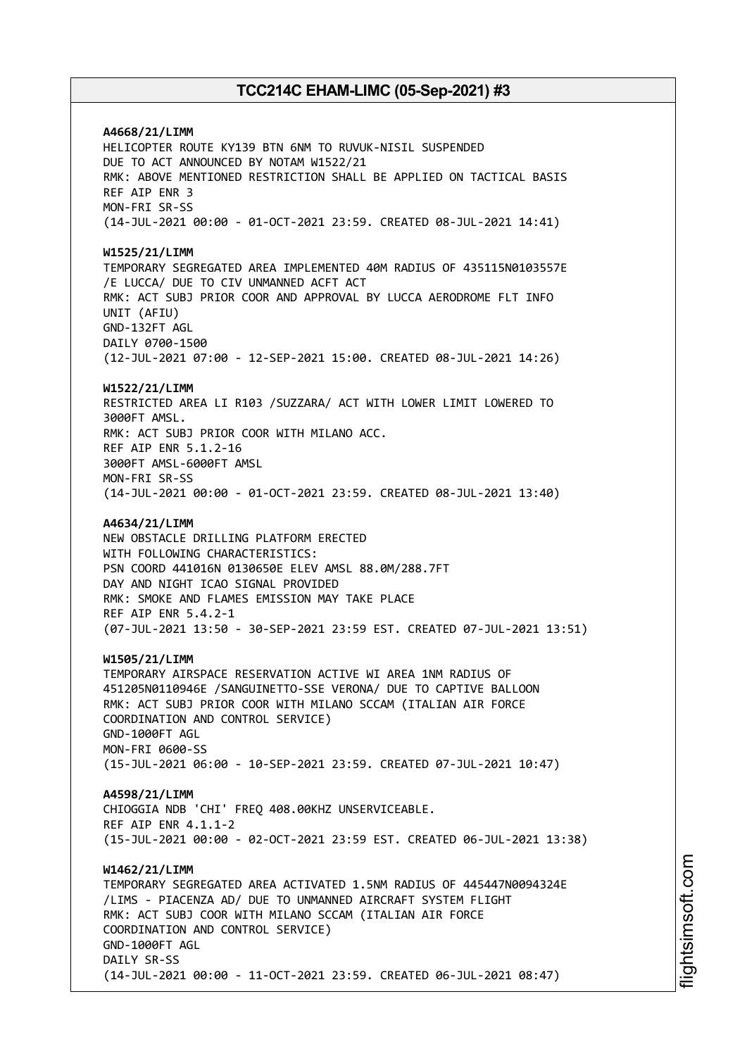**A4668/21/LIMM** HELICOPTER ROUTE KY139 BTN 6NM TO RUVUK-NISIL SUSPENDED DUE TO ACT ANNOUNCED BY NOTAM W1522/21 RMK: ABOVE MENTIONED RESTRICTION SHALL BE APPLIED ON TACTICAL BASIS REF AIP ENR 3 MON-FRI SR-SS (14-JUL-2021 00:00 - 01-OCT-2021 23:59. CREATED 08-JUL-2021 14:41) **W1525/21/LIMM** TEMPORARY SEGREGATED AREA IMPLEMENTED 40M RADIUS OF 435115N0103557E /E LUCCA/ DUE TO CIV UNMANNED ACFT ACT RMK: ACT SUBJ PRIOR COOR AND APPROVAL BY LUCCA AERODROME FLT INFO UNIT (AFIU) GND-132FT AGL DAILY 0700-1500 (12-JUL-2021 07:00 - 12-SEP-2021 15:00. CREATED 08-JUL-2021 14:26) **W1522/21/LIMM** RESTRICTED AREA LI R103 /SUZZARA/ ACT WITH LOWER LIMIT LOWERED TO 3000FT AMSL. RMK: ACT SUBJ PRIOR COOR WITH MILANO ACC. REF AIP ENR 5.1.2-16 3000FT AMSL-6000FT AMSL MON-FRI SR-SS (14-JUL-2021 00:00 - 01-OCT-2021 23:59. CREATED 08-JUL-2021 13:40) **A4634/21/LIMM** NEW OBSTACLE DRILLING PLATFORM ERECTED WITH FOLLOWING CHARACTERISTICS: PSN COORD 441016N 0130650E ELEV AMSL 88.0M/288.7FT DAY AND NIGHT ICAO SIGNAL PROVIDED RMK: SMOKE AND FLAMES EMISSION MAY TAKE PLACE REF AIP ENR 5.4.2-1 (07-JUL-2021 13:50 - 30-SEP-2021 23:59 EST. CREATED 07-JUL-2021 13:51) **W1505/21/LIMM** TEMPORARY AIRSPACE RESERVATION ACTIVE WI AREA 1NM RADIUS OF 451205N0110946E /SANGUINETTO-SSE VERONA/ DUE TO CAPTIVE BALLOON RMK: ACT SUBJ PRIOR COOR WITH MILANO SCCAM (ITALIAN AIR FORCE COORDINATION AND CONTROL SERVICE) GND-1000FT AGL MON-FRI 0600-SS (15-JUL-2021 06:00 - 10-SEP-2021 23:59. CREATED 07-JUL-2021 10:47) **A4598/21/LIMM** CHIOGGIA NDB 'CHI' FREQ 408.00KHZ UNSERVICEABLE. REF AIP ENR 4.1.1-2 (15-JUL-2021 00:00 - 02-OCT-2021 23:59 EST. CREATED 06-JUL-2021 13:38) **W1462/21/LIMM** TEMPORARY SEGREGATED AREA ACTIVATED 1.5NM RADIUS OF 445447N0094324E /LIMS - PIACENZA AD/ DUE TO UNMANNED AIRCRAFT SYSTEM FLIGHT RMK: ACT SUBJ COOR WITH MILANO SCCAM (ITALIAN AIR FORCE COORDINATION AND CONTROL SERVICE) GND-1000FT AGL DAILY SR-SS (14-JUL-2021 00:00 - 11-OCT-2021 23:59. CREATED 06-JUL-2021 08:47)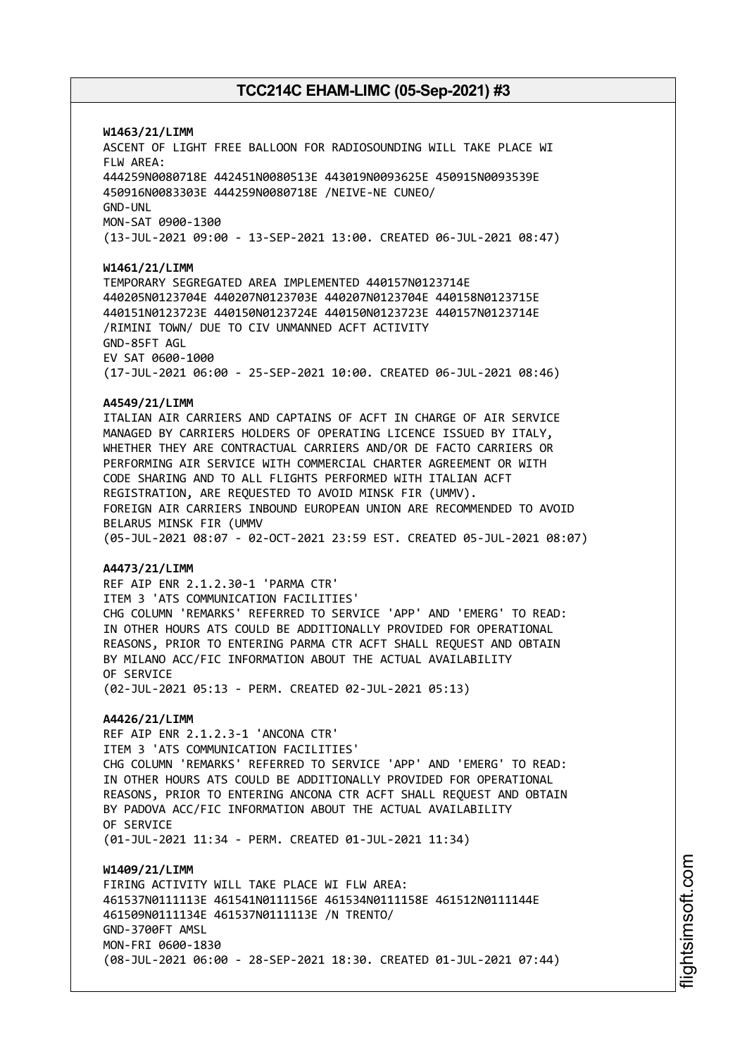**W1463/21/LIMM** ASCENT OF LIGHT FREE BALLOON FOR RADIOSOUNDING WILL TAKE PLACE WI FLW AREA: 444259N0080718E 442451N0080513E 443019N0093625E 450915N0093539E 450916N0083303E 444259N0080718E /NEIVE-NE CUNEO/ GND-UNL MON-SAT 0900-1300 (13-JUL-2021 09:00 - 13-SEP-2021 13:00. CREATED 06-JUL-2021 08:47) **W1461/21/LIMM** TEMPORARY SEGREGATED AREA IMPLEMENTED 440157N0123714E 440205N0123704E 440207N0123703E 440207N0123704E 440158N0123715E 440151N0123723E 440150N0123724E 440150N0123723E 440157N0123714E /RIMINI TOWN/ DUE TO CIV UNMANNED ACFT ACTIVITY GND-85FT AGL EV SAT 0600-1000 (17-JUL-2021 06:00 - 25-SEP-2021 10:00. CREATED 06-JUL-2021 08:46) **A4549/21/LIMM** ITALIAN AIR CARRIERS AND CAPTAINS OF ACFT IN CHARGE OF AIR SERVICE MANAGED BY CARRIERS HOLDERS OF OPERATING LICENCE ISSUED BY ITALY, WHETHER THEY ARE CONTRACTUAL CARRIERS AND/OR DE FACTO CARRIERS OR PERFORMING AIR SERVICE WITH COMMERCIAL CHARTER AGREEMENT OR WITH CODE SHARING AND TO ALL FLIGHTS PERFORMED WITH ITALIAN ACFT REGISTRATION, ARE REQUESTED TO AVOID MINSK FIR (UMMV). FOREIGN AIR CARRIERS INBOUND EUROPEAN UNION ARE RECOMMENDED TO AVOID BELARUS MINSK FIR (UMMV (05-JUL-2021 08:07 - 02-OCT-2021 23:59 EST. CREATED 05-JUL-2021 08:07) **A4473/21/LIMM** REF AIP ENR 2.1.2.30-1 'PARMA CTR' ITEM 3 'ATS COMMUNICATION FACILITIES' CHG COLUMN 'REMARKS' REFERRED TO SERVICE 'APP' AND 'EMERG' TO READ: IN OTHER HOURS ATS COULD BE ADDITIONALLY PROVIDED FOR OPERATIONAL REASONS, PRIOR TO ENTERING PARMA CTR ACFT SHALL REQUEST AND OBTAIN BY MILANO ACC/FIC INFORMATION ABOUT THE ACTUAL AVAILABILITY OF SERVICE (02-JUL-2021 05:13 - PERM. CREATED 02-JUL-2021 05:13) **A4426/21/LIMM** REF AIP ENR 2.1.2.3-1 'ANCONA CTR' ITEM 3 'ATS COMMUNICATION FACILITIES' CHG COLUMN 'REMARKS' REFERRED TO SERVICE 'APP' AND 'EMERG' TO READ: IN OTHER HOURS ATS COULD BE ADDITIONALLY PROVIDED FOR OPERATIONAL REASONS, PRIOR TO ENTERING ANCONA CTR ACFT SHALL REQUEST AND OBTAIN BY PADOVA ACC/FIC INFORMATION ABOUT THE ACTUAL AVAILABILITY OF SERVICE (01-JUL-2021 11:34 - PERM. CREATED 01-JUL-2021 11:34) **W1409/21/LIMM** FIRING ACTIVITY WILL TAKE PLACE WI FLW AREA: 461537N0111113E 461541N0111156E 461534N0111158E 461512N0111144E 461509N0111134E 461537N0111113E /N TRENTO/ GND-3700FT AMSL

(08-JUL-2021 06:00 - 28-SEP-2021 18:30. CREATED 01-JUL-2021 07:44)

MON-FRI 0600-1830

m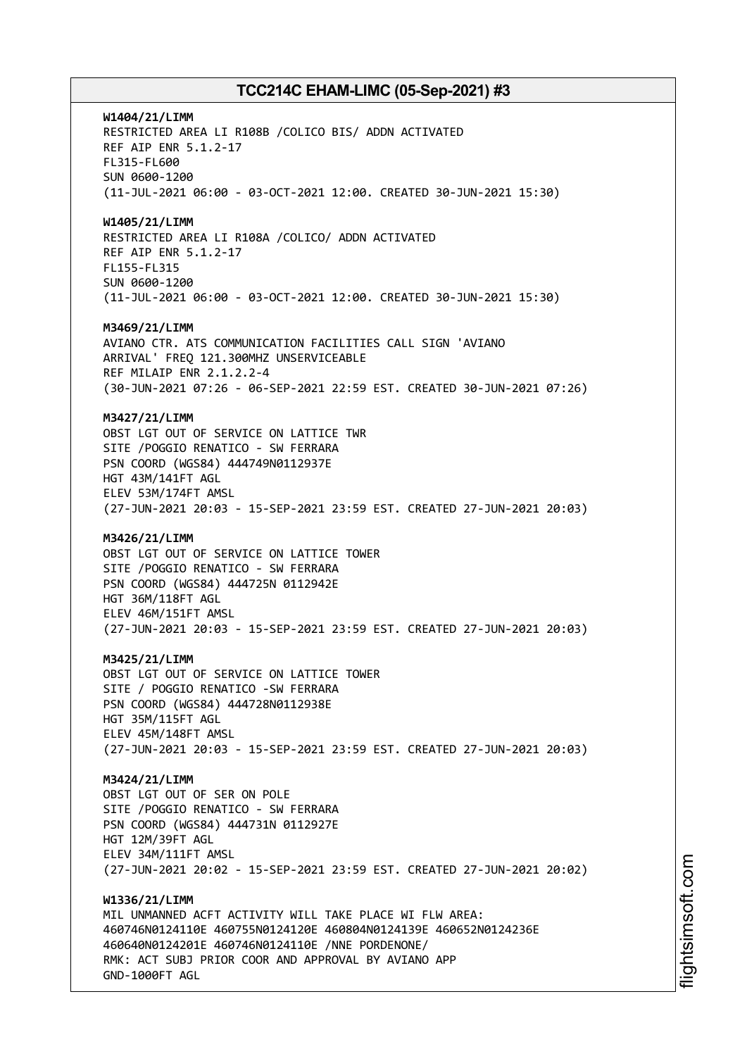**W1404/21/LIMM** RESTRICTED AREA LI R108B /COLICO BIS/ ADDN ACTIVATED REF AIP ENR 5.1.2-17 FL315-FL600 SUN 0600-1200 (11-JUL-2021 06:00 - 03-OCT-2021 12:00. CREATED 30-JUN-2021 15:30) **W1405/21/LIMM** RESTRICTED AREA LI R108A /COLICO/ ADDN ACTIVATED REF AIP ENR 5.1.2-17 FL155-FL315 SUN 0600-1200 (11-JUL-2021 06:00 - 03-OCT-2021 12:00. CREATED 30-JUN-2021 15:30) **M3469/21/LIMM** AVIANO CTR. ATS COMMUNICATION FACILITIES CALL SIGN 'AVIANO ARRIVAL' FREQ 121.300MHZ UNSERVICEABLE REF MILAIP ENR 2.1.2.2-4 (30-JUN-2021 07:26 - 06-SEP-2021 22:59 EST. CREATED 30-JUN-2021 07:26) **M3427/21/LIMM** OBST LGT OUT OF SERVICE ON LATTICE TWR SITE /POGGIO RENATICO - SW FERRARA PSN COORD (WGS84) 444749N0112937E HGT 43M/141FT AGL ELEV 53M/174FT AMSL (27-JUN-2021 20:03 - 15-SEP-2021 23:59 EST. CREATED 27-JUN-2021 20:03) **M3426/21/LIMM** OBST LGT OUT OF SERVICE ON LATTICE TOWER SITE /POGGIO RENATICO - SW FERRARA PSN COORD (WGS84) 444725N 0112942E HGT 36M/118FT AGL ELEV 46M/151FT AMSL (27-JUN-2021 20:03 - 15-SEP-2021 23:59 EST. CREATED 27-JUN-2021 20:03) **M3425/21/LIMM** OBST LGT OUT OF SERVICE ON LATTICE TOWER SITE / POGGIO RENATICO -SW FERRARA PSN COORD (WGS84) 444728N0112938E HGT 35M/115FT AGL ELEV 45M/148FT AMSL (27-JUN-2021 20:03 - 15-SEP-2021 23:59 EST. CREATED 27-JUN-2021 20:03) **M3424/21/LIMM** OBST LGT OUT OF SER ON POLE SITE /POGGIO RENATICO - SW FERRARA PSN COORD (WGS84) 444731N 0112927E HGT 12M/39FT AGL ELEV 34M/111FT AMSL (27-JUN-2021 20:02 - 15-SEP-2021 23:59 EST. CREATED 27-JUN-2021 20:02) **W1336/21/LIMM** MIL UNMANNED ACFT ACTIVITY WILL TAKE PLACE WI FLW AREA: 460746N0124110E 460755N0124120E 460804N0124139E 460652N0124236E 460640N0124201E 460746N0124110E /NNE PORDENONE/ RMK: ACT SUBJ PRIOR COOR AND APPROVAL BY AVIANO APP GND-1000FT AGL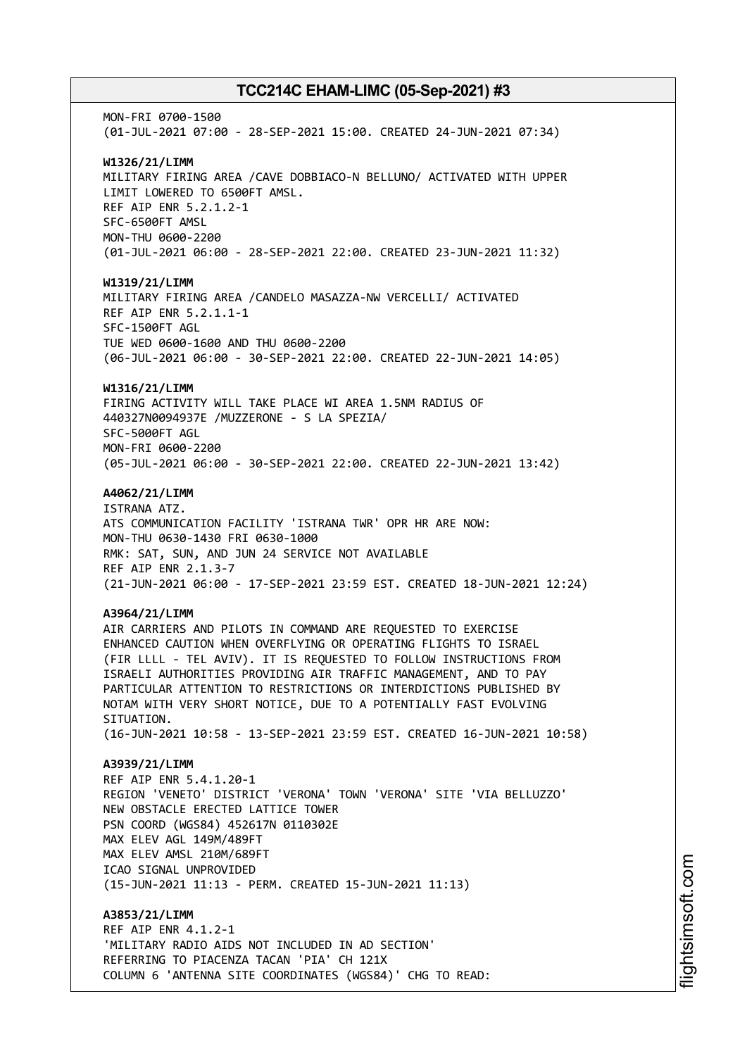MON-FRI 0700-1500 (01-JUL-2021 07:00 - 28-SEP-2021 15:00. CREATED 24-JUN-2021 07:34) **W1326/21/LIMM** MILITARY FIRING AREA /CAVE DOBBIACO-N BELLUNO/ ACTIVATED WITH UPPER LIMIT LOWERED TO 6500FT AMSL. REF AIP ENR 5.2.1.2-1 SFC-6500FT AMSL MON-THU 0600-2200 (01-JUL-2021 06:00 - 28-SEP-2021 22:00. CREATED 23-JUN-2021 11:32) **W1319/21/LIMM** MILITARY FIRING AREA /CANDELO MASAZZA-NW VERCELLI/ ACTIVATED REF AIP ENR 5.2.1.1-1 SFC-1500FT AGL TUE WED 0600-1600 AND THU 0600-2200 (06-JUL-2021 06:00 - 30-SEP-2021 22:00. CREATED 22-JUN-2021 14:05) **W1316/21/LIMM** FIRING ACTIVITY WILL TAKE PLACE WI AREA 1.5NM RADIUS OF 440327N0094937E /MUZZERONE - S LA SPEZIA/ SFC-5000FT AGL MON-FRI 0600-2200 (05-JUL-2021 06:00 - 30-SEP-2021 22:00. CREATED 22-JUN-2021 13:42) **A4062/21/LIMM** ISTRANA ATZ. ATS COMMUNICATION FACILITY 'ISTRANA TWR' OPR HR ARE NOW: MON-THU 0630-1430 FRI 0630-1000 RMK: SAT, SUN, AND JUN 24 SERVICE NOT AVAILABLE REF AIP ENR 2.1.3-7 (21-JUN-2021 06:00 - 17-SEP-2021 23:59 EST. CREATED 18-JUN-2021 12:24) **A3964/21/LIMM** AIR CARRIERS AND PILOTS IN COMMAND ARE REQUESTED TO EXERCISE ENHANCED CAUTION WHEN OVERFLYING OR OPERATING FLIGHTS TO ISRAEL (FIR LLLL - TEL AVIV). IT IS REQUESTED TO FOLLOW INSTRUCTIONS FROM ISRAELI AUTHORITIES PROVIDING AIR TRAFFIC MANAGEMENT, AND TO PAY PARTICULAR ATTENTION TO RESTRICTIONS OR INTERDICTIONS PUBLISHED BY NOTAM WITH VERY SHORT NOTICE, DUE TO A POTENTIALLY FAST EVOLVING SITUATION. (16-JUN-2021 10:58 - 13-SEP-2021 23:59 EST. CREATED 16-JUN-2021 10:58) **A3939/21/LIMM** REF AIP ENR 5.4.1.20-1 REGION 'VENETO' DISTRICT 'VERONA' TOWN 'VERONA' SITE 'VIA BELLUZZO' NEW OBSTACLE ERECTED LATTICE TOWER PSN COORD (WGS84) 452617N 0110302E MAX ELEV AGL 149M/489FT MAX ELEV AMSL 210M/689FT ICAO SIGNAL UNPROVIDED (15-JUN-2021 11:13 - PERM. CREATED 15-JUN-2021 11:13) **A3853/21/LIMM** REF AIP ENR 4.1.2-1 'MILITARY RADIO AIDS NOT INCLUDED IN AD SECTION'

REFERRING TO PIACENZA TACAN 'PIA' CH 121X

COLUMN 6 'ANTENNA SITE COORDINATES (WGS84)' CHG TO READ: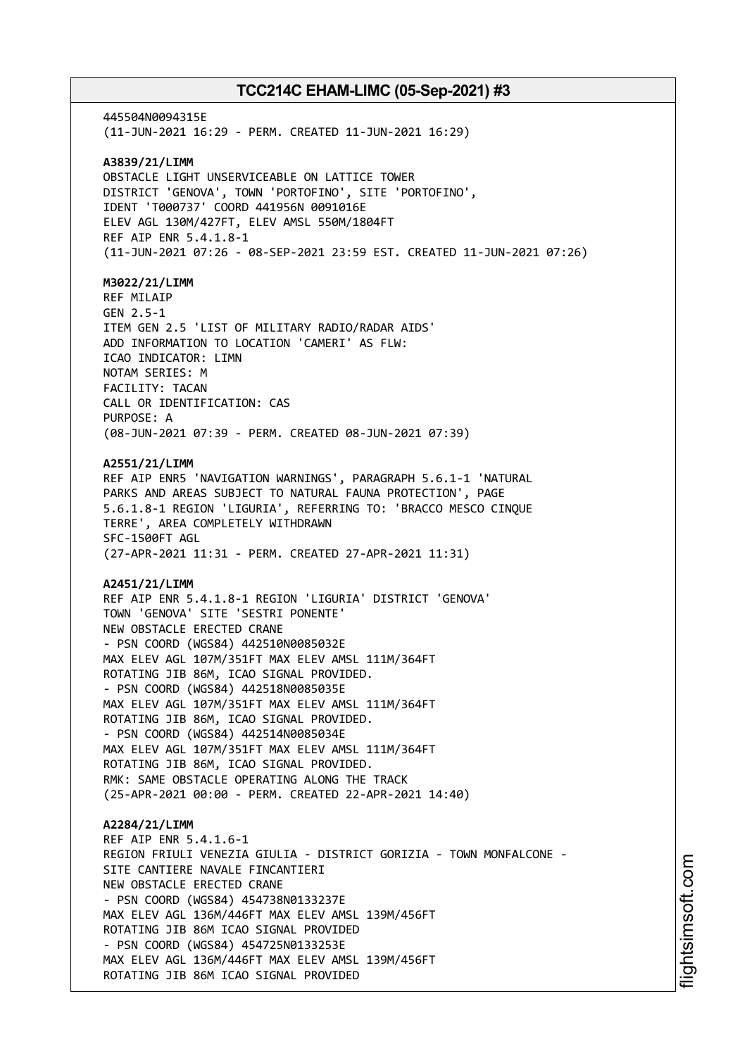445504N0094315E (11-JUN-2021 16:29 - PERM. CREATED 11-JUN-2021 16:29) **A3839/21/LIMM** OBSTACLE LIGHT UNSERVICEABLE ON LATTICE TOWER DISTRICT 'GENOVA', TOWN 'PORTOFINO', SITE 'PORTOFINO', IDENT 'T000737' COORD 441956N 0091016E ELEV AGL 130M/427FT, ELEV AMSL 550M/1804FT REF AIP ENR 5.4.1.8-1 (11-JUN-2021 07:26 - 08-SEP-2021 23:59 EST. CREATED 11-JUN-2021 07:26) **M3022/21/LIMM** REF MILAIP GEN 2.5-1 ITEM GEN 2.5 'LIST OF MILITARY RADIO/RADAR AIDS' ADD INFORMATION TO LOCATION 'CAMERI' AS FLW: ICAO INDICATOR: LIMN NOTAM SERIES: M FACILITY: TACAN CALL OR IDENTIFICATION: CAS PURPOSE: A (08-JUN-2021 07:39 - PERM. CREATED 08-JUN-2021 07:39) **A2551/21/LIMM** REF AIP ENR5 'NAVIGATION WARNINGS', PARAGRAPH 5.6.1-1 'NATURAL PARKS AND AREAS SUBJECT TO NATURAL FAUNA PROTECTION', PAGE 5.6.1.8-1 REGION 'LIGURIA', REFERRING TO: 'BRACCO MESCO CINQUE TERRE', AREA COMPLETELY WITHDRAWN SFC-1500FT AGL (27-APR-2021 11:31 - PERM. CREATED 27-APR-2021 11:31) **A2451/21/LIMM** REF AIP ENR 5.4.1.8-1 REGION 'LIGURIA' DISTRICT 'GENOVA' TOWN 'GENOVA' SITE 'SESTRI PONENTE' NEW OBSTACLE ERECTED CRANE - PSN COORD (WGS84) 442510N0085032E MAX ELEV AGL 107M/351FT MAX ELEV AMSL 111M/364FT ROTATING JIB 86M, ICAO SIGNAL PROVIDED. - PSN COORD (WGS84) 442518N0085035E MAX ELEV AGL 107M/351FT MAX ELEV AMSL 111M/364FT ROTATING JIB 86M, ICAO SIGNAL PROVIDED. - PSN COORD (WGS84) 442514N0085034E MAX ELEV AGL 107M/351FT MAX ELEV AMSL 111M/364FT ROTATING JIB 86M, ICAO SIGNAL PROVIDED. RMK: SAME OBSTACLE OPERATING ALONG THE TRACK (25-APR-2021 00:00 - PERM. CREATED 22-APR-2021 14:40) **A2284/21/LIMM** REF AIP ENR 5.4.1.6-1 REGION FRIULI VENEZIA GIULIA - DISTRICT GORIZIA - TOWN MONFALCONE - SITE CANTIERE NAVALE FINCANTIERI NEW OBSTACLE ERECTED CRANE - PSN COORD (WGS84) 454738N0133237E MAX ELEV AGL 136M/446FT MAX ELEV AMSL 139M/456FT ROTATING JIB 86M ICAO SIGNAL PROVIDED - PSN COORD (WGS84) 454725N0133253E MAX ELEV AGL 136M/446FT MAX ELEV AMSL 139M/456FT ROTATING JIB 86M ICAO SIGNAL PROVIDED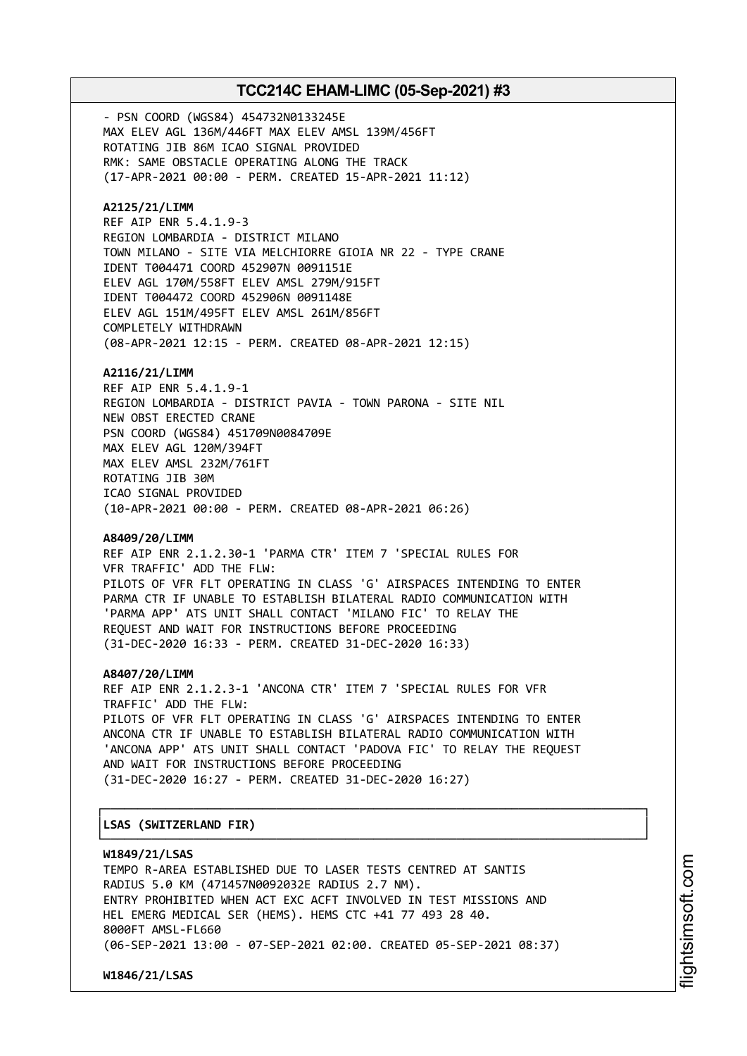- PSN COORD (WGS84) 454732N0133245E MAX ELEV AGL 136M/446FT MAX ELEV AMSL 139M/456FT ROTATING JIB 86M ICAO SIGNAL PROVIDED RMK: SAME OBSTACLE OPERATING ALONG THE TRACK (17-APR-2021 00:00 - PERM. CREATED 15-APR-2021 11:12)

**A2125/21/LIMM** REF AIP ENR 5.4.1.9-3 REGION LOMBARDIA - DISTRICT MILANO TOWN MILANO - SITE VIA MELCHIORRE GIOIA NR 22 - TYPE CRANE IDENT T004471 COORD 452907N 0091151E ELEV AGL 170M/558FT ELEV AMSL 279M/915FT IDENT T004472 COORD 452906N 0091148E ELEV AGL 151M/495FT ELEV AMSL 261M/856FT COMPLETELY WITHDRAWN (08-APR-2021 12:15 - PERM. CREATED 08-APR-2021 12:15)

#### **A2116/21/LIMM**

REF AIP ENR 5.4.1.9-1 REGION LOMBARDIA - DISTRICT PAVIA - TOWN PARONA - SITE NIL NEW OBST ERECTED CRANE PSN COORD (WGS84) 451709N0084709E MAX ELEV AGL 120M/394FT MAX ELEV AMSL 232M/761FT ROTATING JIB 30M ICAO SIGNAL PROVIDED (10-APR-2021 00:00 - PERM. CREATED 08-APR-2021 06:26)

#### **A8409/20/LIMM**

REF AIP ENR 2.1.2.30-1 'PARMA CTR' ITEM 7 'SPECIAL RULES FOR VFR TRAFFIC' ADD THE FLW: PILOTS OF VFR FLT OPERATING IN CLASS 'G' AIRSPACES INTENDING TO ENTER PARMA CTR IF UNABLE TO ESTABLISH BILATERAL RADIO COMMUNICATION WITH 'PARMA APP' ATS UNIT SHALL CONTACT 'MILANO FIC' TO RELAY THE REQUEST AND WAIT FOR INSTRUCTIONS BEFORE PROCEEDING (31-DEC-2020 16:33 - PERM. CREATED 31-DEC-2020 16:33)

#### **A8407/20/LIMM**

REF AIP ENR 2.1.2.3-1 'ANCONA CTR' ITEM 7 'SPECIAL RULES FOR VFR TRAFFIC' ADD THE FLW: PILOTS OF VFR FLT OPERATING IN CLASS 'G' AIRSPACES INTENDING TO ENTER ANCONA CTR IF UNABLE TO ESTABLISH BILATERAL RADIO COMMUNICATION WITH 'ANCONA APP' ATS UNIT SHALL CONTACT 'PADOVA FIC' TO RELAY THE REQUEST AND WAIT FOR INSTRUCTIONS BEFORE PROCEEDING (31-DEC-2020 16:27 - PERM. CREATED 31-DEC-2020 16:27)

┌──────────────────────────────────────────────────────────────────────────────┐

└──────────────────────────────────────────────────────────────────────────────┘

#### │**LSAS (SWITZERLAND FIR)** │

**W1849/21/LSAS** TEMPO R-AREA ESTABLISHED DUE TO LASER TESTS CENTRED AT SANTIS RADIUS 5.0 KM (471457N0092032E RADIUS 2.7 NM). ENTRY PROHIBITED WHEN ACT EXC ACFT INVOLVED IN TEST MISSIONS AND HEL EMERG MEDICAL SER (HEMS). HEMS CTC +41 77 493 28 40. 8000FT AMSL-FL660 (06-SEP-2021 13:00 - 07-SEP-2021 02:00. CREATED 05-SEP-2021 08:37)

**W1846/21/LSAS**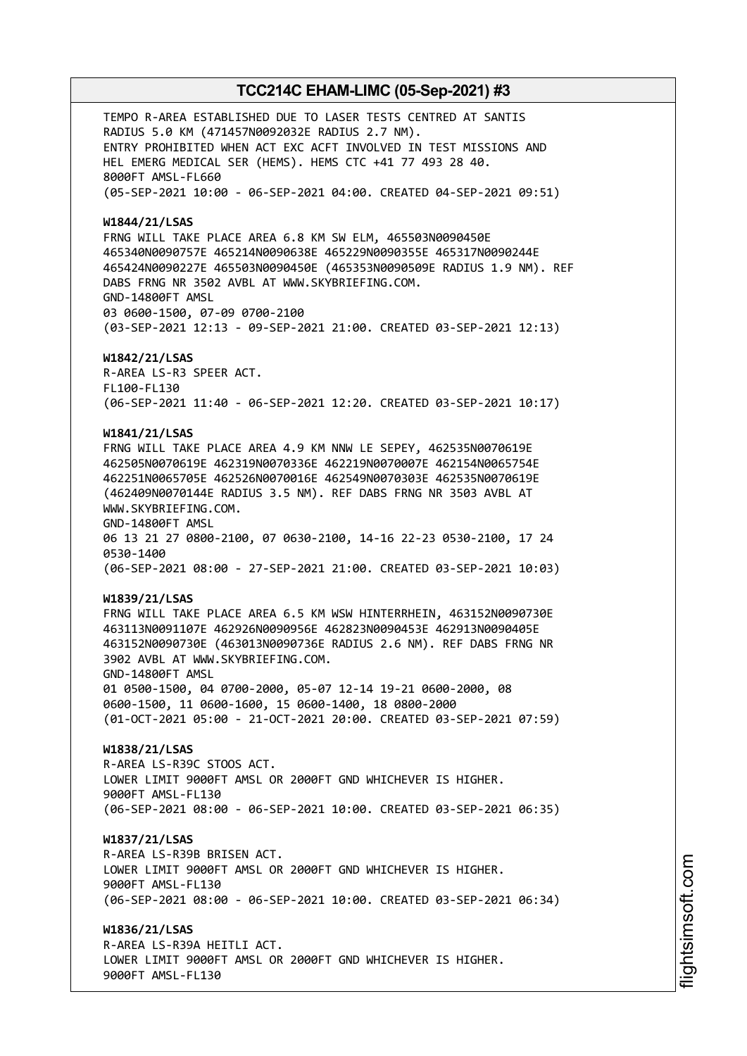TEMPO R-AREA ESTABLISHED DUE TO LASER TESTS CENTRED AT SANTIS RADIUS 5.0 KM (471457N0092032E RADIUS 2.7 NM). ENTRY PROHIBITED WHEN ACT EXC ACFT INVOLVED IN TEST MISSIONS AND HEL EMERG MEDICAL SER (HEMS). HEMS CTC +41 77 493 28 40. 8000FT AMSL-FL660 (05-SEP-2021 10:00 - 06-SEP-2021 04:00. CREATED 04-SEP-2021 09:51) **W1844/21/LSAS** FRNG WILL TAKE PLACE AREA 6.8 KM SW ELM, 465503N0090450E 465340N0090757E 465214N0090638E 465229N0090355E 465317N0090244E 465424N0090227E 465503N0090450E (465353N0090509E RADIUS 1.9 NM). REF DABS FRNG NR 3502 AVBL AT WWW.SKYBRIEFING.COM. GND-14800FT AMSL 03 0600-1500, 07-09 0700-2100 (03-SEP-2021 12:13 - 09-SEP-2021 21:00. CREATED 03-SEP-2021 12:13) **W1842/21/LSAS** R-AREA LS-R3 SPEER ACT. FL100-FL130 (06-SEP-2021 11:40 - 06-SEP-2021 12:20. CREATED 03-SEP-2021 10:17) **W1841/21/LSAS** FRNG WILL TAKE PLACE AREA 4.9 KM NNW LE SEPEY, 462535N0070619E 462505N0070619E 462319N0070336E 462219N0070007E 462154N0065754E 462251N0065705E 462526N0070016E 462549N0070303E 462535N0070619E (462409N0070144E RADIUS 3.5 NM). REF DABS FRNG NR 3503 AVBL AT WWW.SKYBRIEFING.COM. GND-14800FT AMSL 06 13 21 27 0800-2100, 07 0630-2100, 14-16 22-23 0530-2100, 17 24 0530-1400 (06-SEP-2021 08:00 - 27-SEP-2021 21:00. CREATED 03-SEP-2021 10:03) **W1839/21/LSAS** FRNG WILL TAKE PLACE AREA 6.5 KM WSW HINTERRHEIN, 463152N0090730E 463113N0091107E 462926N0090956E 462823N0090453E 462913N0090405E 463152N0090730E (463013N0090736E RADIUS 2.6 NM). REF DABS FRNG NR 3902 AVBL AT WWW.SKYBRIEFING.COM. GND-14800FT AMSL 01 0500-1500, 04 0700-2000, 05-07 12-14 19-21 0600-2000, 08 0600-1500, 11 0600-1600, 15 0600-1400, 18 0800-2000 (01-OCT-2021 05:00 - 21-OCT-2021 20:00. CREATED 03-SEP-2021 07:59) **W1838/21/LSAS** R-AREA LS-R39C STOOS ACT. LOWER LIMIT 9000FT AMSL OR 2000FT GND WHICHEVER IS HIGHER. 9000FT AMSL-FL130 (06-SEP-2021 08:00 - 06-SEP-2021 10:00. CREATED 03-SEP-2021 06:35) **W1837/21/LSAS** R-AREA LS-R39B BRISEN ACT. LOWER LIMIT 9000FT AMSL OR 2000FT GND WHICHEVER IS HIGHER. 9000FT AMSL-FL130 (06-SEP-2021 08:00 - 06-SEP-2021 10:00. CREATED 03-SEP-2021 06:34) **W1836/21/LSAS** R-AREA LS-R39A HEITLI ACT. LOWER LIMIT 9000FT AMSL OR 2000FT GND WHICHEVER IS HIGHER. 9000FT AMSL-FL130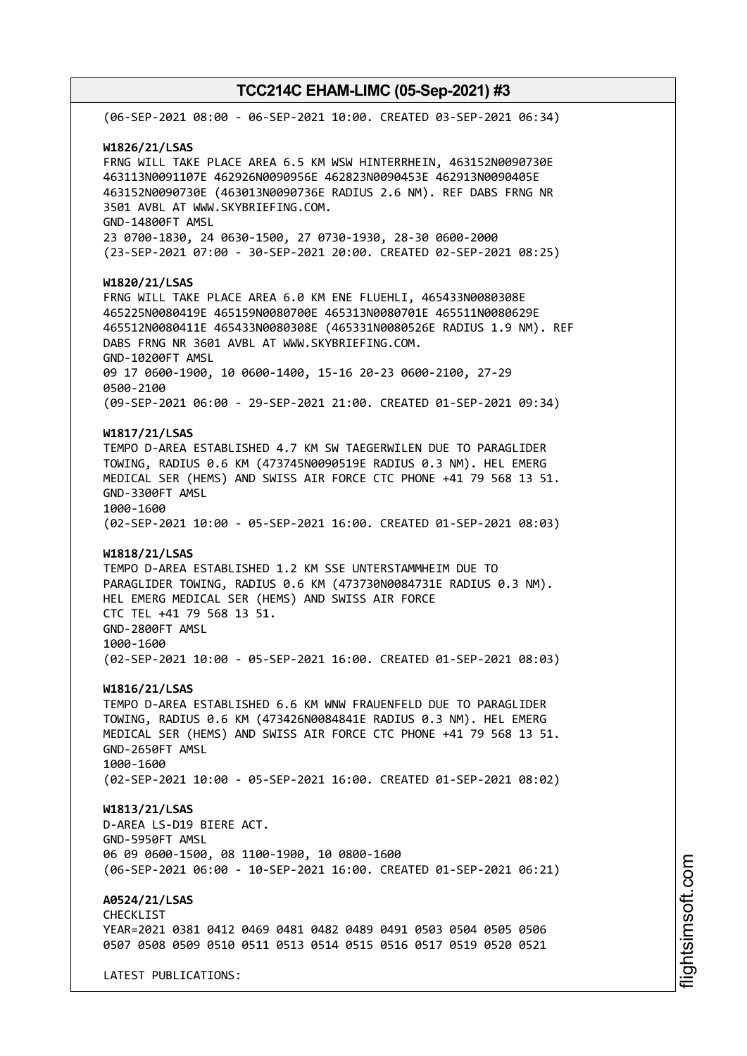| (06-SEP-2021 08:00 - 06-SEP-2021 10:00. CREATED 03-SEP-2021 06:34)                                                                                                                                                                                                                                                                                  |
|-----------------------------------------------------------------------------------------------------------------------------------------------------------------------------------------------------------------------------------------------------------------------------------------------------------------------------------------------------|
| W1826/21/LSAS<br>FRNG WILL TAKE PLACE AREA 6.5 KM WSW HINTERRHEIN, 463152N0090730E<br>463152N0090730E (463013N0090736E RADIUS 2.6 NM). REF DABS FRNG NR<br>3501 AVBL AT WWW.SKYBRIEFING.COM.<br>GND-14800FT AMSL<br>23 0700-1830, 24 0630-1500, 27 0730-1930, 28-30 0600-2000<br>(23-SEP-2021 07:00 - 30-SEP-2021 20:00. CREATED 02-SEP-2021 08:25) |
| W1820/21/LSAS<br>FRNG WILL TAKE PLACE AREA 6.0 KM ENE FLUEHLI, 465433N0080308E<br>DABS FRNG NR 3601 AVBL AT WWW.SKYBRIEFING.COM.<br>GND-10200FT AMSL<br>09 17 0600-1900, 10 0600-1400, 15-16 20-23 0600-2100, 27-29<br>0500-2100<br>(09-SEP-2021 06:00 - 29-SEP-2021 21:00. CREATED 01-SEP-2021 09:34)                                              |
| W1817/21/LSAS<br>TEMPO D-AREA ESTABLISHED 4.7 KM SW TAEGERWILEN DUE TO PARAGLIDER<br>TOWING, RADIUS 0.6 KM (473745N0090519E RADIUS 0.3 NM). HEL EMERG<br>MEDICAL SER (HEMS) AND SWISS AIR FORCE CTC PHONE +41 79 568 13 51.<br>GND-3300FT AMSL<br>1000-1600<br>(02-SEP-2021 10:00 - 05-SEP-2021 16:00. CREATED 01-SEP-2021 08:03)                   |
| W1818/21/LSAS<br>TEMPO D-AREA ESTABLISHED 1.2 KM SSE UNTERSTAMMHEIM DUE TO<br>PARAGLIDER TOWING, RADIUS 0.6 KM (473730N0084731E RADIUS 0.3 NM).<br>HEL EMERG MEDICAL SER (HEMS) AND SWISS AIR FORCE<br>CTC TEL +41 79 568 13 51.<br>GND-2800FT AMSL<br>1000-1600<br>(02-SEP-2021 10:00 - 05-SEP-2021 16:00. CREATED 01-SEP-2021 08:03)              |
| W1816/21/LSAS<br>TEMPO D-AREA ESTABLISHED 6.6 KM WNW FRAUENFELD DUE TO PARAGLIDER<br>TOWING, RADIUS 0.6 KM (473426N0084841E RADIUS 0.3 NM). HEL EMERG<br>MEDICAL SER (HEMS) AND SWISS AIR FORCE CTC PHONE +41 79 568 13 51.<br>GND-2650FT AMSL<br>1000-1600<br>(02-SEP-2021 10:00 - 05-SEP-2021 16:00. CREATED 01-SEP-2021 08:02)                   |
| W1813/21/LSAS<br>D-AREA LS-D19 BIERE ACT.<br>GND-5950FT AMSL<br>06 09 0600-1500, 08 1100-1900, 10 0800-1600<br>(06-SEP-2021 06:00 - 10-SEP-2021 16:00. CREATED 01-SEP-2021 06:21)                                                                                                                                                                   |
| A0524/21/LSAS<br><b>CHECKLIST</b><br>YEAR=2021 0381 0412 0469 0481 0482 0489 0491 0503 0504 0505 0506<br>0507 0508 0509 0510 0511 0513 0514 0515 0516 0517 0519 0520 0521<br>LATEST PUBLICATIONS:                                                                                                                                                   |
|                                                                                                                                                                                                                                                                                                                                                     |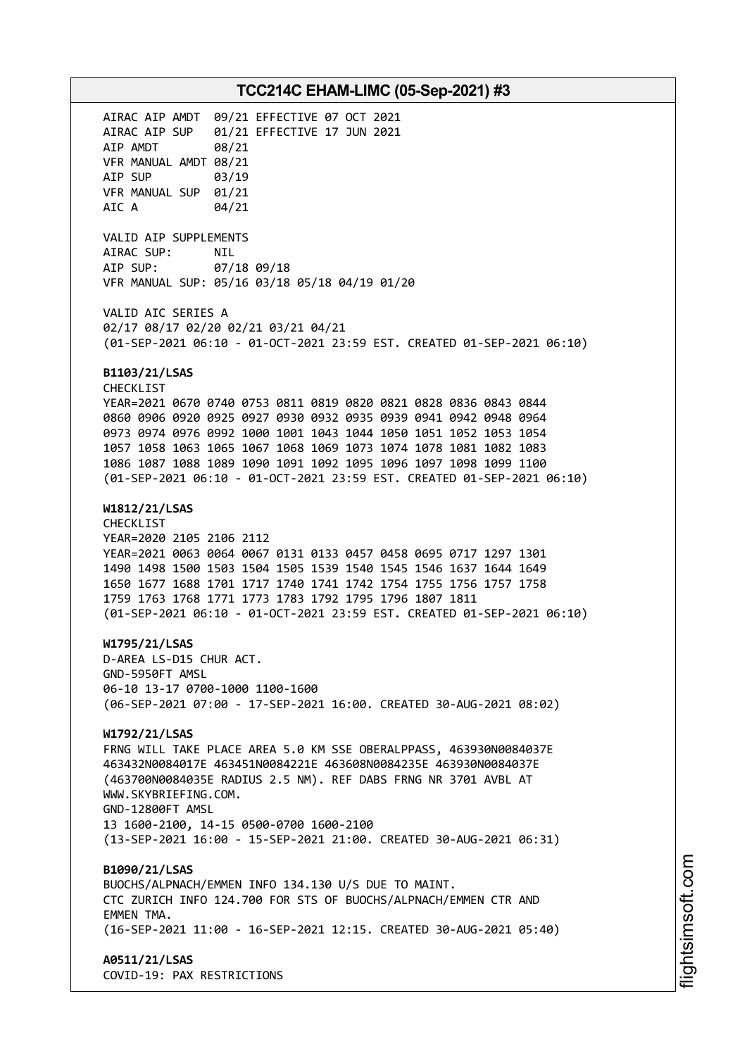AIRAC AIP AMDT 09/21 EFFECTIVE 07 OCT 2021 AIRAC AIP SUP 01/21 EFFECTIVE 17 JUN 2021 AIP AMDT 08/21 VFR MANUAL AMDT 08/21 AIP SUP 03/19 VFR MANUAL SUP 01/21 AIC A 04/21 VALID AIP SUPPLEMENTS AIRAC SUP: NIL AIP SUP: 07/18 09/18 VFR MANUAL SUP: 05/16 03/18 05/18 04/19 01/20 VALID AIC SERIES A 02/17 08/17 02/20 02/21 03/21 04/21 (01-SEP-2021 06:10 - 01-OCT-2021 23:59 EST. CREATED 01-SEP-2021 06:10) **B1103/21/LSAS** CHECKLIST YEAR=2021 0670 0740 0753 0811 0819 0820 0821 0828 0836 0843 0844 0860 0906 0920 0925 0927 0930 0932 0935 0939 0941 0942 0948 0964 0973 0974 0976 0992 1000 1001 1043 1044 1050 1051 1052 1053 1054 1057 1058 1063 1065 1067 1068 1069 1073 1074 1078 1081 1082 1083 1086 1087 1088 1089 1090 1091 1092 1095 1096 1097 1098 1099 1100 (01-SEP-2021 06:10 - 01-OCT-2021 23:59 EST. CREATED 01-SEP-2021 06:10) **W1812/21/LSAS** CHECKLIST YEAR=2020 2105 2106 2112 YEAR=2021 0063 0064 0067 0131 0133 0457 0458 0695 0717 1297 1301 1490 1498 1500 1503 1504 1505 1539 1540 1545 1546 1637 1644 1649 1650 1677 1688 1701 1717 1740 1741 1742 1754 1755 1756 1757 1758 1759 1763 1768 1771 1773 1783 1792 1795 1796 1807 1811 (01-SEP-2021 06:10 - 01-OCT-2021 23:59 EST. CREATED 01-SEP-2021 06:10) **W1795/21/LSAS** D-AREA LS-D15 CHUR ACT. GND-5950FT AMSL 06-10 13-17 0700-1000 1100-1600 (06-SEP-2021 07:00 - 17-SEP-2021 16:00. CREATED 30-AUG-2021 08:02) **W1792/21/LSAS** FRNG WILL TAKE PLACE AREA 5.0 KM SSE OBERALPPASS, 463930N0084037E 463432N0084017E 463451N0084221E 463608N0084235E 463930N0084037E (463700N0084035E RADIUS 2.5 NM). REF DABS FRNG NR 3701 AVBL AT WWW.SKYBRIEFING.COM. GND-12800FT AMSL 13 1600-2100, 14-15 0500-0700 1600-2100 (13-SEP-2021 16:00 - 15-SEP-2021 21:00. CREATED 30-AUG-2021 06:31) **B1090/21/LSAS** BUOCHS/ALPNACH/EMMEN INFO 134.130 U/S DUE TO MAINT. CTC ZURICH INFO 124.700 FOR STS OF BUOCHS/ALPNACH/EMMEN CTR AND EMMEN TMA. (16-SEP-2021 11:00 - 16-SEP-2021 12:15. CREATED 30-AUG-2021 05:40) **A0511/21/LSAS**

COVID-19: PAX RESTRICTIONS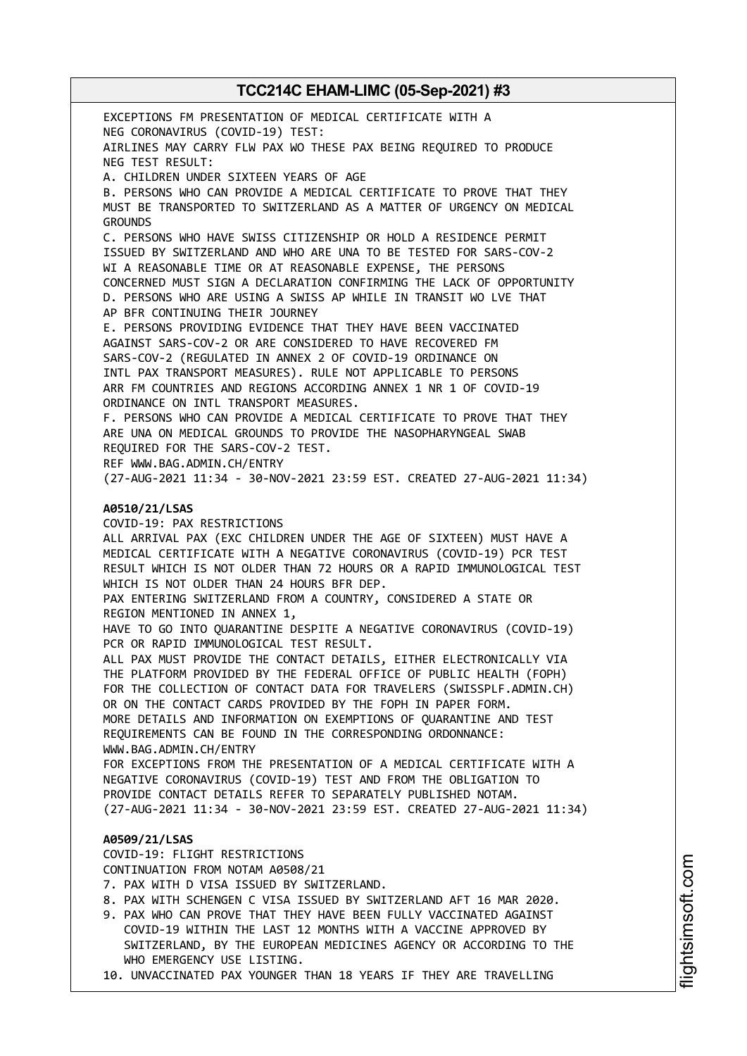EXCEPTIONS FM PRESENTATION OF MEDICAL CERTIFICATE WITH A NEG CORONAVIRUS (COVID-19) TEST: AIRLINES MAY CARRY FLW PAX WO THESE PAX BEING REQUIRED TO PRODUCE NEG TEST RESULT: A. CHILDREN UNDER SIXTEEN YEARS OF AGE B. PERSONS WHO CAN PROVIDE A MEDICAL CERTIFICATE TO PROVE THAT THEY MUST BE TRANSPORTED TO SWITZERLAND AS A MATTER OF URGENCY ON MEDICAL GROUNDS C. PERSONS WHO HAVE SWISS CITIZENSHIP OR HOLD A RESIDENCE PERMIT ISSUED BY SWITZERLAND AND WHO ARE UNA TO BE TESTED FOR SARS-COV-2 WI A REASONABLE TIME OR AT REASONABLE EXPENSE, THE PERSONS CONCERNED MUST SIGN A DECLARATION CONFIRMING THE LACK OF OPPORTUNITY D. PERSONS WHO ARE USING A SWISS AP WHILE IN TRANSIT WO LVE THAT AP BFR CONTINUING THEIR JOURNEY E. PERSONS PROVIDING EVIDENCE THAT THEY HAVE BEEN VACCINATED AGAINST SARS-COV-2 OR ARE CONSIDERED TO HAVE RECOVERED FM SARS-COV-2 (REGULATED IN ANNEX 2 OF COVID-19 ORDINANCE ON INTL PAX TRANSPORT MEASURES). RULE NOT APPLICABLE TO PERSONS ARR FM COUNTRIES AND REGIONS ACCORDING ANNEX 1 NR 1 OF COVID-19 ORDINANCE ON INTL TRANSPORT MEASURES. F. PERSONS WHO CAN PROVIDE A MEDICAL CERTIFICATE TO PROVE THAT THEY ARE UNA ON MEDICAL GROUNDS TO PROVIDE THE NASOPHARYNGEAL SWAB REQUIRED FOR THE SARS-COV-2 TEST. REF WWW.BAG.ADMIN.CH/ENTRY (27-AUG-2021 11:34 - 30-NOV-2021 23:59 EST. CREATED 27-AUG-2021 11:34) **A0510/21/LSAS** COVID-19: PAX RESTRICTIONS ALL ARRIVAL PAX (EXC CHILDREN UNDER THE AGE OF SIXTEEN) MUST HAVE A MEDICAL CERTIFICATE WITH A NEGATIVE CORONAVIRUS (COVID-19) PCR TEST RESULT WHICH IS NOT OLDER THAN 72 HOURS OR A RAPID IMMUNOLOGICAL TEST WHICH IS NOT OLDER THAN 24 HOURS BFR DEP. PAX ENTERING SWITZERLAND FROM A COUNTRY, CONSIDERED A STATE OR REGION MENTIONED IN ANNEX 1, HAVE TO GO INTO QUARANTINE DESPITE A NEGATIVE CORONAVIRUS (COVID-19) PCR OR RAPID IMMUNOLOGICAL TEST RESULT. ALL PAX MUST PROVIDE THE CONTACT DETAILS, EITHER ELECTRONICALLY VIA THE PLATFORM PROVIDED BY THE FEDERAL OFFICE OF PUBLIC HEALTH (FOPH) FOR THE COLLECTION OF CONTACT DATA FOR TRAVELERS (SWISSPLF.ADMIN.CH) OR ON THE CONTACT CARDS PROVIDED BY THE FOPH IN PAPER FORM. MORE DETAILS AND INFORMATION ON EXEMPTIONS OF QUARANTINE AND TEST REQUIREMENTS CAN BE FOUND IN THE CORRESPONDING ORDONNANCE: WWW.BAG.ADMIN.CH/ENTRY FOR EXCEPTIONS FROM THE PRESENTATION OF A MEDICAL CERTIFICATE WITH A NEGATIVE CORONAVIRUS (COVID-19) TEST AND FROM THE OBLIGATION TO PROVIDE CONTACT DETAILS REFER TO SEPARATELY PUBLISHED NOTAM. (27-AUG-2021 11:34 - 30-NOV-2021 23:59 EST. CREATED 27-AUG-2021 11:34) **A0509/21/LSAS** COVID-19: FLIGHT RESTRICTIONS CONTINUATION FROM NOTAM A0508/21 7. PAX WITH D VISA ISSUED BY SWITZERLAND.

- 8. PAX WITH SCHENGEN C VISA ISSUED BY SWITZERLAND AFT 16 MAR 2020.
- 9. PAX WHO CAN PROVE THAT THEY HAVE BEEN FULLY VACCINATED AGAINST COVID-19 WITHIN THE LAST 12 MONTHS WITH A VACCINE APPROVED BY SWITZERLAND, BY THE EUROPEAN MEDICINES AGENCY OR ACCORDING TO THE WHO EMERGENCY USE LISTING.
- 10. UNVACCINATED PAX YOUNGER THAN 18 YEARS IF THEY ARE TRAVELLING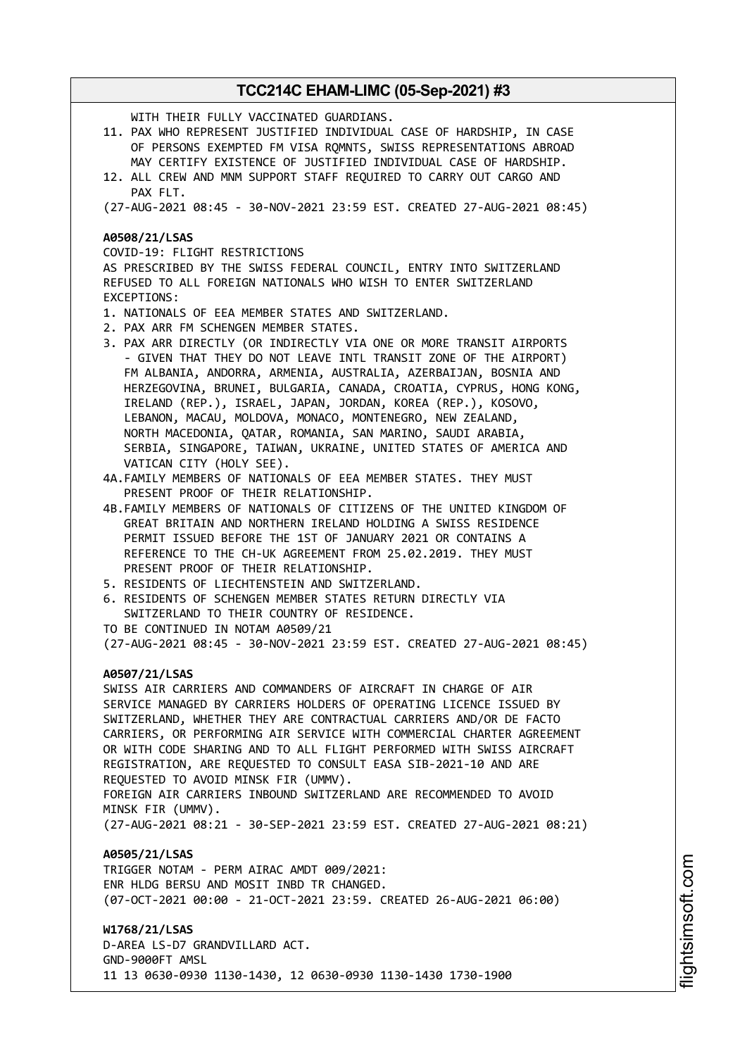| WITH THEIR FULLY VACCINATED GUARDIANS.<br>11. PAX WHO REPRESENT JUSTIFIED INDIVIDUAL CASE OF HARDSHIP, IN CASE<br>OF PERSONS EXEMPTED FM VISA ROMNTS, SWISS REPRESENTATIONS ABROAD<br>MAY CERTIFY EXISTENCE OF JUSTIFIED INDIVIDUAL CASE OF HARDSHIP.<br>12. ALL CREW AND MNM SUPPORT STAFF REQUIRED TO CARRY OUT CARGO AND<br>PAX FLT.                                                                                                                                                                                                                                                                                                                                                                                                                                                                                                                                             |
|-------------------------------------------------------------------------------------------------------------------------------------------------------------------------------------------------------------------------------------------------------------------------------------------------------------------------------------------------------------------------------------------------------------------------------------------------------------------------------------------------------------------------------------------------------------------------------------------------------------------------------------------------------------------------------------------------------------------------------------------------------------------------------------------------------------------------------------------------------------------------------------|
| (27-AUG-2021 08:45 - 30-NOV-2021 23:59 EST. CREATED 27-AUG-2021 08:45)                                                                                                                                                                                                                                                                                                                                                                                                                                                                                                                                                                                                                                                                                                                                                                                                              |
| A0508/21/LSAS<br>COVID-19: FLIGHT RESTRICTIONS<br>AS PRESCRIBED BY THE SWISS FEDERAL COUNCIL, ENTRY INTO SWITZERLAND<br>REFUSED TO ALL FOREIGN NATIONALS WHO WISH TO ENTER SWITZERLAND<br>EXCEPTIONS:<br>1. NATIONALS OF EEA MEMBER STATES AND SWITZERLAND.<br>2. PAX ARR FM SCHENGEN MEMBER STATES.<br>3. PAX ARR DIRECTLY (OR INDIRECTLY VIA ONE OR MORE TRANSIT AIRPORTS<br>- GIVEN THAT THEY DO NOT LEAVE INTL TRANSIT ZONE OF THE AIRPORT)<br>FM ALBANIA, ANDORRA, ARMENIA, AUSTRALIA, AZERBAIJAN, BOSNIA AND<br>HERZEGOVINA, BRUNEI, BULGARIA, CANADA, CROATIA, CYPRUS, HONG KONG,<br>IRELAND (REP.), ISRAEL, JAPAN, JORDAN, KOREA (REP.), KOSOVO,<br>LEBANON, MACAU, MOLDOVA, MONACO, MONTENEGRO, NEW ZEALAND,<br>NORTH MACEDONIA, QATAR, ROMANIA, SAN MARINO, SAUDI ARABIA,<br>SERBIA, SINGAPORE, TAIWAN, UKRAINE, UNITED STATES OF AMERICA AND<br>VATICAN CITY (HOLY SEE). |
| 4A. FAMILY MEMBERS OF NATIONALS OF EEA MEMBER STATES. THEY MUST<br>PRESENT PROOF OF THEIR RELATIONSHIP.<br>4B. FAMILY MEMBERS OF NATIONALS OF CITIZENS OF THE UNITED KINGDOM OF<br>GREAT BRITAIN AND NORTHERN IRELAND HOLDING A SWISS RESIDENCE<br>PERMIT ISSUED BEFORE THE 1ST OF JANUARY 2021 OR CONTAINS A<br>REFERENCE TO THE CH-UK AGREEMENT FROM 25.02.2019. THEY MUST<br>PRESENT PROOF OF THEIR RELATIONSHIP.<br>5. RESIDENTS OF LIECHTENSTEIN AND SWITZERLAND.<br>6. RESIDENTS OF SCHENGEN MEMBER STATES RETURN DIRECTLY VIA<br>SWITZERLAND TO THEIR COUNTRY OF RESIDENCE.<br>TO BE CONTINUED IN NOTAM A0509/21<br>(27-AUG-2021 08:45 - 30-NOV-2021 23:59 EST. CREATED 27-AUG-2021 08:45)                                                                                                                                                                                   |
| A0507/21/LSAS<br>SWISS AIR CARRIERS AND COMMANDERS OF AIRCRAFT IN CHARGE OF AIR<br>SERVICE MANAGED BY CARRIERS HOLDERS OF OPERATING LICENCE ISSUED BY<br>SWITZERLAND, WHETHER THEY ARE CONTRACTUAL CARRIERS AND/OR DE FACTO<br>CARRIERS, OR PERFORMING AIR SERVICE WITH COMMERCIAL CHARTER AGREEMENT<br>OR WITH CODE SHARING AND TO ALL FLIGHT PERFORMED WITH SWISS AIRCRAFT<br>REGISTRATION, ARE REQUESTED TO CONSULT EASA SIB-2021-10 AND ARE<br>REQUESTED TO AVOID MINSK FIR (UMMV).<br>FOREIGN AIR CARRIERS INBOUND SWITZERLAND ARE RECOMMENDED TO AVOID<br>MINSK FIR (UMMV).<br>(27-AUG-2021 08:21 - 30-SEP-2021 23:59 EST. CREATED 27-AUG-2021 08:21)                                                                                                                                                                                                                         |
| A0505/21/LSAS<br>TRIGGER NOTAM - PERM AIRAC AMDT 009/2021:<br>ENR HLDG BERSU AND MOSIT INBD TR CHANGED.<br>(07-OCT-2021 00:00 - 21-OCT-2021 23:59. CREATED 26-AUG-2021 06:00)                                                                                                                                                                                                                                                                                                                                                                                                                                                                                                                                                                                                                                                                                                       |
| W1768/21/LSAS<br>D-AREA LS-D7 GRANDVILLARD ACT.<br>GND-9000FT AMSL<br>11 13 0630-0930 1130-1430, 12 0630-0930 1130-1430 1730-1900                                                                                                                                                                                                                                                                                                                                                                                                                                                                                                                                                                                                                                                                                                                                                   |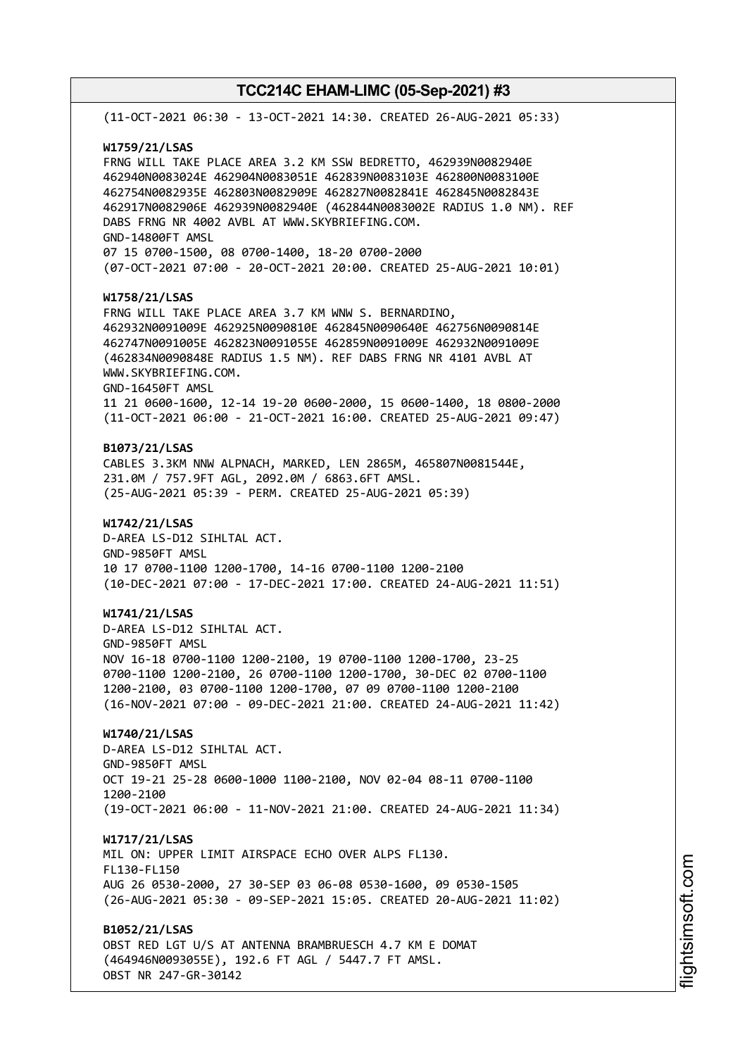(11-OCT-2021 06:30 - 13-OCT-2021 14:30. CREATED 26-AUG-2021 05:33) **W1759/21/LSAS** FRNG WILL TAKE PLACE AREA 3.2 KM SSW BEDRETTO, 462939N0082940E 462940N0083024E 462904N0083051E 462839N0083103E 462800N0083100E 462754N0082935E 462803N0082909E 462827N0082841E 462845N0082843E 462917N0082906E 462939N0082940E (462844N0083002E RADIUS 1.0 NM). REF DABS FRNG NR 4002 AVBL AT WWW.SKYBRIEFING.COM. GND-14800FT AMSL 07 15 0700-1500, 08 0700-1400, 18-20 0700-2000 (07-OCT-2021 07:00 - 20-OCT-2021 20:00. CREATED 25-AUG-2021 10:01) **W1758/21/LSAS** FRNG WILL TAKE PLACE AREA 3.7 KM WNW S. BERNARDINO, 462932N0091009E 462925N0090810E 462845N0090640E 462756N0090814E 462747N0091005E 462823N0091055E 462859N0091009E 462932N0091009E (462834N0090848E RADIUS 1.5 NM). REF DABS FRNG NR 4101 AVBL AT WWW.SKYBRIEFING.COM. GND-16450FT AMSL 11 21 0600-1600, 12-14 19-20 0600-2000, 15 0600-1400, 18 0800-2000 (11-OCT-2021 06:00 - 21-OCT-2021 16:00. CREATED 25-AUG-2021 09:47) **B1073/21/LSAS** CABLES 3.3KM NNW ALPNACH, MARKED, LEN 2865M, 465807N0081544E, 231.0M / 757.9FT AGL, 2092.0M / 6863.6FT AMSL. (25-AUG-2021 05:39 - PERM. CREATED 25-AUG-2021 05:39) **W1742/21/LSAS** D-AREA LS-D12 SIHLTAL ACT. GND-9850FT AMSL 10 17 0700-1100 1200-1700, 14-16 0700-1100 1200-2100 (10-DEC-2021 07:00 - 17-DEC-2021 17:00. CREATED 24-AUG-2021 11:51) **W1741/21/LSAS** D-AREA LS-D12 SIHLTAL ACT. GND-9850FT AMSL NOV 16-18 0700-1100 1200-2100, 19 0700-1100 1200-1700, 23-25 0700-1100 1200-2100, 26 0700-1100 1200-1700, 30-DEC 02 0700-1100 1200-2100, 03 0700-1100 1200-1700, 07 09 0700-1100 1200-2100 (16-NOV-2021 07:00 - 09-DEC-2021 21:00. CREATED 24-AUG-2021 11:42) **W1740/21/LSAS** D-AREA LS-D12 SIHLTAL ACT. GND-9850FT AMSL OCT 19-21 25-28 0600-1000 1100-2100, NOV 02-04 08-11 0700-1100 1200-2100 (19-OCT-2021 06:00 - 11-NOV-2021 21:00. CREATED 24-AUG-2021 11:34) **W1717/21/LSAS** MIL ON: UPPER LIMIT AIRSPACE ECHO OVER ALPS FL130. FL130-FL150 AUG 26 0530-2000, 27 30-SEP 03 06-08 0530-1600, 09 0530-1505 (26-AUG-2021 05:30 - 09-SEP-2021 15:05. CREATED 20-AUG-2021 11:02) **B1052/21/LSAS** OBST RED LGT U/S AT ANTENNA BRAMBRUESCH 4.7 KM E DOMAT (464946N0093055E), 192.6 FT AGL / 5447.7 FT AMSL. OBST NR 247-GR-30142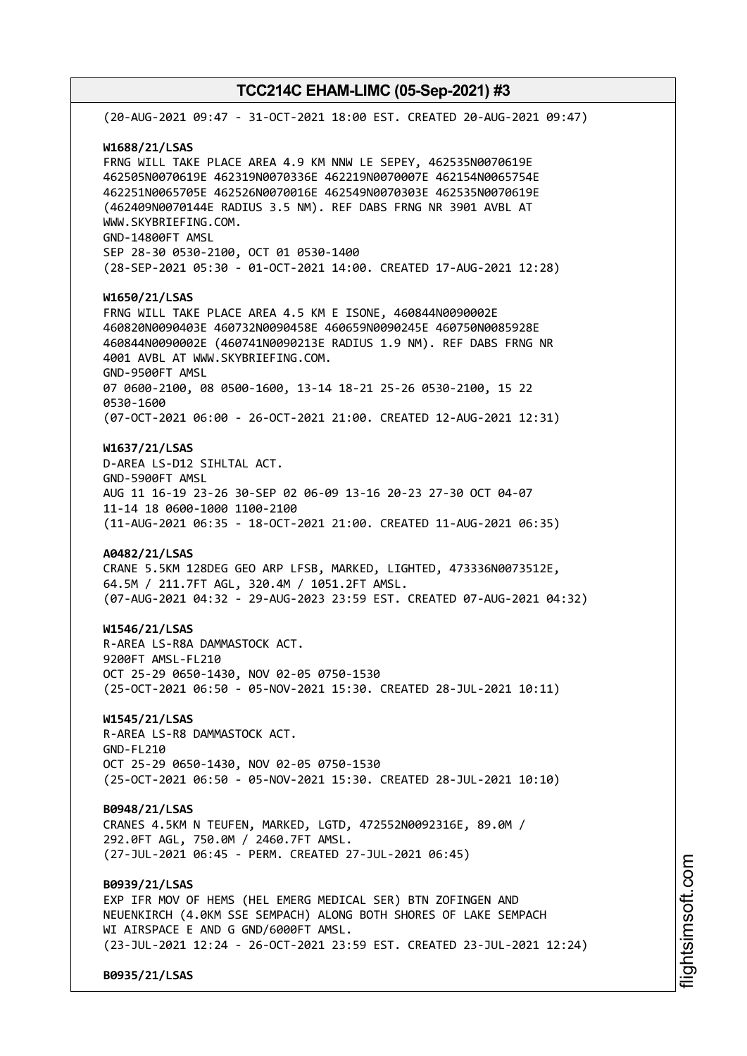| (20-AUG-2021 09:47 - 31-OCT-2021 18:00 EST. CREATED 20-AUG-2021 09:47)                                                                                                                                                                                                                                                                                       |
|--------------------------------------------------------------------------------------------------------------------------------------------------------------------------------------------------------------------------------------------------------------------------------------------------------------------------------------------------------------|
| W1688/21/LSAS<br>FRNG WILL TAKE PLACE AREA 4.9 KM NNW LE SEPEY, 462535N0070619E<br>(462409N0070144E RADIUS 3.5 NM). REF DABS FRNG NR 3901 AVBL AT<br>WWW.SKYBRIEFING.COM.<br>GND-14800FT AMSL<br>SEP 28-30 0530-2100, OCT 01 0530-1400<br>(28-SEP-2021 05:30 - 01-OCT-2021 14:00. CREATED 17-AUG-2021 12:28)                                                 |
| W1650/21/LSAS<br>FRNG WILL TAKE PLACE AREA 4.5 KM E ISONE, 460844N0090002E<br>460844N0090002E (460741N0090213E RADIUS 1.9 NM). REF DABS FRNG NR<br>4001 AVBL AT WWW.SKYBRIEFING.COM.<br>GND-9500FT AMSL<br>07 0600-2100, 08 0500-1600, 13-14 18-21 25-26 0530-2100, 15 22<br>0530-1600<br>(07-OCT-2021 06:00 - 26-OCT-2021 21:00. CREATED 12-AUG-2021 12:31) |
| W1637/21/LSAS<br>D-AREA LS-D12 SIHLTAL ACT.<br>GND-5900FT AMSL<br>AUG 11 16-19 23-26 30-SEP 02 06-09 13-16 20-23 27-30 OCT 04-07<br>11-14 18 0600-1000 1100-2100<br>(11-AUG-2021 06:35 - 18-OCT-2021 21:00. CREATED 11-AUG-2021 06:35)                                                                                                                       |
| A0482/21/LSAS<br>CRANE 5.5KM 128DEG GEO ARP LFSB, MARKED, LIGHTED, 473336N0073512E,<br>64.5M / 211.7FT AGL, 320.4M / 1051.2FT AMSL.<br>(07-AUG-2021 04:32 - 29-AUG-2023 23:59 EST. CREATED 07-AUG-2021 04:32)                                                                                                                                                |
| W1546/21/LSAS<br>R-AREA LS-R8A DAMMASTOCK ACT.<br>9200FT AMSL-FL210<br>OCT 25-29 0650-1430, NOV 02-05 0750-1530<br>(25-OCT-2021 06:50 - 05-NOV-2021 15:30. CREATED 28-JUL-2021 10:11)                                                                                                                                                                        |
| W1545/21/LSAS<br>R-AREA LS-R8 DAMMASTOCK ACT.<br>GND-FL210<br>OCT 25-29 0650-1430, NOV 02-05 0750-1530<br>(25-OCT-2021 06:50 - 05-NOV-2021 15:30. CREATED 28-JUL-2021 10:10)                                                                                                                                                                                 |
| B0948/21/LSAS<br>CRANES 4.5KM N TEUFEN, MARKED, LGTD, 472552N0092316E, 89.0M /<br>292.0FT AGL, 750.0M / 2460.7FT AMSL.<br>(27-JUL-2021 06:45 - PERM. CREATED 27-JUL-2021 06:45)                                                                                                                                                                              |
| B0939/21/LSAS<br>EXP IFR MOV OF HEMS (HEL EMERG MEDICAL SER) BTN ZOFINGEN AND<br>NEUENKIRCH (4.0KM SSE SEMPACH) ALONG BOTH SHORES OF LAKE SEMPACH<br>WI AIRSPACE E AND G GND/6000FT AMSL.<br>(23-JUL-2021 12:24 - 26-OCT-2021 23:59 EST. CREATED 23-JUL-2021 12:24)                                                                                          |
| B0935/21/LSAS                                                                                                                                                                                                                                                                                                                                                |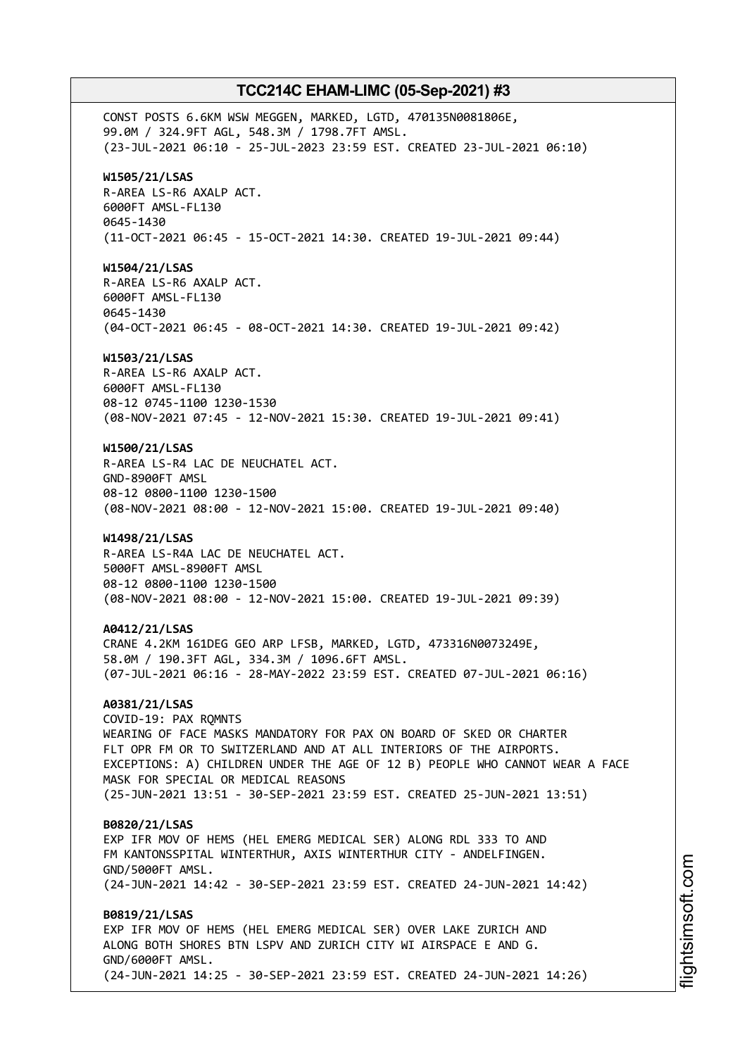CONST POSTS 6.6KM WSW MEGGEN, MARKED, LGTD, 470135N0081806E, 99.0M / 324.9FT AGL, 548.3M / 1798.7FT AMSL. (23-JUL-2021 06:10 - 25-JUL-2023 23:59 EST. CREATED 23-JUL-2021 06:10) **W1505/21/LSAS** R-AREA LS-R6 AXALP ACT. 6000FT AMSL-FL130 0645-1430 (11-OCT-2021 06:45 - 15-OCT-2021 14:30. CREATED 19-JUL-2021 09:44) **W1504/21/LSAS** R-AREA LS-R6 AXALP ACT. 6000FT AMSL-FL130 0645-1430 (04-OCT-2021 06:45 - 08-OCT-2021 14:30. CREATED 19-JUL-2021 09:42) **W1503/21/LSAS** R-AREA LS-R6 AXALP ACT. 6000FT AMSL-FL130 08-12 0745-1100 1230-1530 (08-NOV-2021 07:45 - 12-NOV-2021 15:30. CREATED 19-JUL-2021 09:41) **W1500/21/LSAS** R-AREA LS-R4 LAC DE NEUCHATEL ACT. GND-8900FT AMSL 08-12 0800-1100 1230-1500 (08-NOV-2021 08:00 - 12-NOV-2021 15:00. CREATED 19-JUL-2021 09:40) **W1498/21/LSAS** R-AREA LS-R4A LAC DE NEUCHATEL ACT. 5000FT AMSL-8900FT AMSL 08-12 0800-1100 1230-1500 (08-NOV-2021 08:00 - 12-NOV-2021 15:00. CREATED 19-JUL-2021 09:39) **A0412/21/LSAS** CRANE 4.2KM 161DEG GEO ARP LFSB, MARKED, LGTD, 473316N0073249E, 58.0M / 190.3FT AGL, 334.3M / 1096.6FT AMSL. (07-JUL-2021 06:16 - 28-MAY-2022 23:59 EST. CREATED 07-JUL-2021 06:16) **A0381/21/LSAS** COVID-19: PAX RQMNTS WEARING OF FACE MASKS MANDATORY FOR PAX ON BOARD OF SKED OR CHARTER FLT OPR FM OR TO SWITZERLAND AND AT ALL INTERIORS OF THE AIRPORTS. EXCEPTIONS: A) CHILDREN UNDER THE AGE OF 12 B) PEOPLE WHO CANNOT WEAR A FACE MASK FOR SPECIAL OR MEDICAL REASONS (25-JUN-2021 13:51 - 30-SEP-2021 23:59 EST. CREATED 25-JUN-2021 13:51) **B0820/21/LSAS** EXP IFR MOV OF HEMS (HEL EMERG MEDICAL SER) ALONG RDL 333 TO AND FM KANTONSSPITAL WINTERTHUR, AXIS WINTERTHUR CITY - ANDELFINGEN. GND/5000FT AMSL. (24-JUN-2021 14:42 - 30-SEP-2021 23:59 EST. CREATED 24-JUN-2021 14:42) **B0819/21/LSAS** EXP IFR MOV OF HEMS (HEL EMERG MEDICAL SER) OVER LAKE ZURICH AND ALONG BOTH SHORES BTN LSPV AND ZURICH CITY WI AIRSPACE E AND G. GND/6000FT AMSL. (24-JUN-2021 14:25 - 30-SEP-2021 23:59 EST. CREATED 24-JUN-2021 14:26)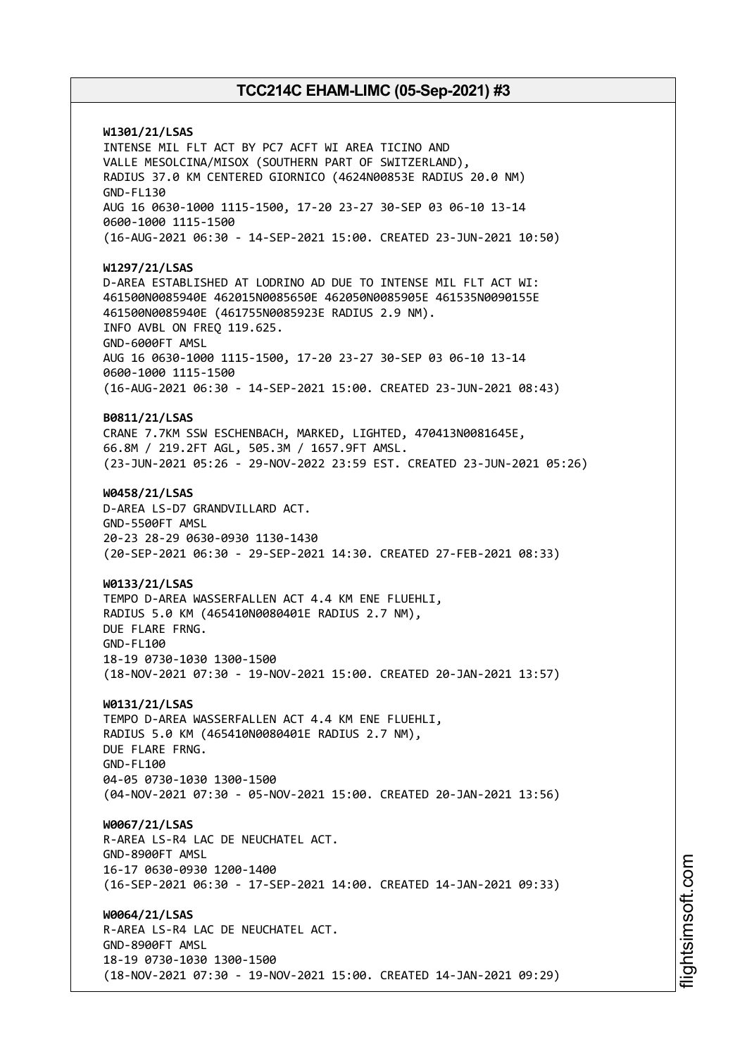**W1301/21/LSAS** INTENSE MIL FLT ACT BY PC7 ACFT WI AREA TICINO AND VALLE MESOLCINA/MISOX (SOUTHERN PART OF SWITZERLAND), RADIUS 37.0 KM CENTERED GIORNICO (4624N00853E RADIUS 20.0 NM) GND-FL130 AUG 16 0630-1000 1115-1500, 17-20 23-27 30-SEP 03 06-10 13-14 0600-1000 1115-1500 (16-AUG-2021 06:30 - 14-SEP-2021 15:00. CREATED 23-JUN-2021 10:50) **W1297/21/LSAS** D-AREA ESTABLISHED AT LODRINO AD DUE TO INTENSE MIL FLT ACT WI: 461500N0085940E 462015N0085650E 462050N0085905E 461535N0090155E 461500N0085940E (461755N0085923E RADIUS 2.9 NM). INFO AVBL ON FREQ 119.625. GND-6000FT AMSL AUG 16 0630-1000 1115-1500, 17-20 23-27 30-SEP 03 06-10 13-14 0600-1000 1115-1500 (16-AUG-2021 06:30 - 14-SEP-2021 15:00. CREATED 23-JUN-2021 08:43) **B0811/21/LSAS** CRANE 7.7KM SSW ESCHENBACH, MARKED, LIGHTED, 470413N0081645E, 66.8M / 219.2FT AGL, 505.3M / 1657.9FT AMSL. (23-JUN-2021 05:26 - 29-NOV-2022 23:59 EST. CREATED 23-JUN-2021 05:26) **W0458/21/LSAS** D-AREA LS-D7 GRANDVILLARD ACT. GND-5500FT AMSL 20-23 28-29 0630-0930 1130-1430 (20-SEP-2021 06:30 - 29-SEP-2021 14:30. CREATED 27-FEB-2021 08:33) **W0133/21/LSAS** TEMPO D-AREA WASSERFALLEN ACT 4.4 KM ENE FLUEHLI, RADIUS 5.0 KM (465410N0080401E RADIUS 2.7 NM), DUE FLARE FRNG. GND-FL100 18-19 0730-1030 1300-1500 (18-NOV-2021 07:30 - 19-NOV-2021 15:00. CREATED 20-JAN-2021 13:57) **W0131/21/LSAS** TEMPO D-AREA WASSERFALLEN ACT 4.4 KM ENE FLUEHLI, RADIUS 5.0 KM (465410N0080401E RADIUS 2.7 NM), DUE FLARE FRNG. GND-FL100 04-05 0730-1030 1300-1500 (04-NOV-2021 07:30 - 05-NOV-2021 15:00. CREATED 20-JAN-2021 13:56) **W0067/21/LSAS** R-AREA LS-R4 LAC DE NEUCHATEL ACT. GND-8900FT AMSL 16-17 0630-0930 1200-1400 (16-SEP-2021 06:30 - 17-SEP-2021 14:00. CREATED 14-JAN-2021 09:33) **W0064/21/LSAS** R-AREA LS-R4 LAC DE NEUCHATEL ACT. GND-8900FT AMSL 18-19 0730-1030 1300-1500 (18-NOV-2021 07:30 - 19-NOV-2021 15:00. CREATED 14-JAN-2021 09:29)